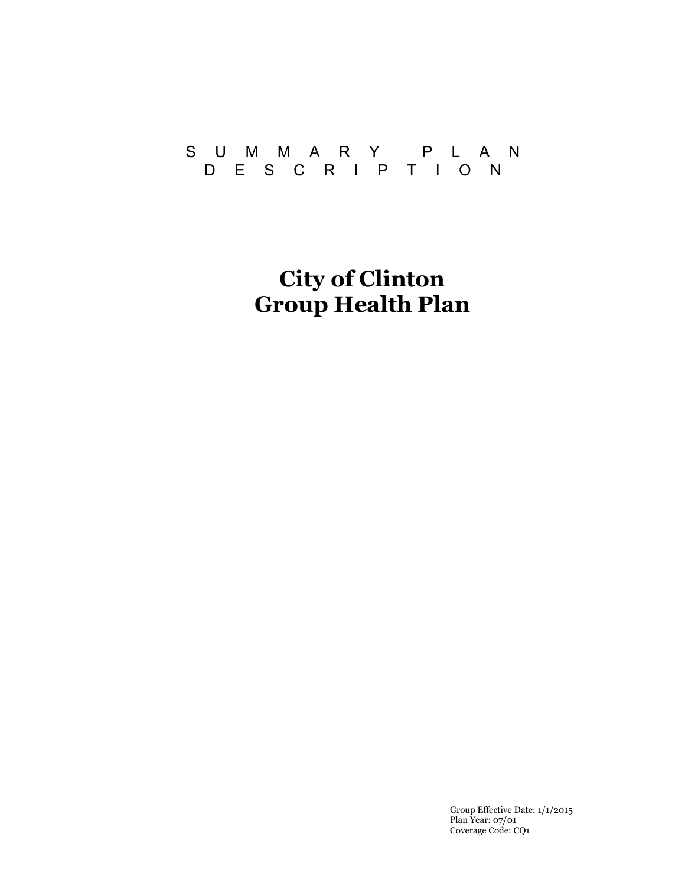### SUMMARY PLAN DESCRIPTION

**City of Clinton Group Health Plan** 

> Group Effective Date: 1/1/2015 Plan Year: 07/01 Coverage Code: CQ1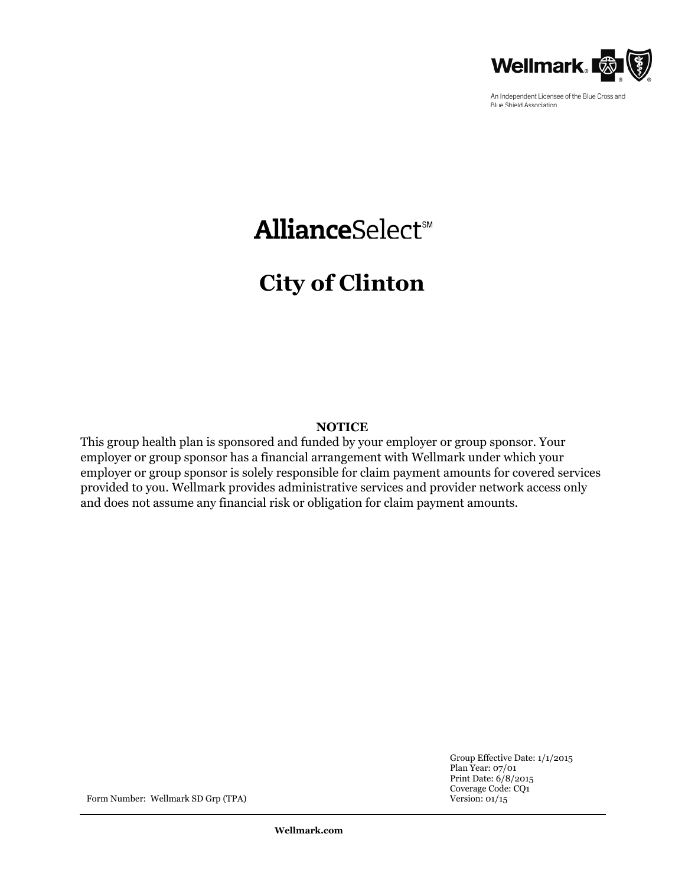

An Independent Licensee of the Blue Cross and **Blue Shield Association** 

# **AllianceSelect**sM

# **City of Clinton**

#### **NOTICE**

This group health plan is sponsored and funded by your employer or group sponsor. Your employer or group sponsor has a financial arrangement with Wellmark under which your employer or group sponsor is solely responsible for claim payment amounts for covered services provided to you. Wellmark provides administrative services and provider network access only and does not assume any financial risk or obligation for claim payment amounts.

> Group Effective Date: 1/1/2015 Plan Year: 07/01 Print Date: 6/8/2015 Coverage Code: CQ1

Form Number: Wellmark SD Grp (TPA) Version: 01/15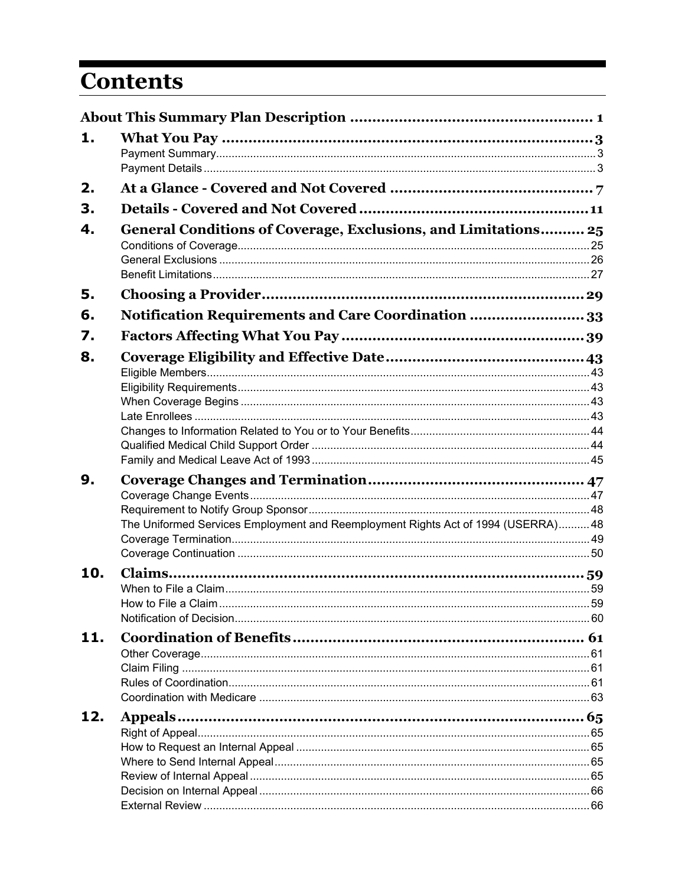# **Contents**

| 1.  |                                                                                  |  |
|-----|----------------------------------------------------------------------------------|--|
| 2.  |                                                                                  |  |
| З.  |                                                                                  |  |
| 4.  | General Conditions of Coverage, Exclusions, and Limitations 25                   |  |
| 5.  |                                                                                  |  |
| 6.  | Notification Requirements and Care Coordination  33                              |  |
| 7.  |                                                                                  |  |
| 8.  |                                                                                  |  |
|     |                                                                                  |  |
|     |                                                                                  |  |
|     |                                                                                  |  |
|     |                                                                                  |  |
|     |                                                                                  |  |
|     |                                                                                  |  |
| 9.  |                                                                                  |  |
|     |                                                                                  |  |
|     | The Uniformed Services Employment and Reemployment Rights Act of 1994 (USERRA)48 |  |
|     |                                                                                  |  |
|     |                                                                                  |  |
| 10. |                                                                                  |  |
|     |                                                                                  |  |
|     |                                                                                  |  |
| 11. |                                                                                  |  |
|     |                                                                                  |  |
|     |                                                                                  |  |
|     |                                                                                  |  |
| 12. |                                                                                  |  |
|     |                                                                                  |  |
|     |                                                                                  |  |
|     |                                                                                  |  |
|     |                                                                                  |  |
|     |                                                                                  |  |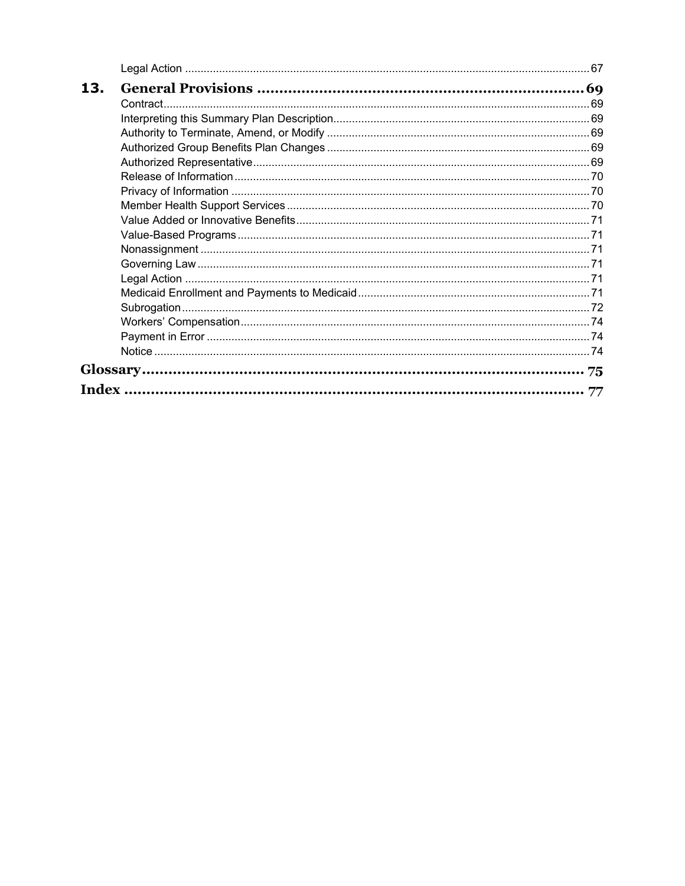| 13. |    |
|-----|----|
|     |    |
|     |    |
|     |    |
|     |    |
|     |    |
|     |    |
|     |    |
|     |    |
|     |    |
|     |    |
|     |    |
|     |    |
|     |    |
|     |    |
|     |    |
|     |    |
|     |    |
|     |    |
|     |    |
|     | 77 |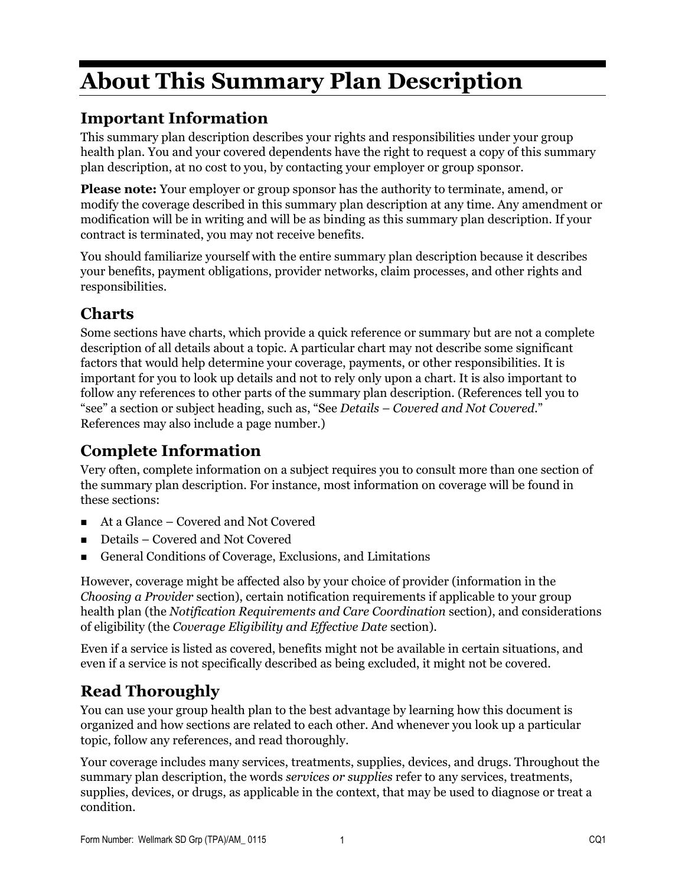# **About This Summary Plan Description**

# **Important Information**

This summary plan description describes your rights and responsibilities under your group health plan. You and your covered dependents have the right to request a copy of this summary plan description, at no cost to you, by contacting your employer or group sponsor.

**Please note:** Your employer or group sponsor has the authority to terminate, amend, or modify the coverage described in this summary plan description at any time. Any amendment or modification will be in writing and will be as binding as this summary plan description. If your contract is terminated, you may not receive benefits.

You should familiarize yourself with the entire summary plan description because it describes your benefits, payment obligations, provider networks, claim processes, and other rights and responsibilities.

## **Charts**

Some sections have charts, which provide a quick reference or summary but are not a complete description of all details about a topic. A particular chart may not describe some significant factors that would help determine your coverage, payments, or other responsibilities. It is important for you to look up details and not to rely only upon a chart. It is also important to follow any references to other parts of the summary plan description. (References tell you to "see" a section or subject heading, such as, "See *Details – Covered and Not Covered*." References may also include a page number.)

# **Complete Information**

Very often, complete information on a subject requires you to consult more than one section of the summary plan description. For instance, most information on coverage will be found in these sections:

- At a Glance Covered and Not Covered
- Details Covered and Not Covered
- General Conditions of Coverage, Exclusions, and Limitations

However, coverage might be affected also by your choice of provider (information in the *Choosing a Provider* section), certain notification requirements if applicable to your group health plan (the *Notification Requirements and Care Coordination* section), and considerations of eligibility (the *Coverage Eligibility and Effective Date* section).

Even if a service is listed as covered, benefits might not be available in certain situations, and even if a service is not specifically described as being excluded, it might not be covered.

# **Read Thoroughly**

You can use your group health plan to the best advantage by learning how this document is organized and how sections are related to each other. And whenever you look up a particular topic, follow any references, and read thoroughly.

Your coverage includes many services, treatments, supplies, devices, and drugs. Throughout the summary plan description, the words *services or supplies* refer to any services, treatments, supplies, devices, or drugs, as applicable in the context, that may be used to diagnose or treat a condition.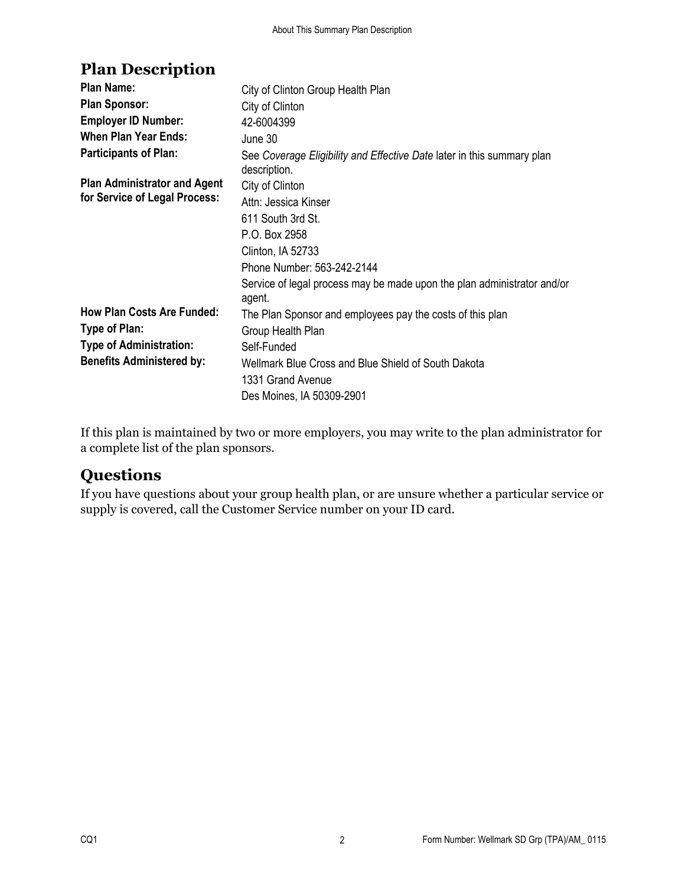# **Plan Description**

| <b>Plan Name:</b>                   | City of Clinton Group Health Plan                                                      |
|-------------------------------------|----------------------------------------------------------------------------------------|
| <b>Plan Sponsor:</b>                | City of Clinton                                                                        |
| <b>Employer ID Number:</b>          | 42-6004399                                                                             |
| <b>When Plan Year Ends:</b>         | June 30                                                                                |
| <b>Participants of Plan:</b>        | See Coverage Eligibility and Effective Date later in this summary plan<br>description. |
| <b>Plan Administrator and Agent</b> | City of Clinton                                                                        |
| for Service of Legal Process:       | Attn: Jessica Kinser                                                                   |
|                                     | 611 South 3rd St.                                                                      |
|                                     | P.O. Box 2958                                                                          |
|                                     | Clinton, IA 52733                                                                      |
|                                     | Phone Number: 563-242-2144                                                             |
|                                     | Service of legal process may be made upon the plan administrator and/or<br>agent.      |
| <b>How Plan Costs Are Funded:</b>   | The Plan Sponsor and employees pay the costs of this plan                              |
| Type of Plan:                       | Group Health Plan                                                                      |
| <b>Type of Administration:</b>      | Self-Funded                                                                            |
| <b>Benefits Administered by:</b>    | Wellmark Blue Cross and Blue Shield of South Dakota                                    |
|                                     | 1331 Grand Avenue                                                                      |
|                                     | Des Moines, IA 50309-2901                                                              |

If this plan is maintained by two or more employers, you may write to the plan administrator for a complete list of the plan sponsors.

### **Questions**

If you have questions about your group health plan, or are unsure whether a particular service or supply is covered, call the Customer Service number on your ID card.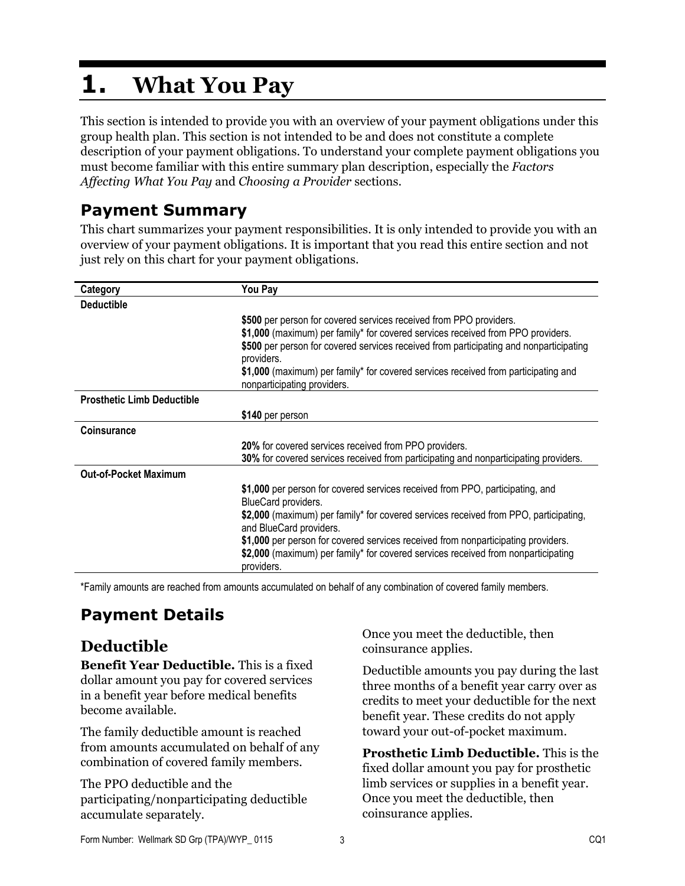# **1. What You Pay**

This section is intended to provide you with an overview of your payment obligations under this group health plan. This section is not intended to be and does not constitute a complete description of your payment obligations. To understand your complete payment obligations you must become familiar with this entire summary plan description, especially the *Factors Affecting What You Pay* and *Choosing a Provider* sections.

# **Payment Summary**

This chart summarizes your payment responsibilities. It is only intended to provide you with an overview of your payment obligations. It is important that you read this entire section and not just rely on this chart for your payment obligations.

| Category                          | You Pay                                                                                                                                                                                                                                                                                                                                                                            |
|-----------------------------------|------------------------------------------------------------------------------------------------------------------------------------------------------------------------------------------------------------------------------------------------------------------------------------------------------------------------------------------------------------------------------------|
| <b>Deductible</b>                 |                                                                                                                                                                                                                                                                                                                                                                                    |
|                                   | \$500 per person for covered services received from PPO providers.<br>\$1,000 (maximum) per family* for covered services received from PPO providers.<br>\$500 per person for covered services received from participating and nonparticipating<br>providers.<br>\$1,000 (maximum) per family* for covered services received from participating and<br>nonparticipating providers. |
| <b>Prosthetic Limb Deductible</b> |                                                                                                                                                                                                                                                                                                                                                                                    |
|                                   | \$140 per person                                                                                                                                                                                                                                                                                                                                                                   |
| <b>Coinsurance</b>                |                                                                                                                                                                                                                                                                                                                                                                                    |
|                                   | 20% for covered services received from PPO providers.                                                                                                                                                                                                                                                                                                                              |
|                                   | 30% for covered services received from participating and nonparticipating providers.                                                                                                                                                                                                                                                                                               |
| <b>Out-of-Pocket Maximum</b>      |                                                                                                                                                                                                                                                                                                                                                                                    |
|                                   | \$1,000 per person for covered services received from PPO, participating, and<br>BlueCard providers.<br>\$2,000 (maximum) per family* for covered services received from PPO, participating,<br>and BlueCard providers.                                                                                                                                                            |
|                                   | \$1,000 per person for covered services received from nonparticipating providers.<br>\$2,000 (maximum) per family* for covered services received from nonparticipating<br>providers.                                                                                                                                                                                               |

\*Family amounts are reached from amounts accumulated on behalf of any combination of covered family members.

# **Payment Details**

# **Deductible**

**Benefit Year Deductible.** This is a fixed dollar amount you pay for covered services in a benefit year before medical benefits become available.

The family deductible amount is reached from amounts accumulated on behalf of any combination of covered family members.

The PPO deductible and the participating/nonparticipating deductible accumulate separately.

Once you meet the deductible, then coinsurance applies.

Deductible amounts you pay during the last three months of a benefit year carry over as credits to meet your deductible for the next benefit year. These credits do not apply toward your out-of-pocket maximum.

**Prosthetic Limb Deductible.** This is the fixed dollar amount you pay for prosthetic limb services or supplies in a benefit year. Once you meet the deductible, then coinsurance applies.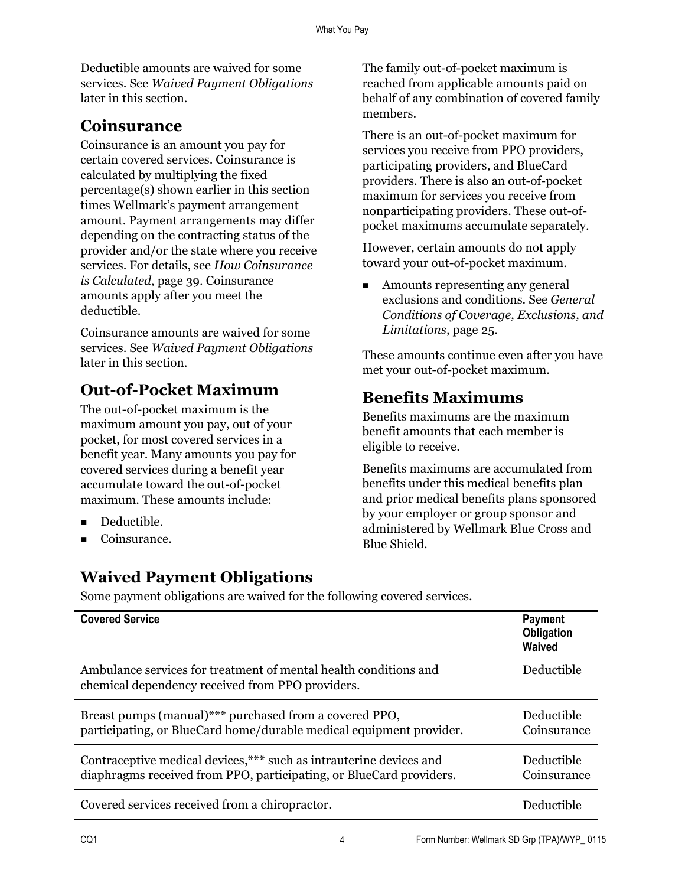Deductible amounts are waived for some services. See *Waived Payment Obligations* later in this section.

## **Coinsurance**

Coinsurance is an amount you pay for certain covered services. Coinsurance is calculated by multiplying the fixed percentage(s) shown earlier in this section times Wellmark's payment arrangement amount. Payment arrangements may differ depending on the contracting status of the provider and/or the state where you receive services. For details, see *How Coinsurance is Calculated*, page 39. Coinsurance amounts apply after you meet the deductible.

Coinsurance amounts are waived for some services. See *Waived Payment Obligations* later in this section.

## **Out-of-Pocket Maximum**

The out-of-pocket maximum is the maximum amount you pay, out of your pocket, for most covered services in a benefit year. Many amounts you pay for covered services during a benefit year accumulate toward the out-of-pocket maximum. These amounts include:

- Deductible.
- Coinsurance.

# **Waived Payment Obligations**

The family out-of-pocket maximum is reached from applicable amounts paid on behalf of any combination of covered family members.

There is an out-of-pocket maximum for services you receive from PPO providers, participating providers, and BlueCard providers. There is also an out-of-pocket maximum for services you receive from nonparticipating providers. These out-ofpocket maximums accumulate separately.

However, certain amounts do not apply toward your out-of-pocket maximum.

**Amounts representing any general** exclusions and conditions. See *General Conditions of Coverage, Exclusions, and Limitations*, page 25.

These amounts continue even after you have met your out-of-pocket maximum.

# **Benefits Maximums**

Benefits maximums are the maximum benefit amounts that each member is eligible to receive.

Benefits maximums are accumulated from benefits under this medical benefits plan and prior medical benefits plans sponsored by your employer or group sponsor and administered by Wellmark Blue Cross and Blue Shield.

Some payment obligations are waived for the following covered services.

| <b>Covered Service</b>                                                                                                                     | <b>Payment</b><br>Obligation<br>Waived |
|--------------------------------------------------------------------------------------------------------------------------------------------|----------------------------------------|
| Ambulance services for treatment of mental health conditions and<br>chemical dependency received from PPO providers.                       | Deductible                             |
| Breast pumps (manual)*** purchased from a covered PPO,<br>participating, or BlueCard home/durable medical equipment provider.              | Deductible<br>Coinsurance              |
| Contraceptive medical devices, *** such as intrauterine devices and<br>diaphragms received from PPO, participating, or BlueCard providers. | Deductible<br>Coinsurance              |
| Covered services received from a chiropractor.                                                                                             | Deductible                             |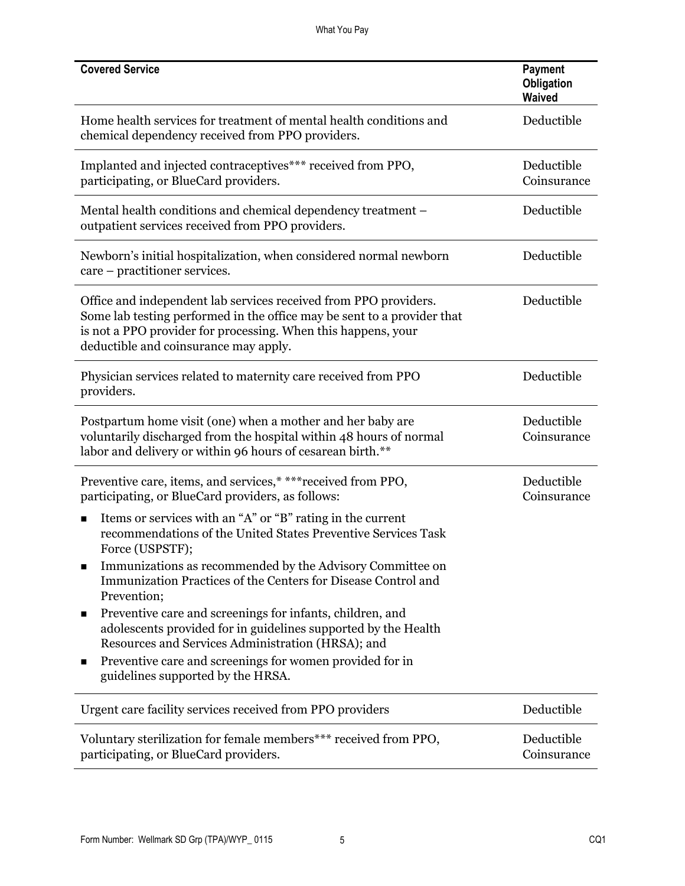What You Pay

| <b>Covered Service</b>                                                                                                                                                                                                                                | Payment<br>Obligation<br>Waived |
|-------------------------------------------------------------------------------------------------------------------------------------------------------------------------------------------------------------------------------------------------------|---------------------------------|
| Home health services for treatment of mental health conditions and<br>chemical dependency received from PPO providers.                                                                                                                                | Deductible                      |
| Implanted and injected contraceptives*** received from PPO,<br>participating, or BlueCard providers.                                                                                                                                                  | Deductible<br>Coinsurance       |
| Mental health conditions and chemical dependency treatment -<br>outpatient services received from PPO providers.                                                                                                                                      | Deductible                      |
| Newborn's initial hospitalization, when considered normal newborn<br>care – practitioner services.                                                                                                                                                    | Deductible                      |
| Office and independent lab services received from PPO providers.<br>Some lab testing performed in the office may be sent to a provider that<br>is not a PPO provider for processing. When this happens, your<br>deductible and coinsurance may apply. | Deductible                      |
| Physician services related to maternity care received from PPO<br>providers.                                                                                                                                                                          | Deductible                      |
| Postpartum home visit (one) when a mother and her baby are<br>voluntarily discharged from the hospital within 48 hours of normal<br>labor and delivery or within 96 hours of cesarean birth.**                                                        | Deductible<br>Coinsurance       |
| Preventive care, items, and services,* *** received from PPO,<br>participating, or BlueCard providers, as follows:                                                                                                                                    | Deductible<br>Coinsurance       |
| Items or services with an "A" or "B" rating in the current<br>п<br>recommendations of the United States Preventive Services Task<br>Force (USPSTF);                                                                                                   |                                 |
| Immunizations as recommended by the Advisory Committee on<br>Immunization Practices of the Centers for Disease Control and<br>Prevention;                                                                                                             |                                 |
| Preventive care and screenings for infants, children, and<br>■<br>adolescents provided for in guidelines supported by the Health<br>Resources and Services Administration (HRSA); and                                                                 |                                 |
| Preventive care and screenings for women provided for in<br>■<br>guidelines supported by the HRSA.                                                                                                                                                    |                                 |
| Urgent care facility services received from PPO providers                                                                                                                                                                                             | Deductible                      |
| Voluntary sterilization for female members*** received from PPO,<br>participating, or BlueCard providers.                                                                                                                                             | Deductible<br>Coinsurance       |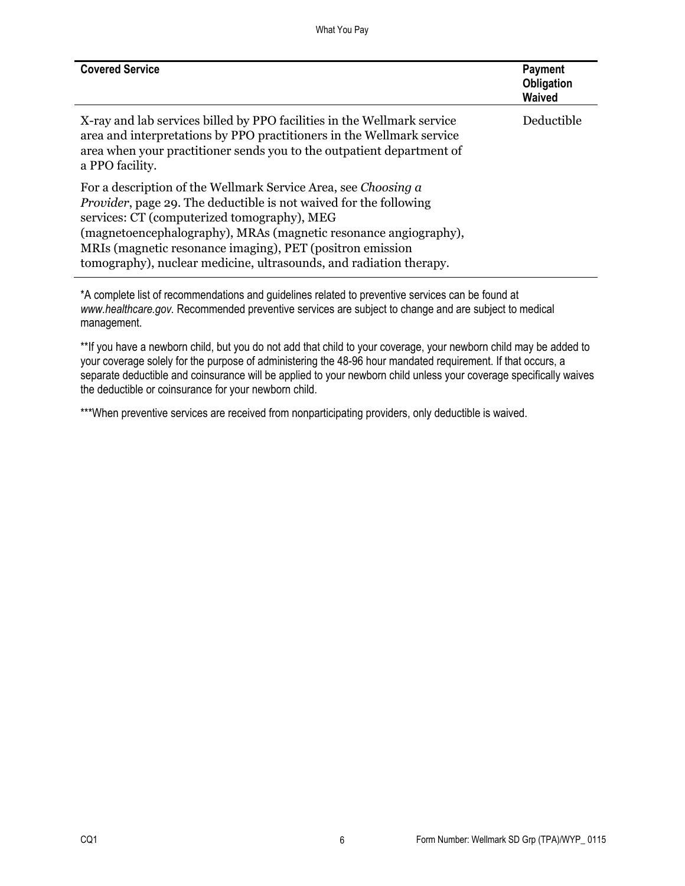What You Pay

| <b>Covered Service</b>                                                                                                                                                                                                                                                                                                                                                                            | <b>Payment</b><br>Obligation<br><b>Waived</b> |
|---------------------------------------------------------------------------------------------------------------------------------------------------------------------------------------------------------------------------------------------------------------------------------------------------------------------------------------------------------------------------------------------------|-----------------------------------------------|
| X-ray and lab services billed by PPO facilities in the Wellmark service<br>area and interpretations by PPO practitioners in the Wellmark service<br>area when your practitioner sends you to the outpatient department of<br>a PPO facility.                                                                                                                                                      | Deductible                                    |
| For a description of the Wellmark Service Area, see Choosing a<br><i>Provider</i> , page 29. The deductible is not waived for the following<br>services: CT (computerized tomography), MEG<br>(magnetoencephalography), MRAs (magnetic resonance angiography),<br>MRIs (magnetic resonance imaging), PET (positron emission<br>tomography), nuclear medicine, ultrasounds, and radiation therapy. |                                               |

\*A complete list of recommendations and guidelines related to preventive services can be found at *www.healthcare.gov.* Recommended preventive services are subject to change and are subject to medical management.

\*\*If you have a newborn child, but you do not add that child to your coverage, your newborn child may be added to your coverage solely for the purpose of administering the 48-96 hour mandated requirement. If that occurs, a separate deductible and coinsurance will be applied to your newborn child unless your coverage specifically waives the deductible or coinsurance for your newborn child.

\*\*\*When preventive services are received from nonparticipating providers, only deductible is waived.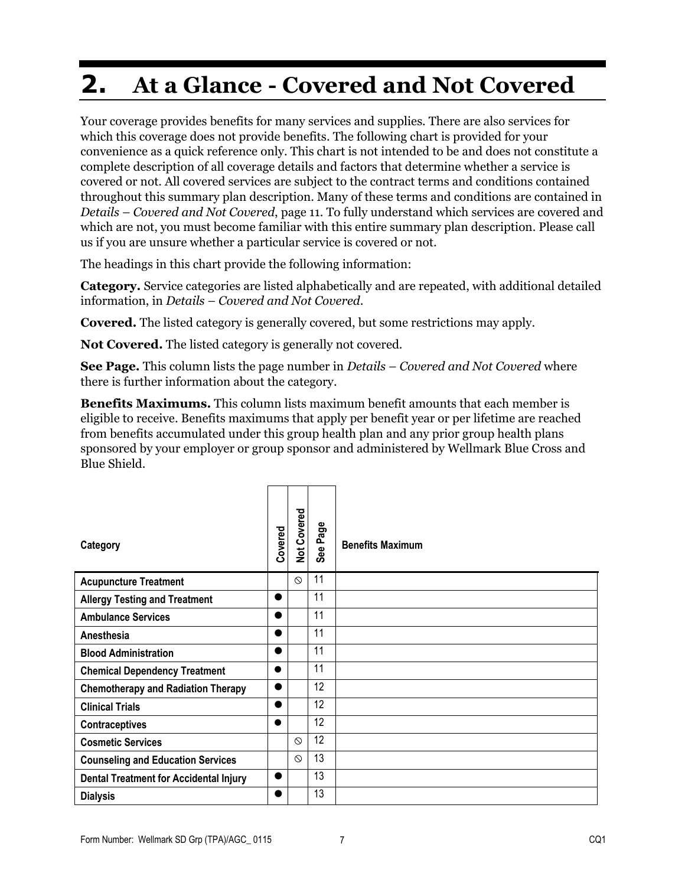# **2. At a Glance - Covered and Not Covered**

Your coverage provides benefits for many services and supplies. There are also services for which this coverage does not provide benefits. The following chart is provided for your convenience as a quick reference only. This chart is not intended to be and does not constitute a complete description of all coverage details and factors that determine whether a service is covered or not. All covered services are subject to the contract terms and conditions contained throughout this summary plan description. Many of these terms and conditions are contained in *Details – Covered and Not Covered*, page 11. To fully understand which services are covered and which are not, you must become familiar with this entire summary plan description. Please call us if you are unsure whether a particular service is covered or not.

The headings in this chart provide the following information:

**Category.** Service categories are listed alphabetically and are repeated, with additional detailed information, in *Details – Covered and Not Covered*.

**Covered.** The listed category is generally covered, but some restrictions may apply.

**Not Covered.** The listed category is generally not covered.

**See Page.** This column lists the page number in *Details – Covered and Not Covered* where there is further information about the category.

**Benefits Maximums.** This column lists maximum benefit amounts that each member is eligible to receive. Benefits maximums that apply per benefit year or per lifetime are reached from benefits accumulated under this group health plan and any prior group health plans sponsored by your employer or group sponsor and administered by Wellmark Blue Cross and Blue Shield.

| Category                                      | Covered   | Not Covered | Φ<br>Pag<br>See | <b>Benefits Maximum</b> |
|-----------------------------------------------|-----------|-------------|-----------------|-------------------------|
| <b>Acupuncture Treatment</b>                  |           | $\circ$     | 11              |                         |
| <b>Allergy Testing and Treatment</b>          | $\bullet$ |             | 11              |                         |
| <b>Ambulance Services</b>                     |           |             | 11              |                         |
| Anesthesia                                    |           |             | 11              |                         |
| <b>Blood Administration</b>                   | ●         |             | 11              |                         |
| <b>Chemical Dependency Treatment</b>          | ●         |             | 11              |                         |
| <b>Chemotherapy and Radiation Therapy</b>     | $\bullet$ |             | 12              |                         |
| <b>Clinical Trials</b>                        |           |             | 12              |                         |
| <b>Contraceptives</b>                         | $\bullet$ |             | 12              |                         |
| <b>Cosmetic Services</b>                      |           | $\circ$     | 12              |                         |
| <b>Counseling and Education Services</b>      |           | $\circ$     | 13              |                         |
| <b>Dental Treatment for Accidental Injury</b> | $\bullet$ |             | 13              |                         |
| <b>Dialysis</b>                               |           |             | 13              |                         |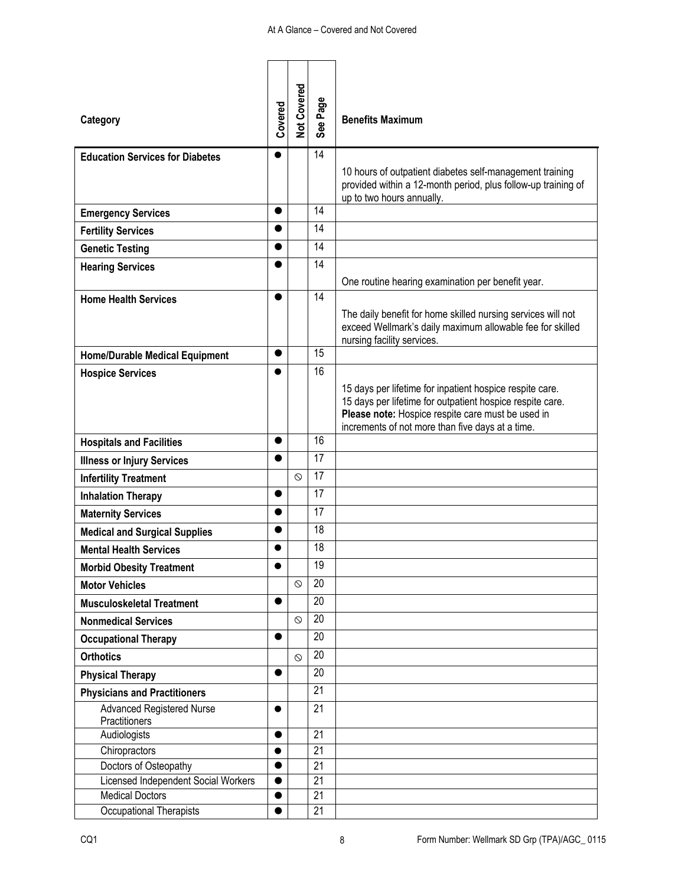#### At A Glance – Covered and Not Covered

| Category                                                     | Covered        | Not Covered | See Page        | <b>Benefits Maximum</b>                                                                                                                                                                                                        |
|--------------------------------------------------------------|----------------|-------------|-----------------|--------------------------------------------------------------------------------------------------------------------------------------------------------------------------------------------------------------------------------|
| <b>Education Services for Diabetes</b>                       | $\bullet$      |             | 14              |                                                                                                                                                                                                                                |
|                                                              |                |             |                 | 10 hours of outpatient diabetes self-management training<br>provided within a 12-month period, plus follow-up training of<br>up to two hours annually.                                                                         |
| <b>Emergency Services</b>                                    |                |             | 14              |                                                                                                                                                                                                                                |
| <b>Fertility Services</b>                                    | ●              |             | 14              |                                                                                                                                                                                                                                |
| <b>Genetic Testing</b>                                       |                |             | 14              |                                                                                                                                                                                                                                |
| <b>Hearing Services</b>                                      |                |             | 14              |                                                                                                                                                                                                                                |
|                                                              |                |             |                 | One routine hearing examination per benefit year.                                                                                                                                                                              |
| <b>Home Health Services</b>                                  |                |             | 14              |                                                                                                                                                                                                                                |
|                                                              |                |             |                 | The daily benefit for home skilled nursing services will not<br>exceed Wellmark's daily maximum allowable fee for skilled<br>nursing facility services.                                                                        |
| <b>Home/Durable Medical Equipment</b>                        |                |             | 15              |                                                                                                                                                                                                                                |
| <b>Hospice Services</b>                                      |                |             | 16              |                                                                                                                                                                                                                                |
|                                                              |                |             |                 | 15 days per lifetime for inpatient hospice respite care.<br>15 days per lifetime for outpatient hospice respite care.<br>Please note: Hospice respite care must be used in<br>increments of not more than five days at a time. |
| <b>Hospitals and Facilities</b>                              |                |             | 16              |                                                                                                                                                                                                                                |
| <b>Illness or Injury Services</b>                            |                |             | 17              |                                                                                                                                                                                                                                |
| <b>Infertility Treatment</b>                                 |                | $\circ$     | 17              |                                                                                                                                                                                                                                |
| <b>Inhalation Therapy</b>                                    |                |             | 17              |                                                                                                                                                                                                                                |
| <b>Maternity Services</b>                                    |                |             | 17              |                                                                                                                                                                                                                                |
| <b>Medical and Surgical Supplies</b>                         |                |             | 18              |                                                                                                                                                                                                                                |
| <b>Mental Health Services</b>                                |                |             | 18              |                                                                                                                                                                                                                                |
| <b>Morbid Obesity Treatment</b>                              |                |             | 19              |                                                                                                                                                                                                                                |
| <b>Motor Vehicles</b>                                        |                | $\circ$     | 20              |                                                                                                                                                                                                                                |
| <b>Musculoskeletal Treatment</b>                             | 0              |             | 20              |                                                                                                                                                                                                                                |
| <b>Nonmedical Services</b>                                   |                | $\odot$     | 20              |                                                                                                                                                                                                                                |
| <b>Occupational Therapy</b>                                  |                |             | 20              |                                                                                                                                                                                                                                |
| <b>Orthotics</b>                                             |                | $\circ$     | 20              |                                                                                                                                                                                                                                |
| <b>Physical Therapy</b>                                      | ●              |             | 20              |                                                                                                                                                                                                                                |
| <b>Physicians and Practitioners</b>                          |                |             | 21              |                                                                                                                                                                                                                                |
| <b>Advanced Registered Nurse</b>                             |                |             | 21              |                                                                                                                                                                                                                                |
| Practitioners                                                |                |             |                 |                                                                                                                                                                                                                                |
| Audiologists                                                 |                |             | 21              |                                                                                                                                                                                                                                |
| Chiropractors                                                | $\bullet$      |             | 21              |                                                                                                                                                                                                                                |
| Doctors of Osteopathy<br>Licensed Independent Social Workers | 0<br>$\bullet$ |             | 21<br>21        |                                                                                                                                                                                                                                |
| <b>Medical Doctors</b>                                       |                |             | $\overline{21}$ |                                                                                                                                                                                                                                |
| Occupational Therapists                                      |                |             | $\overline{21}$ |                                                                                                                                                                                                                                |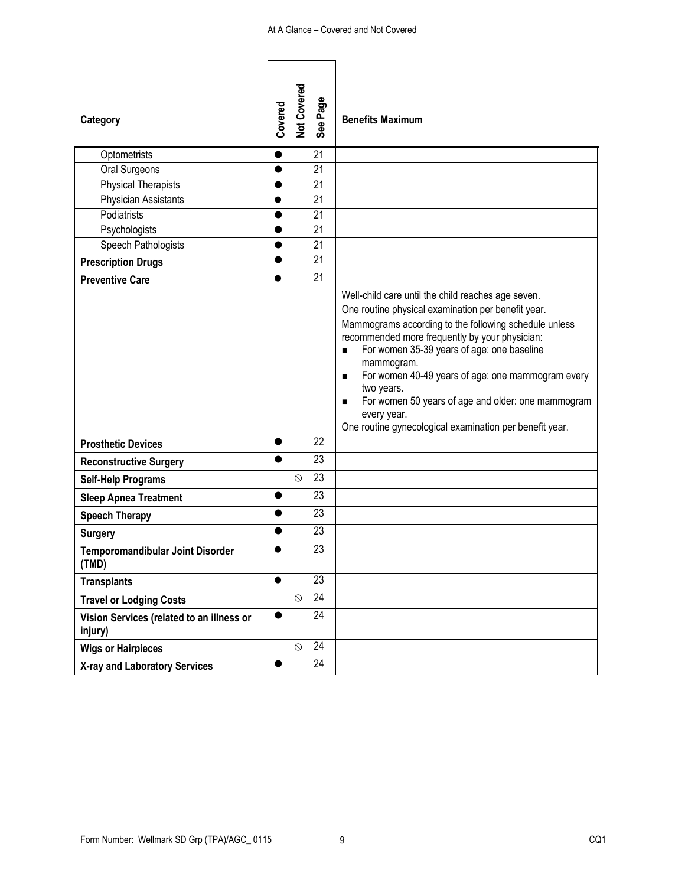| Category<br>Optometrists                             | Covered<br>$\bullet$ | Not Covered | See Page<br>21  | <b>Benefits Maximum</b>                                                                                                                                                                                                                                                                                                                                                                                                                                                                                                     |
|------------------------------------------------------|----------------------|-------------|-----------------|-----------------------------------------------------------------------------------------------------------------------------------------------------------------------------------------------------------------------------------------------------------------------------------------------------------------------------------------------------------------------------------------------------------------------------------------------------------------------------------------------------------------------------|
| Oral Surgeons                                        |                      |             | 21              |                                                                                                                                                                                                                                                                                                                                                                                                                                                                                                                             |
| <b>Physical Therapists</b>                           |                      |             | 21              |                                                                                                                                                                                                                                                                                                                                                                                                                                                                                                                             |
| Physician Assistants                                 |                      |             | 21              |                                                                                                                                                                                                                                                                                                                                                                                                                                                                                                                             |
| Podiatrists                                          | ●                    |             | 21              |                                                                                                                                                                                                                                                                                                                                                                                                                                                                                                                             |
| Psychologists                                        |                      |             | 21              |                                                                                                                                                                                                                                                                                                                                                                                                                                                                                                                             |
| Speech Pathologists                                  |                      |             | 21              |                                                                                                                                                                                                                                                                                                                                                                                                                                                                                                                             |
| <b>Prescription Drugs</b>                            |                      |             | 21              |                                                                                                                                                                                                                                                                                                                                                                                                                                                                                                                             |
| <b>Preventive Care</b>                               |                      |             | 21              | Well-child care until the child reaches age seven.<br>One routine physical examination per benefit year.<br>Mammograms according to the following schedule unless<br>recommended more frequently by your physician:<br>For women 35-39 years of age: one baseline<br>$\blacksquare$<br>mammogram.<br>For women 40-49 years of age: one mammogram every<br>$\blacksquare$<br>two years.<br>For women 50 years of age and older: one mammogram<br>п<br>every year.<br>One routine gynecological examination per benefit year. |
| <b>Prosthetic Devices</b>                            | $\bullet$            |             | 22              |                                                                                                                                                                                                                                                                                                                                                                                                                                                                                                                             |
| <b>Reconstructive Surgery</b>                        |                      |             | 23              |                                                                                                                                                                                                                                                                                                                                                                                                                                                                                                                             |
| <b>Self-Help Programs</b>                            |                      | $\circ$     | 23              |                                                                                                                                                                                                                                                                                                                                                                                                                                                                                                                             |
| <b>Sleep Apnea Treatment</b>                         | $\bullet$            |             | 23              |                                                                                                                                                                                                                                                                                                                                                                                                                                                                                                                             |
| <b>Speech Therapy</b>                                |                      |             | 23              |                                                                                                                                                                                                                                                                                                                                                                                                                                                                                                                             |
| <b>Surgery</b>                                       |                      |             | 23              |                                                                                                                                                                                                                                                                                                                                                                                                                                                                                                                             |
| Temporomandibular Joint Disorder<br>(TMD)            |                      |             | 23              |                                                                                                                                                                                                                                                                                                                                                                                                                                                                                                                             |
| <b>Transplants</b>                                   | $\bullet$            |             | $\overline{23}$ |                                                                                                                                                                                                                                                                                                                                                                                                                                                                                                                             |
| <b>Travel or Lodging Costs</b>                       |                      | $\odot$     | 24              |                                                                                                                                                                                                                                                                                                                                                                                                                                                                                                                             |
| Vision Services (related to an illness or<br>injury) |                      |             | 24              |                                                                                                                                                                                                                                                                                                                                                                                                                                                                                                                             |
| <b>Wigs or Hairpieces</b>                            |                      | $\circ$     | 24              |                                                                                                                                                                                                                                                                                                                                                                                                                                                                                                                             |
| X-ray and Laboratory Services                        | $\bullet$            |             | 24              |                                                                                                                                                                                                                                                                                                                                                                                                                                                                                                                             |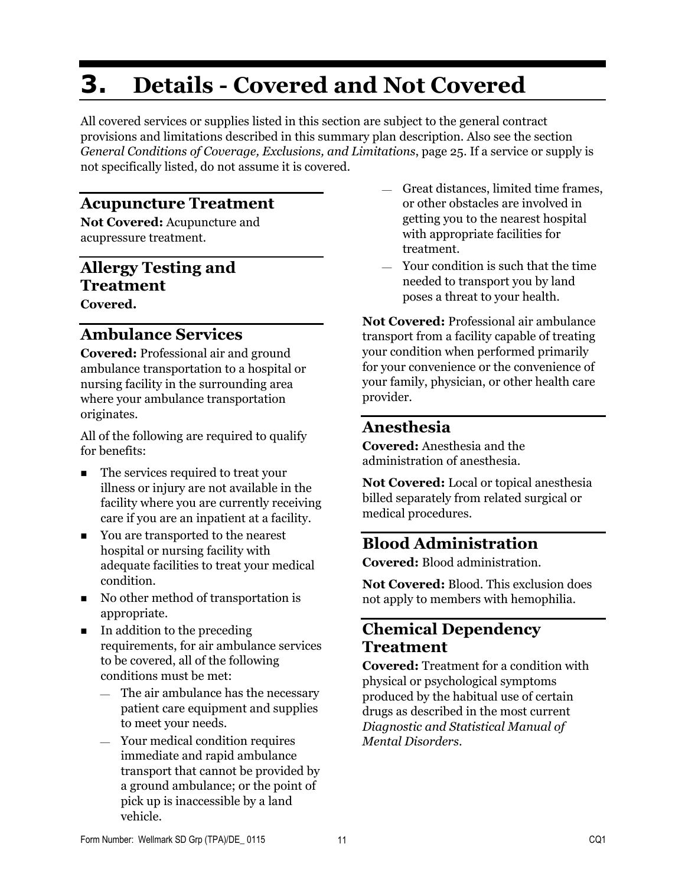# **3. Details - Covered and Not Covered**

All covered services or supplies listed in this section are subject to the general contract provisions and limitations described in this summary plan description. Also see the section *General Conditions of Coverage, Exclusions, and Limitations*, page 25. If a service or supply is not specifically listed, do not assume it is covered.

### **Acupuncture Treatment**

**Not Covered:** Acupuncture and acupressure treatment.

# **Allergy Testing and Treatment**

**Covered.** 

### **Ambulance Services**

**Covered:** Professional air and ground ambulance transportation to a hospital or nursing facility in the surrounding area where your ambulance transportation originates.

All of the following are required to qualify for benefits:

- The services required to treat your illness or injury are not available in the facility where you are currently receiving care if you are an inpatient at a facility.
- You are transported to the nearest hospital or nursing facility with adequate facilities to treat your medical condition.
- No other method of transportation is appropriate.
- $\blacksquare$  In addition to the preceding requirements, for air ambulance services to be covered, all of the following conditions must be met:
	- $-$  The air ambulance has the necessary patient care equipment and supplies to meet your needs.
	- Your medical condition requires immediate and rapid ambulance transport that cannot be provided by a ground ambulance; or the point of pick up is inaccessible by a land vehicle.
- $-$  Great distances, limited time frames, or other obstacles are involved in getting you to the nearest hospital with appropriate facilities for treatment.
- Your condition is such that the time needed to transport you by land poses a threat to your health.

**Not Covered:** Professional air ambulance transport from a facility capable of treating your condition when performed primarily for your convenience or the convenience of your family, physician, or other health care provider.

### **Anesthesia**

**Covered:** Anesthesia and the administration of anesthesia.

**Not Covered:** Local or topical anesthesia billed separately from related surgical or medical procedures.

### **Blood Administration**

**Covered:** Blood administration.

**Not Covered:** Blood. This exclusion does not apply to members with hemophilia.

### **Chemical Dependency Treatment**

**Covered:** Treatment for a condition with physical or psychological symptoms produced by the habitual use of certain drugs as described in the most current *Diagnostic and Statistical Manual of Mental Disorders*.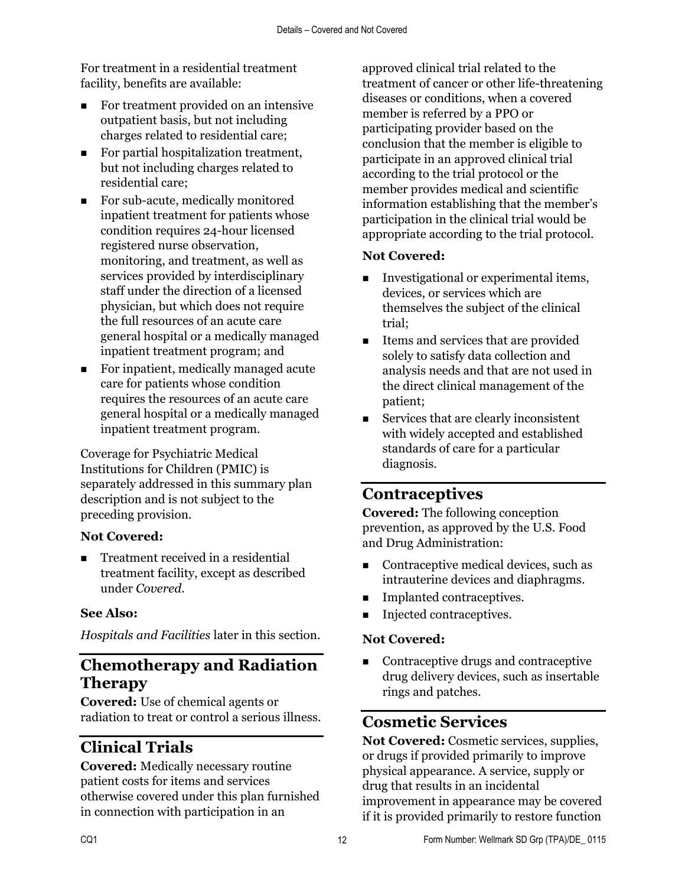For treatment in a residential treatment facility, benefits are available:

- For treatment provided on an intensive outpatient basis, but not including charges related to residential care;
- For partial hospitalization treatment, but not including charges related to residential care;
- For sub-acute, medically monitored inpatient treatment for patients whose condition requires 24-hour licensed registered nurse observation, monitoring, and treatment, as well as services provided by interdisciplinary staff under the direction of a licensed physician, but which does not require the full resources of an acute care general hospital or a medically managed inpatient treatment program; and
- For inpatient, medically managed acute care for patients whose condition requires the resources of an acute care general hospital or a medically managed inpatient treatment program.

Coverage for Psychiatric Medical Institutions for Children (PMIC) is separately addressed in this summary plan description and is not subject to the preceding provision.

### **Not Covered:**

 Treatment received in a residential treatment facility, except as described under *Covered*.

#### **See Also:**

*Hospitals and Facilities* later in this section.

### **Chemotherapy and Radiation Therapy**

**Covered:** Use of chemical agents or radiation to treat or control a serious illness.

# **Clinical Trials**

**Covered:** Medically necessary routine patient costs for items and services otherwise covered under this plan furnished in connection with participation in an

approved clinical trial related to the treatment of cancer or other life-threatening diseases or conditions, when a covered member is referred by a PPO or participating provider based on the conclusion that the member is eligible to participate in an approved clinical trial according to the trial protocol or the member provides medical and scientific information establishing that the member's participation in the clinical trial would be appropriate according to the trial protocol.

#### **Not Covered:**

- **Investigational or experimental items,** devices, or services which are themselves the subject of the clinical trial;
- Items and services that are provided solely to satisfy data collection and analysis needs and that are not used in the direct clinical management of the patient;
- Services that are clearly inconsistent with widely accepted and established standards of care for a particular diagnosis.

# **Contraceptives**

**Covered:** The following conception prevention, as approved by the U.S. Food and Drug Administration:

- Contraceptive medical devices, such as intrauterine devices and diaphragms.
- **Implanted contraceptives.**
- **Injected contraceptives.**

### **Not Covered:**

■ Contraceptive drugs and contraceptive drug delivery devices, such as insertable rings and patches.

### **Cosmetic Services**

**Not Covered:** Cosmetic services, supplies, or drugs if provided primarily to improve physical appearance. A service, supply or drug that results in an incidental improvement in appearance may be covered if it is provided primarily to restore function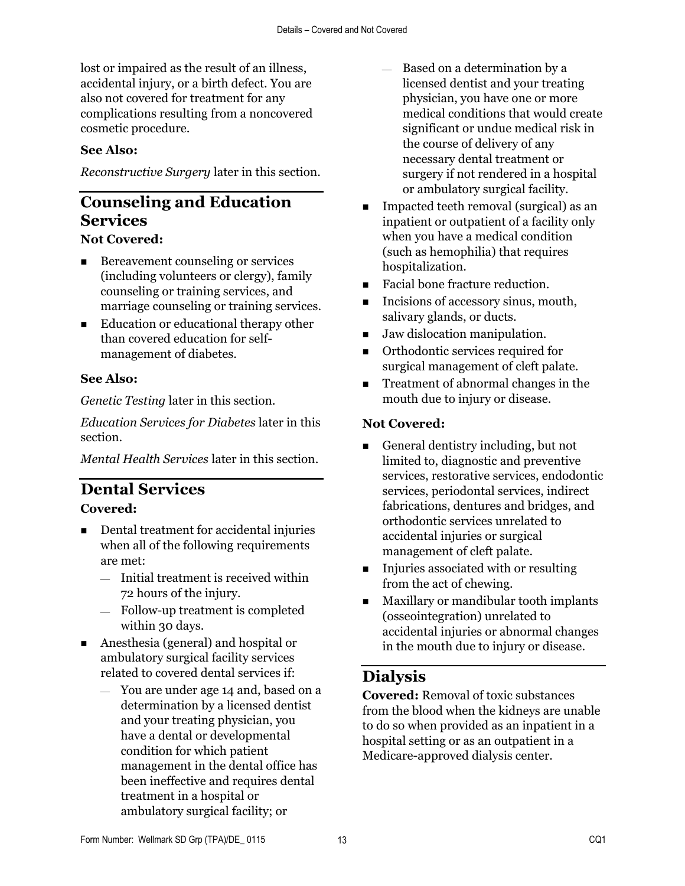lost or impaired as the result of an illness, accidental injury, or a birth defect. You are also not covered for treatment for any complications resulting from a noncovered cosmetic procedure.

### **See Also:**

*Reconstructive Surgery* later in this section.

# **Counseling and Education Services**

#### **Not Covered:**

- Bereavement counseling or services (including volunteers or clergy), family counseling or training services, and marriage counseling or training services.
- Education or educational therapy other than covered education for selfmanagement of diabetes.

### **See Also:**

*Genetic Testing* later in this section.

*Education Services for Diabetes* later in this section.

*Mental Health Services* later in this section.

### **Dental Services Covered:**

- Dental treatment for accidental injuries when all of the following requirements are met:
	- $-$  Initial treatment is received within 72 hours of the injury.
	- Follow-up treatment is completed within 30 days.
- Anesthesia (general) and hospital or ambulatory surgical facility services related to covered dental services if:
	- You are under age 14 and, based on a determination by a licensed dentist and your treating physician, you have a dental or developmental condition for which patient management in the dental office has been ineffective and requires dental treatment in a hospital or ambulatory surgical facility; or
- Based on a determination by a licensed dentist and your treating physician, you have one or more medical conditions that would create significant or undue medical risk in the course of delivery of any necessary dental treatment or surgery if not rendered in a hospital or ambulatory surgical facility.
- **IMPACTED 1** Impacted teeth removal (surgical) as an inpatient or outpatient of a facility only when you have a medical condition (such as hemophilia) that requires hospitalization.
- Facial bone fracture reduction.
- Incisions of accessory sinus, mouth, salivary glands, or ducts.
- Jaw dislocation manipulation.
- Orthodontic services required for surgical management of cleft palate.
- Treatment of abnormal changes in the mouth due to injury or disease.

### **Not Covered:**

- General dentistry including, but not limited to, diagnostic and preventive services, restorative services, endodontic services, periodontal services, indirect fabrications, dentures and bridges, and orthodontic services unrelated to accidental injuries or surgical management of cleft palate.
- Injuries associated with or resulting from the act of chewing.
- **Maxillary or mandibular tooth implants** (osseointegration) unrelated to accidental injuries or abnormal changes in the mouth due to injury or disease.

# **Dialysis**

**Covered:** Removal of toxic substances from the blood when the kidneys are unable to do so when provided as an inpatient in a hospital setting or as an outpatient in a Medicare-approved dialysis center.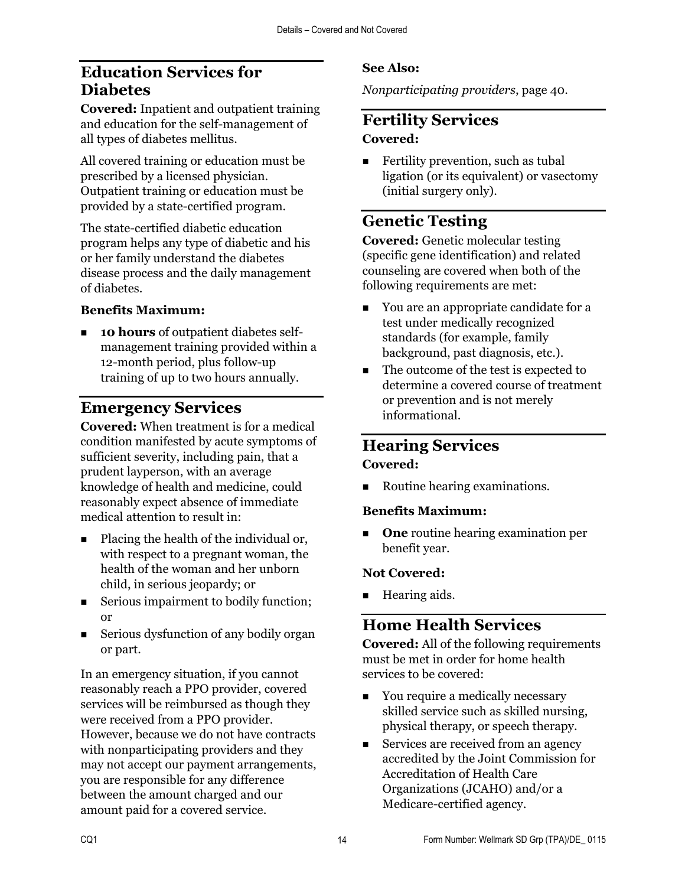# **Education Services for Diabetes**

**Covered:** Inpatient and outpatient training and education for the self-management of all types of diabetes mellitus.

All covered training or education must be prescribed by a licensed physician. Outpatient training or education must be provided by a state-certified program.

The state-certified diabetic education program helps any type of diabetic and his or her family understand the diabetes disease process and the daily management of diabetes.

#### **Benefits Maximum:**

**10 hours** of outpatient diabetes selfmanagement training provided within a 12-month period, plus follow-up training of up to two hours annually.

## **Emergency Services**

**Covered:** When treatment is for a medical condition manifested by acute symptoms of sufficient severity, including pain, that a prudent layperson, with an average knowledge of health and medicine, could reasonably expect absence of immediate medical attention to result in:

- Placing the health of the individual or, with respect to a pregnant woman, the health of the woman and her unborn child, in serious jeopardy; or
- Serious impairment to bodily function; or
- Serious dysfunction of any bodily organ or part.

In an emergency situation, if you cannot reasonably reach a PPO provider, covered services will be reimbursed as though they were received from a PPO provider. However, because we do not have contracts with nonparticipating providers and they may not accept our payment arrangements, you are responsible for any difference between the amount charged and our amount paid for a covered service.

### **See Also:**

*Nonparticipating providers*, page 40.

### **Fertility Services Covered:**

Fertility prevention, such as tubal ligation (or its equivalent) or vasectomy (initial surgery only).

### **Genetic Testing**

**Covered:** Genetic molecular testing (specific gene identification) and related counseling are covered when both of the following requirements are met:

- You are an appropriate candidate for a test under medically recognized standards (for example, family background, past diagnosis, etc.).
- The outcome of the test is expected to determine a covered course of treatment or prevention and is not merely informational.

# **Hearing Services**

#### **Covered:**

■ Routine hearing examinations.

#### **Benefits Maximum:**

**One** routine hearing examination per benefit year.

#### **Not Covered:**

■ Hearing aids.

### **Home Health Services**

**Covered:** All of the following requirements must be met in order for home health services to be covered:

- You require a medically necessary skilled service such as skilled nursing, physical therapy, or speech therapy.
- Services are received from an agency accredited by the Joint Commission for Accreditation of Health Care Organizations (JCAHO) and/or a Medicare-certified agency.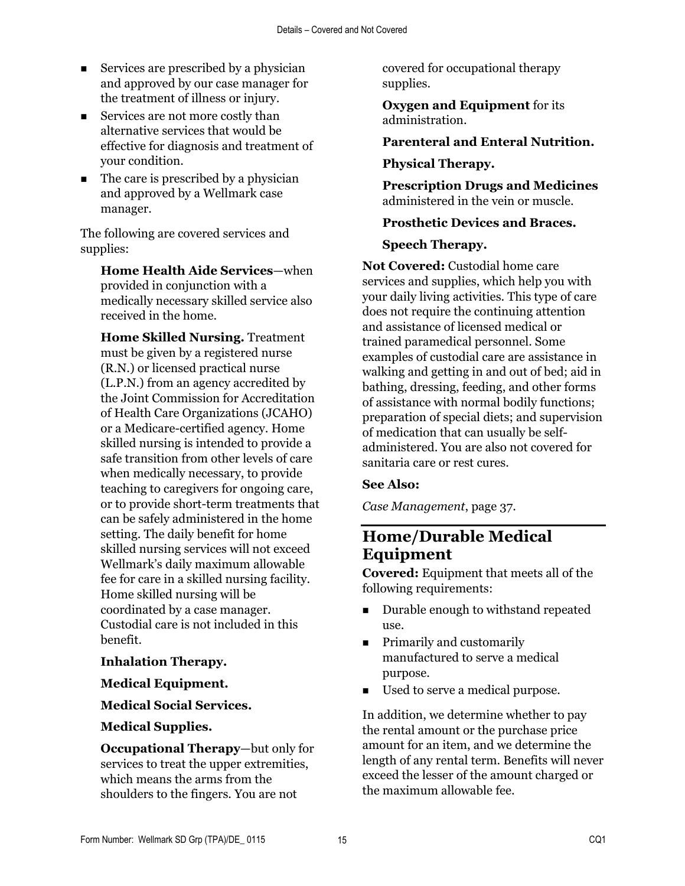- Services are prescribed by a physician and approved by our case manager for the treatment of illness or injury.
- Services are not more costly than alternative services that would be effective for diagnosis and treatment of your condition.
- The care is prescribed by a physician and approved by a Wellmark case manager.

The following are covered services and supplies:

**Home Health Aide Services**—when provided in conjunction with a medically necessary skilled service also received in the home.

**Home Skilled Nursing.** Treatment must be given by a registered nurse (R.N.) or licensed practical nurse (L.P.N.) from an agency accredited by the Joint Commission for Accreditation of Health Care Organizations (JCAHO) or a Medicare-certified agency. Home skilled nursing is intended to provide a safe transition from other levels of care when medically necessary, to provide teaching to caregivers for ongoing care, or to provide short-term treatments that can be safely administered in the home setting. The daily benefit for home skilled nursing services will not exceed Wellmark's daily maximum allowable fee for care in a skilled nursing facility. Home skilled nursing will be coordinated by a case manager. Custodial care is not included in this benefit.

#### **Inhalation Therapy.**

#### **Medical Equipment.**

#### **Medical Social Services.**

#### **Medical Supplies.**

**Occupational Therapy**—but only for services to treat the upper extremities, which means the arms from the shoulders to the fingers. You are not

covered for occupational therapy supplies.

**Oxygen and Equipment** for its administration.

#### **Parenteral and Enteral Nutrition.**

#### **Physical Therapy.**

**Prescription Drugs and Medicines** administered in the vein or muscle.

#### **Prosthetic Devices and Braces.**

#### **Speech Therapy.**

**Not Covered:** Custodial home care services and supplies, which help you with your daily living activities. This type of care does not require the continuing attention and assistance of licensed medical or trained paramedical personnel. Some examples of custodial care are assistance in walking and getting in and out of bed; aid in bathing, dressing, feeding, and other forms of assistance with normal bodily functions; preparation of special diets; and supervision of medication that can usually be selfadministered. You are also not covered for sanitaria care or rest cures.

#### **See Also:**

*Case Management*, page 37.

### **Home/Durable Medical Equipment**

**Covered:** Equipment that meets all of the following requirements:

- Durable enough to withstand repeated use.
- **Figure 1.5** Primarily and customarily manufactured to serve a medical purpose.
- **Used to serve a medical purpose.**

In addition, we determine whether to pay the rental amount or the purchase price amount for an item, and we determine the length of any rental term. Benefits will never exceed the lesser of the amount charged or the maximum allowable fee.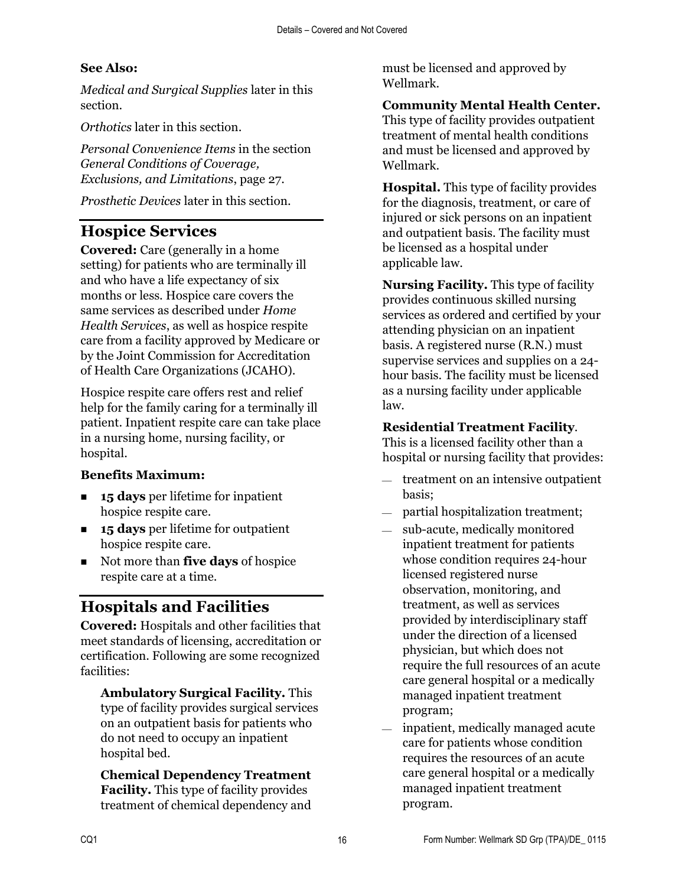### **See Also:**

*Medical and Surgical Supplies* later in this section.

*Orthotics* later in this section.

*Personal Convenience Items* in the section *General Conditions of Coverage, Exclusions, and Limitations*, page 27.

*Prosthetic Devices* later in this section.

## **Hospice Services**

**Covered:** Care (generally in a home setting) for patients who are terminally ill and who have a life expectancy of six months or less. Hospice care covers the same services as described under *Home Health Services*, as well as hospice respite care from a facility approved by Medicare or by the Joint Commission for Accreditation of Health Care Organizations (JCAHO).

Hospice respite care offers rest and relief help for the family caring for a terminally ill patient. Inpatient respite care can take place in a nursing home, nursing facility, or hospital.

### **Benefits Maximum:**

- **15 days** per lifetime for inpatient hospice respite care.
- **15 days** per lifetime for outpatient hospice respite care.
- Not more than **five days** of hospice respite care at a time.

# **Hospitals and Facilities**

**Covered:** Hospitals and other facilities that meet standards of licensing, accreditation or certification. Following are some recognized facilities:

**Ambulatory Surgical Facility.** This type of facility provides surgical services on an outpatient basis for patients who do not need to occupy an inpatient hospital bed.

**Chemical Dependency Treatment Facility.** This type of facility provides treatment of chemical dependency and

must be licensed and approved by Wellmark.

### **Community Mental Health Center.**

This type of facility provides outpatient treatment of mental health conditions and must be licensed and approved by Wellmark.

**Hospital.** This type of facility provides for the diagnosis, treatment, or care of injured or sick persons on an inpatient and outpatient basis. The facility must be licensed as a hospital under applicable law.

**Nursing Facility.** This type of facility provides continuous skilled nursing services as ordered and certified by your attending physician on an inpatient basis. A registered nurse (R.N.) must supervise services and supplies on a 24 hour basis. The facility must be licensed as a nursing facility under applicable law.

#### **Residential Treatment Facility**.

This is a licensed facility other than a hospital or nursing facility that provides:

- $-$  treatment on an intensive outpatient basis;
- $-$  partial hospitalization treatment;
- sub-acute, medically monitored inpatient treatment for patients whose condition requires 24-hour licensed registered nurse observation, monitoring, and treatment, as well as services provided by interdisciplinary staff under the direction of a licensed physician, but which does not require the full resources of an acute care general hospital or a medically managed inpatient treatment program;
- $\equiv$  inpatient, medically managed acute care for patients whose condition requires the resources of an acute care general hospital or a medically managed inpatient treatment program.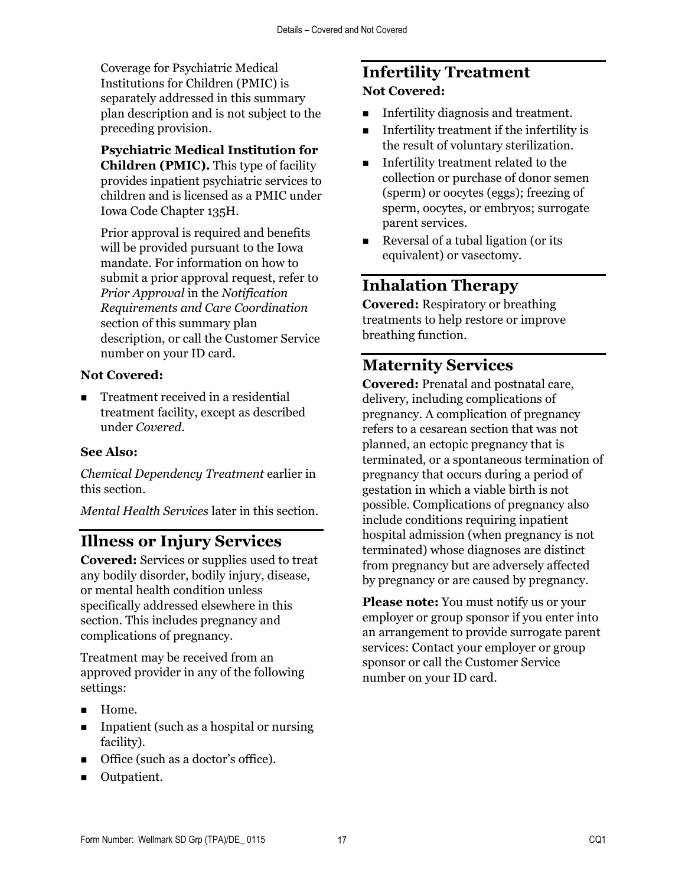Coverage for Psychiatric Medical Institutions for Children (PMIC) is separately addressed in this summary plan description and is not subject to the preceding provision.

**Psychiatric Medical Institution for Children (PMIC).** This type of facility provides inpatient psychiatric services to children and is licensed as a PMIC under Iowa Code Chapter 135H.

Prior approval is required and benefits will be provided pursuant to the Iowa mandate. For information on how to submit a prior approval request, refer to *Prior Approval* in the *Notification Requirements and Care Coordination* section of this summary plan description, or call the Customer Service number on your ID card.

#### **Not Covered:**

■ Treatment received in a residential treatment facility, except as described under *Covered*.

#### **See Also:**

*Chemical Dependency Treatment* earlier in this section.

*Mental Health Services* later in this section.

### **Illness or Injury Services**

**Covered:** Services or supplies used to treat any bodily disorder, bodily injury, disease, or mental health condition unless specifically addressed elsewhere in this section. This includes pregnancy and complications of pregnancy.

Treatment may be received from an approved provider in any of the following settings:

- **Home.**
- **IDEN** Inpatient (such as a hospital or nursing facility).
- Office (such as a doctor's office).
- **Outpatient.**

### **Infertility Treatment Not Covered:**

- **Infertility diagnosis and treatment.**
- Infertility treatment if the infertility is the result of voluntary sterilization.
- **Infertility treatment related to the** collection or purchase of donor semen (sperm) or oocytes (eggs); freezing of sperm, oocytes, or embryos; surrogate parent services.
- Reversal of a tubal ligation (or its equivalent) or vasectomy.

## **Inhalation Therapy**

**Covered:** Respiratory or breathing treatments to help restore or improve breathing function.

### **Maternity Services**

**Covered:** Prenatal and postnatal care, delivery, including complications of pregnancy. A complication of pregnancy refers to a cesarean section that was not planned, an ectopic pregnancy that is terminated, or a spontaneous termination of pregnancy that occurs during a period of gestation in which a viable birth is not possible. Complications of pregnancy also include conditions requiring inpatient hospital admission (when pregnancy is not terminated) whose diagnoses are distinct from pregnancy but are adversely affected by pregnancy or are caused by pregnancy.

**Please note:** You must notify us or your employer or group sponsor if you enter into an arrangement to provide surrogate parent services: Contact your employer or group sponsor or call the Customer Service number on your ID card.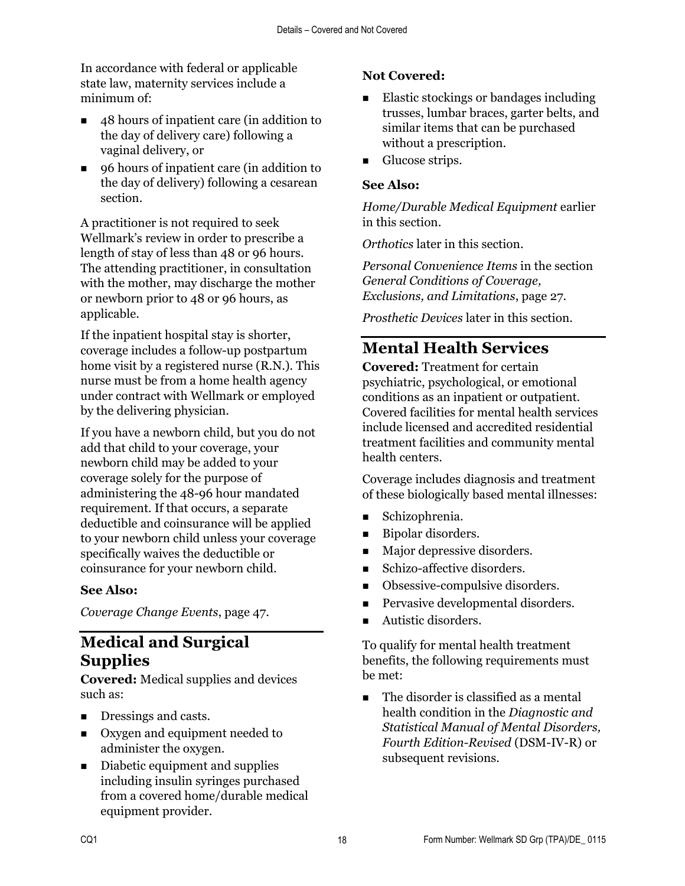In accordance with federal or applicable state law, maternity services include a minimum of:

- 48 hours of inpatient care (in addition to the day of delivery care) following a vaginal delivery, or
- 96 hours of inpatient care (in addition to the day of delivery) following a cesarean section.

A practitioner is not required to seek Wellmark's review in order to prescribe a length of stay of less than 48 or 96 hours. The attending practitioner, in consultation with the mother, may discharge the mother or newborn prior to 48 or 96 hours, as applicable.

If the inpatient hospital stay is shorter, coverage includes a follow-up postpartum home visit by a registered nurse (R.N.). This nurse must be from a home health agency under contract with Wellmark or employed by the delivering physician.

If you have a newborn child, but you do not add that child to your coverage, your newborn child may be added to your coverage solely for the purpose of administering the 48-96 hour mandated requirement. If that occurs, a separate deductible and coinsurance will be applied to your newborn child unless your coverage specifically waives the deductible or coinsurance for your newborn child.

#### **See Also:**

*Coverage Change Events*, page 47.

### **Medical and Surgical Supplies**

**Covered:** Medical supplies and devices such as:

- Dressings and casts.
- Oxygen and equipment needed to administer the oxygen.
- Diabetic equipment and supplies including insulin syringes purchased from a covered home/durable medical equipment provider.

### **Not Covered:**

- Elastic stockings or bandages including trusses, lumbar braces, garter belts, and similar items that can be purchased without a prescription.
- **Glucose strips.**

#### **See Also:**

*Home/Durable Medical Equipment* earlier in this section.

*Orthotics* later in this section.

*Personal Convenience Items* in the section *General Conditions of Coverage, Exclusions, and Limitations*, page 27.

*Prosthetic Devices* later in this section.

# **Mental Health Services**

**Covered:** Treatment for certain psychiatric, psychological, or emotional conditions as an inpatient or outpatient. Covered facilities for mental health services include licensed and accredited residential treatment facilities and community mental health centers.

Coverage includes diagnosis and treatment of these biologically based mental illnesses:

- Schizophrenia.
- **Bipolar disorders.**
- Major depressive disorders.
- Schizo-affective disorders.
- Obsessive-compulsive disorders.
- **Pervasive developmental disorders.**
- Autistic disorders.

To qualify for mental health treatment benefits, the following requirements must be met:

The disorder is classified as a mental health condition in the *Diagnostic and Statistical Manual of Mental Disorders, Fourth Edition-Revised* (DSM-IV-R) or subsequent revisions.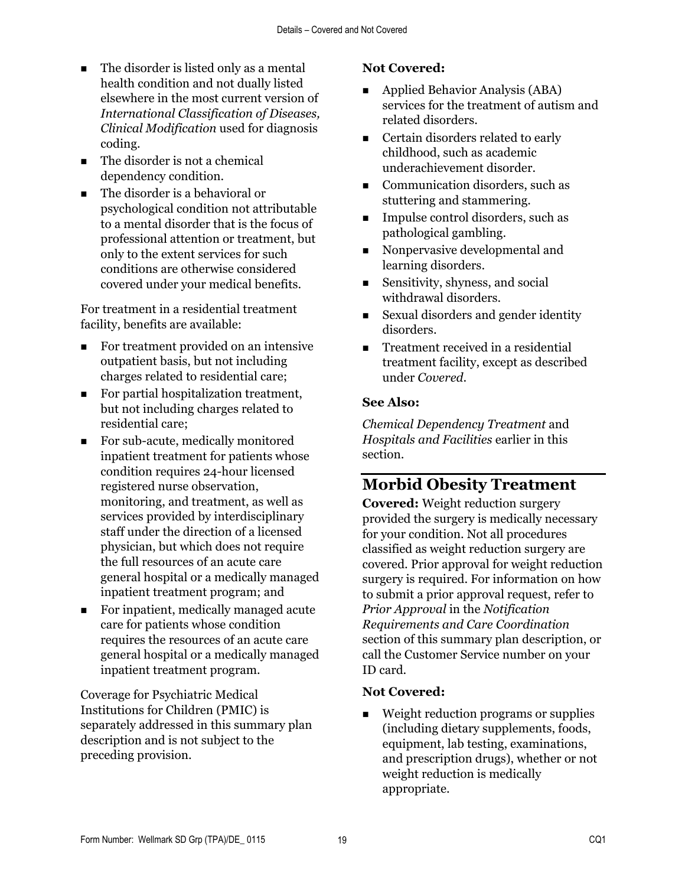- The disorder is listed only as a mental health condition and not dually listed elsewhere in the most current version of *International Classification of Diseases, Clinical Modification* used for diagnosis coding.
- The disorder is not a chemical dependency condition.
- The disorder is a behavioral or psychological condition not attributable to a mental disorder that is the focus of professional attention or treatment, but only to the extent services for such conditions are otherwise considered covered under your medical benefits.

For treatment in a residential treatment facility, benefits are available:

- For treatment provided on an intensive outpatient basis, but not including charges related to residential care;
- For partial hospitalization treatment, but not including charges related to residential care;
- For sub-acute, medically monitored inpatient treatment for patients whose condition requires 24-hour licensed registered nurse observation, monitoring, and treatment, as well as services provided by interdisciplinary staff under the direction of a licensed physician, but which does not require the full resources of an acute care general hospital or a medically managed inpatient treatment program; and
- For inpatient, medically managed acute care for patients whose condition requires the resources of an acute care general hospital or a medically managed inpatient treatment program.

Coverage for Psychiatric Medical Institutions for Children (PMIC) is separately addressed in this summary plan description and is not subject to the preceding provision.

### **Not Covered:**

- Applied Behavior Analysis (ABA) services for the treatment of autism and related disorders.
- Certain disorders related to early childhood, such as academic underachievement disorder.
- **Communication disorders, such as** stuttering and stammering.
- **Impulse control disorders, such as** pathological gambling.
- Nonpervasive developmental and learning disorders.
- Sensitivity, shyness, and social withdrawal disorders.
- Sexual disorders and gender identity disorders.
- **Treatment received in a residential** treatment facility, except as described under *Covered*.

### **See Also:**

*Chemical Dependency Treatment* and *Hospitals and Facilities* earlier in this section.

# **Morbid Obesity Treatment**

**Covered:** Weight reduction surgery provided the surgery is medically necessary for your condition. Not all procedures classified as weight reduction surgery are covered. Prior approval for weight reduction surgery is required. For information on how to submit a prior approval request, refer to *Prior Approval* in the *Notification Requirements and Care Coordination* section of this summary plan description, or call the Customer Service number on your ID card.

### **Not Covered:**

■ Weight reduction programs or supplies (including dietary supplements, foods, equipment, lab testing, examinations, and prescription drugs), whether or not weight reduction is medically appropriate.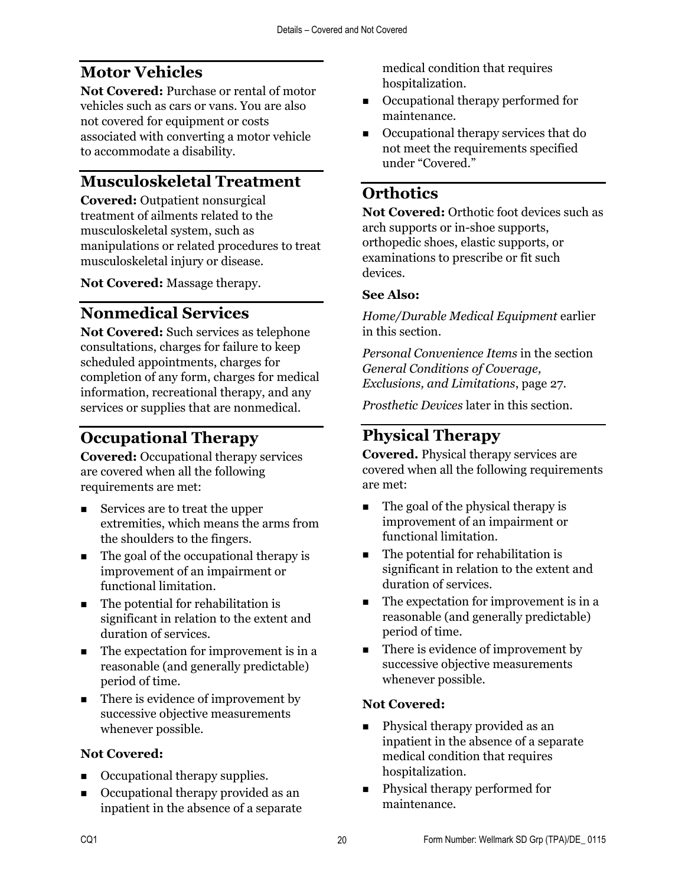# **Motor Vehicles**

**Not Covered:** Purchase or rental of motor vehicles such as cars or vans. You are also not covered for equipment or costs associated with converting a motor vehicle to accommodate a disability.

# **Musculoskeletal Treatment**

**Covered:** Outpatient nonsurgical treatment of ailments related to the musculoskeletal system, such as manipulations or related procedures to treat musculoskeletal injury or disease.

**Not Covered:** Massage therapy.

# **Nonmedical Services**

**Not Covered:** Such services as telephone consultations, charges for failure to keep scheduled appointments, charges for completion of any form, charges for medical information, recreational therapy, and any services or supplies that are nonmedical.

# **Occupational Therapy**

**Covered:** Occupational therapy services are covered when all the following requirements are met:

- Services are to treat the upper extremities, which means the arms from the shoulders to the fingers.
- $\blacksquare$  The goal of the occupational therapy is improvement of an impairment or functional limitation.
- $\blacksquare$  The potential for rehabilitation is significant in relation to the extent and duration of services.
- The expectation for improvement is in a reasonable (and generally predictable) period of time.
- $\blacksquare$  There is evidence of improvement by successive objective measurements whenever possible.

### **Not Covered:**

- Occupational therapy supplies.
- Occupational therapy provided as an inpatient in the absence of a separate

medical condition that requires hospitalization.

- Occupational therapy performed for maintenance.
- Occupational therapy services that do not meet the requirements specified under "Covered."

## **Orthotics**

**Not Covered:** Orthotic foot devices such as arch supports or in-shoe supports, orthopedic shoes, elastic supports, or examinations to prescribe or fit such devices.

#### **See Also:**

*Home/Durable Medical Equipment* earlier in this section.

*Personal Convenience Items* in the section *General Conditions of Coverage, Exclusions, and Limitations*, page 27.

*Prosthetic Devices* later in this section.

# **Physical Therapy**

**Covered.** Physical therapy services are covered when all the following requirements are met:

- $\blacksquare$  The goal of the physical therapy is improvement of an impairment or functional limitation.
- The potential for rehabilitation is significant in relation to the extent and duration of services.
- The expectation for improvement is in a reasonable (and generally predictable) period of time.
- There is evidence of improvement by successive objective measurements whenever possible.

### **Not Covered:**

- Physical therapy provided as an inpatient in the absence of a separate medical condition that requires hospitalization.
- **Physical therapy performed for** maintenance.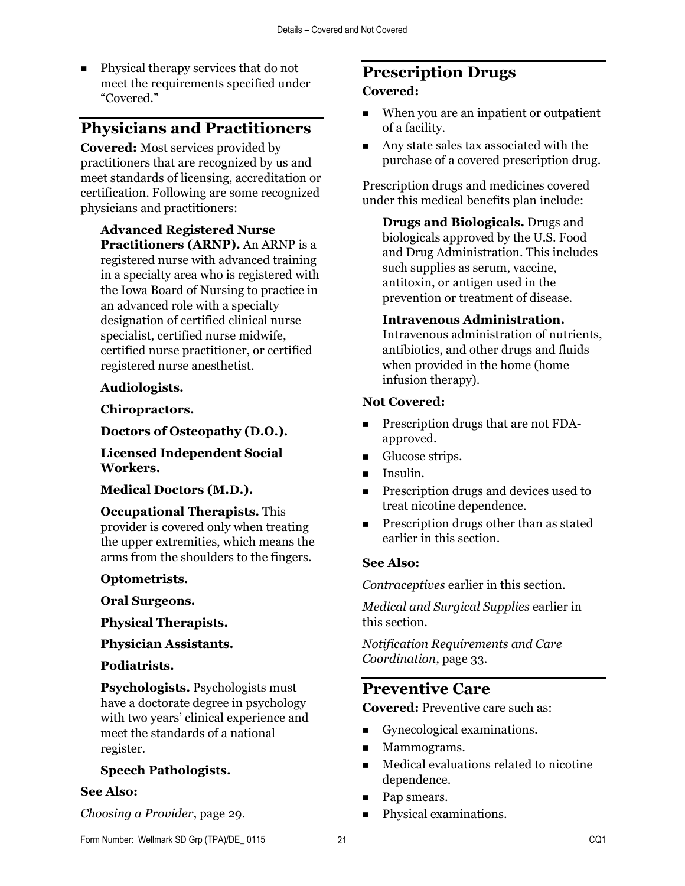**Physical therapy services that do not** meet the requirements specified under "Covered."

### **Physicians and Practitioners**

**Covered:** Most services provided by practitioners that are recognized by us and meet standards of licensing, accreditation or certification. Following are some recognized physicians and practitioners:

**Advanced Registered Nurse Practitioners (ARNP).** An ARNP is a registered nurse with advanced training in a specialty area who is registered with the Iowa Board of Nursing to practice in an advanced role with a specialty designation of certified clinical nurse specialist, certified nurse midwife, certified nurse practitioner, or certified registered nurse anesthetist.

#### **Audiologists.**

**Chiropractors.**

**Doctors of Osteopathy (D.O.).**

**Licensed Independent Social Workers.**

#### **Medical Doctors (M.D.).**

#### **Occupational Therapists.** This

provider is covered only when treating the upper extremities, which means the arms from the shoulders to the fingers.

#### **Optometrists.**

**Oral Surgeons.**

**Physical Therapists.**

**Physician Assistants.**

#### **Podiatrists.**

**Psychologists.** Psychologists must have a doctorate degree in psychology with two years' clinical experience and meet the standards of a national register.

#### **Speech Pathologists.**

#### **See Also:**

*Choosing a Provider*, page 29.

## **Prescription Drugs**

#### **Covered:**

- When you are an inpatient or outpatient of a facility.
- **Any state sales tax associated with the** purchase of a covered prescription drug.

Prescription drugs and medicines covered under this medical benefits plan include:

**Drugs and Biologicals.** Drugs and biologicals approved by the U.S. Food and Drug Administration. This includes such supplies as serum, vaccine, antitoxin, or antigen used in the prevention or treatment of disease.

#### **Intravenous Administration.**

Intravenous administration of nutrients, antibiotics, and other drugs and fluids when provided in the home (home infusion therapy).

#### **Not Covered:**

- **Prescription drugs that are not FDA**approved.
- **Glucose strips.**
- **Insulin.**
- **Prescription drugs and devices used to** treat nicotine dependence.
- **Prescription drugs other than as stated** earlier in this section.

#### **See Also:**

*Contraceptives* earlier in this section.

*Medical and Surgical Supplies* earlier in this section.

*Notification Requirements and Care Coordination*, page 33.

### **Preventive Care**

**Covered:** Preventive care such as:

- Gynecological examinations.
- **Mammograms.**
- Medical evaluations related to nicotine dependence.
- Pap smears.
- **Physical examinations.**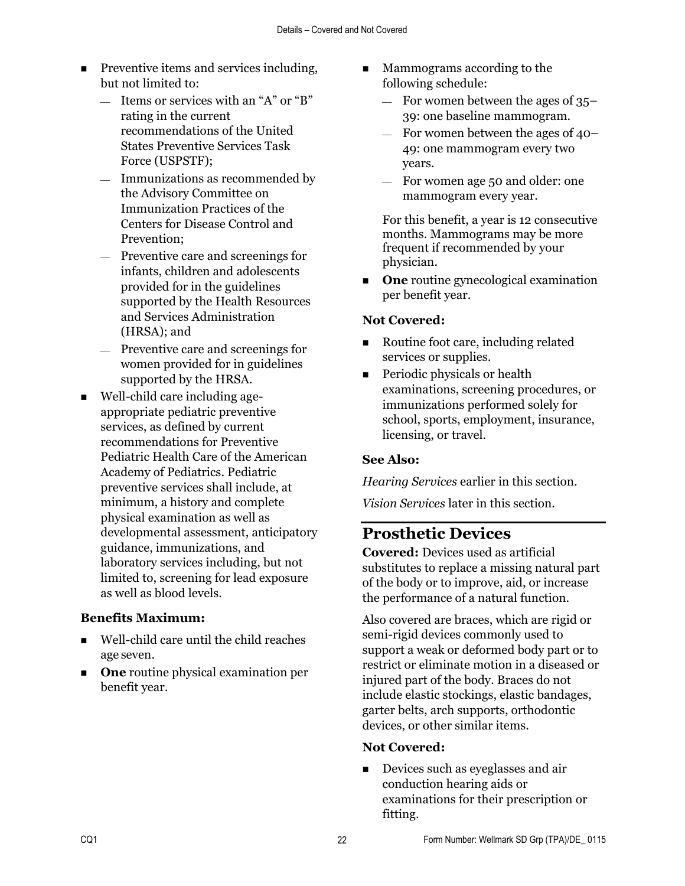- **Preventive items and services including,** but not limited to:
	- $\equiv$  Items or services with an "A" or "B" rating in the current recommendations of the United States Preventive Services Task Force (USPSTF);
	- $-$  Immunizations as recommended by the Advisory Committee on Immunization Practices of the Centers for Disease Control and Prevention;
	- Preventive care and screenings for infants, children and adolescents provided for in the guidelines supported by the Health Resources and Services Administration (HRSA); and
	- Preventive care and screenings for women provided for in guidelines supported by the HRSA.
- Well-child care including ageappropriate pediatric preventive services, as defined by current recommendations for Preventive Pediatric Health Care of the American Academy of Pediatrics. Pediatric preventive services shall include, at minimum, a history and complete physical examination as well as developmental assessment, anticipatory guidance, immunizations, and laboratory services including, but not limited to, screening for lead exposure as well as blood levels.

### **Benefits Maximum:**

- Well-child care until the child reaches age seven.
- **One** routine physical examination per benefit year.
- **Mammograms according to the** following schedule:
	- $-$  For women between the ages of 35– 39: one baseline mammogram.
	- $-$  For women between the ages of 40– 49: one mammogram every two years.
	- For women age 50 and older: one mammogram every year.

For this benefit, a year is 12 consecutive months. Mammograms may be more frequent if recommended by your physician.

**One** routine gynecological examination per benefit year.

#### **Not Covered:**

- Routine foot care, including related services or supplies.
- **Periodic physicals or health** examinations, screening procedures, or immunizations performed solely for school, sports, employment, insurance, licensing, or travel.

#### **See Also:**

*Hearing Services* earlier in this section.

*Vision Services* later in this section.

### **Prosthetic Devices**

**Covered:** Devices used as artificial substitutes to replace a missing natural part of the body or to improve, aid, or increase the performance of a natural function.

Also covered are braces, which are rigid or semi-rigid devices commonly used to support a weak or deformed body part or to restrict or eliminate motion in a diseased or injured part of the body. Braces do not include elastic stockings, elastic bandages, garter belts, arch supports, orthodontic devices, or other similar items.

#### **Not Covered:**

Devices such as eyeglasses and air conduction hearing aids or examinations for their prescription or fitting.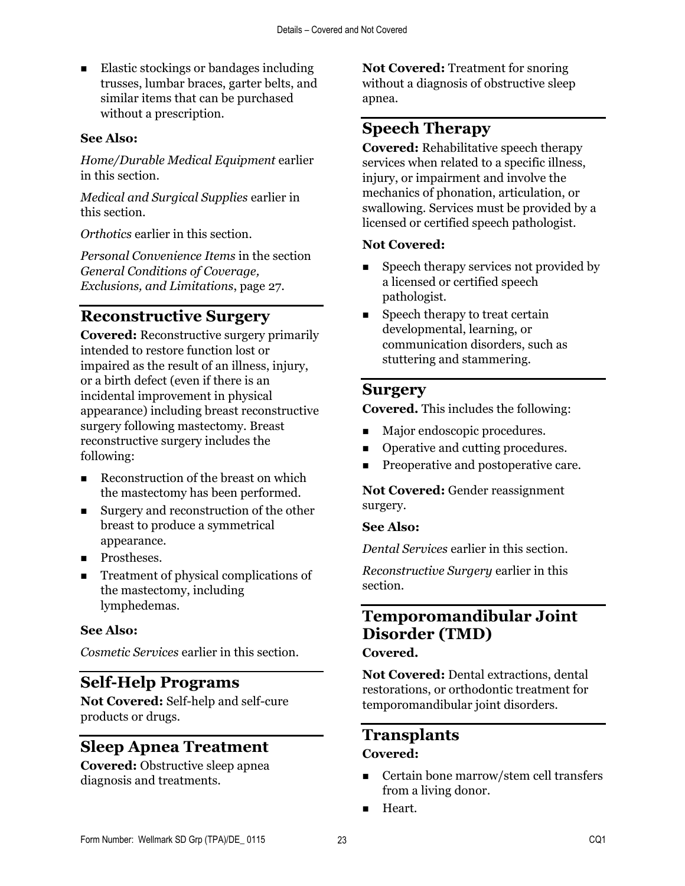Elastic stockings or bandages including trusses, lumbar braces, garter belts, and similar items that can be purchased without a prescription.

#### **See Also:**

*Home/Durable Medical Equipment* earlier in this section.

*Medical and Surgical Supplies* earlier in this section.

*Orthotics* earlier in this section.

*Personal Convenience Items* in the section *General Conditions of Coverage, Exclusions, and Limitations*, page 27.

### **Reconstructive Surgery**

**Covered:** Reconstructive surgery primarily intended to restore function lost or impaired as the result of an illness, injury, or a birth defect (even if there is an incidental improvement in physical appearance) including breast reconstructive surgery following mastectomy. Breast reconstructive surgery includes the following:

- Reconstruction of the breast on which the mastectomy has been performed.
- Surgery and reconstruction of the other breast to produce a symmetrical appearance.
- **Prostheses.**
- Treatment of physical complications of the mastectomy, including lymphedemas.

#### **See Also:**

*Cosmetic Services* earlier in this section.

### **Self-Help Programs**

**Not Covered:** Self-help and self-cure products or drugs.

### **Sleep Apnea Treatment**

**Covered:** Obstructive sleep apnea diagnosis and treatments.

**Not Covered:** Treatment for snoring without a diagnosis of obstructive sleep apnea.

### **Speech Therapy**

**Covered:** Rehabilitative speech therapy services when related to a specific illness, injury, or impairment and involve the mechanics of phonation, articulation, or swallowing. Services must be provided by a licensed or certified speech pathologist.

#### **Not Covered:**

- Speech therapy services not provided by a licensed or certified speech pathologist.
- $\blacksquare$  Speech therapy to treat certain developmental, learning, or communication disorders, such as stuttering and stammering.

#### **Surgery**

**Covered.** This includes the following:

- **Major endoscopic procedures.**
- Operative and cutting procedures.
- **Preoperative and postoperative care.**

**Not Covered:** Gender reassignment surgery.

#### **See Also:**

*Dental Services* earlier in this section.

*Reconstructive Surgery* earlier in this section.

### **Temporomandibular Joint Disorder (TMD)**

**Covered.**

**Not Covered:** Dental extractions, dental restorations, or orthodontic treatment for temporomandibular joint disorders.

# **Transplants**

### **Covered:**

- Certain bone marrow/stem cell transfers from a living donor.
- **Heart.**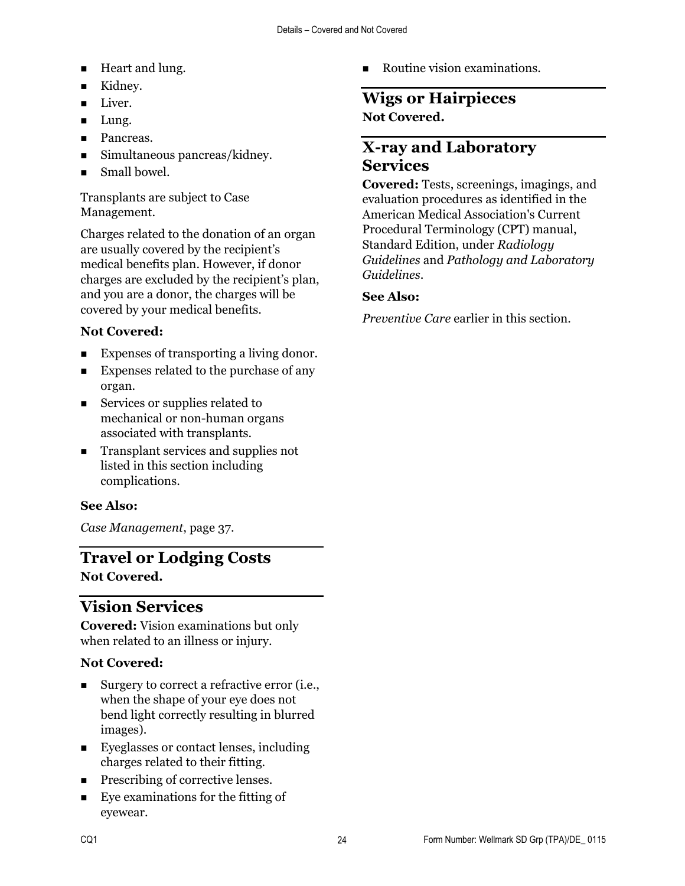- **Heart and lung.**
- Kidney.
- **Liver.**
- **Lung.**
- **Pancreas.**
- Simultaneous pancreas/kidney.
- Small bowel.

Transplants are subject to Case Management.

Charges related to the donation of an organ are usually covered by the recipient's medical benefits plan. However, if donor charges are excluded by the recipient's plan, and you are a donor, the charges will be covered by your medical benefits.

### **Not Covered:**

- Expenses of transporting a living donor.
- **Expenses related to the purchase of any** organ.
- Services or supplies related to mechanical or non-human organs associated with transplants.
- Transplant services and supplies not listed in this section including complications.

### **See Also:**

*Case Management*, page 37.

### **Travel or Lodging Costs Not Covered.**

# **Vision Services**

**Covered:** Vision examinations but only when related to an illness or injury.

### **Not Covered:**

- Surgery to correct a refractive error (i.e., when the shape of your eye does not bend light correctly resulting in blurred images).
- Eyeglasses or contact lenses, including charges related to their fitting.
- **Prescribing of corrective lenses.**
- Eye examinations for the fitting of eyewear.

Routine vision examinations.

### **Wigs or Hairpieces Not Covered.**

### **X-ray and Laboratory Services**

**Covered:** Tests, screenings, imagings, and evaluation procedures as identified in the American Medical Association's Current Procedural Terminology (CPT) manual, Standard Edition, under *Radiology Guidelines* and *Pathology and Laboratory Guidelines*.

### **See Also:**

*Preventive Care* earlier in this section.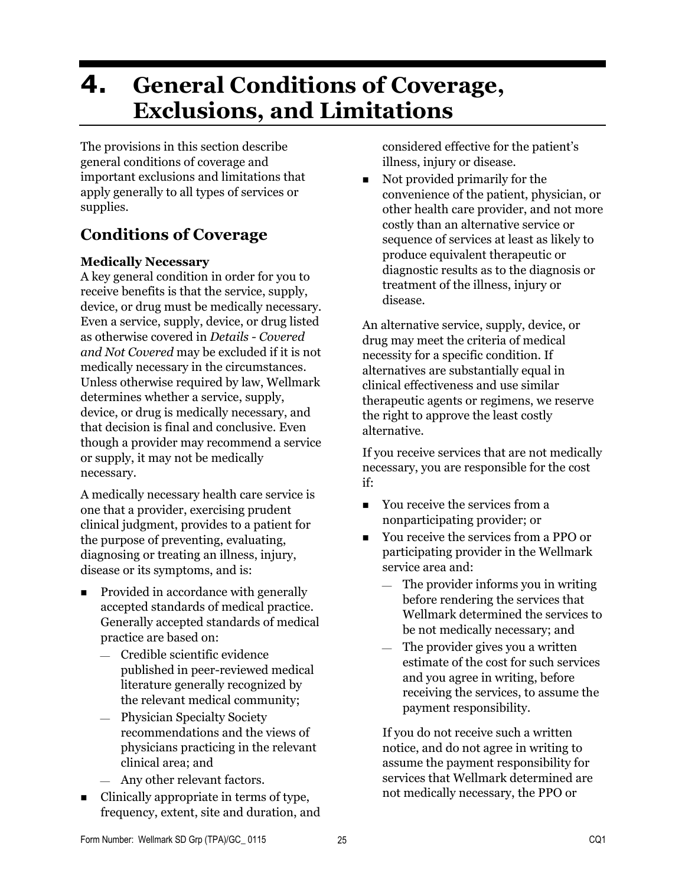# **4. General Conditions of Coverage, Exclusions, and Limitations**

The provisions in this section describe general conditions of coverage and important exclusions and limitations that apply generally to all types of services or supplies.

# **Conditions of Coverage**

#### **Medically Necessary**

A key general condition in order for you to receive benefits is that the service, supply, device, or drug must be medically necessary. Even a service, supply, device, or drug listed as otherwise covered in *Details - Covered and Not Covered* may be excluded if it is not medically necessary in the circumstances. Unless otherwise required by law, Wellmark determines whether a service, supply, device, or drug is medically necessary, and that decision is final and conclusive. Even though a provider may recommend a service or supply, it may not be medically necessary.

A medically necessary health care service is one that a provider, exercising prudent clinical judgment, provides to a patient for the purpose of preventing, evaluating, diagnosing or treating an illness, injury, disease or its symptoms, and is:

- Provided in accordance with generally accepted standards of medical practice. Generally accepted standards of medical practice are based on:
	- Credible scientific evidence published in peer-reviewed medical literature generally recognized by the relevant medical community;
	- Physician Specialty Society recommendations and the views of physicians practicing in the relevant clinical area; and
	- Any other relevant factors.
- $\blacksquare$  Clinically appropriate in terms of type, frequency, extent, site and duration, and

considered effective for the patient's illness, injury or disease.

Not provided primarily for the convenience of the patient, physician, or other health care provider, and not more costly than an alternative service or sequence of services at least as likely to produce equivalent therapeutic or diagnostic results as to the diagnosis or treatment of the illness, injury or disease.

An alternative service, supply, device, or drug may meet the criteria of medical necessity for a specific condition. If alternatives are substantially equal in clinical effectiveness and use similar therapeutic agents or regimens, we reserve the right to approve the least costly alternative.

If you receive services that are not medically necessary, you are responsible for the cost if:

- You receive the services from a nonparticipating provider; or
- You receive the services from a PPO or participating provider in the Wellmark service area and:
	- $-$  The provider informs you in writing before rendering the services that Wellmark determined the services to be not medically necessary; and
	- The provider gives you a written estimate of the cost for such services and you agree in writing, before receiving the services, to assume the payment responsibility.

If you do not receive such a written notice, and do not agree in writing to assume the payment responsibility for services that Wellmark determined are not medically necessary, the PPO or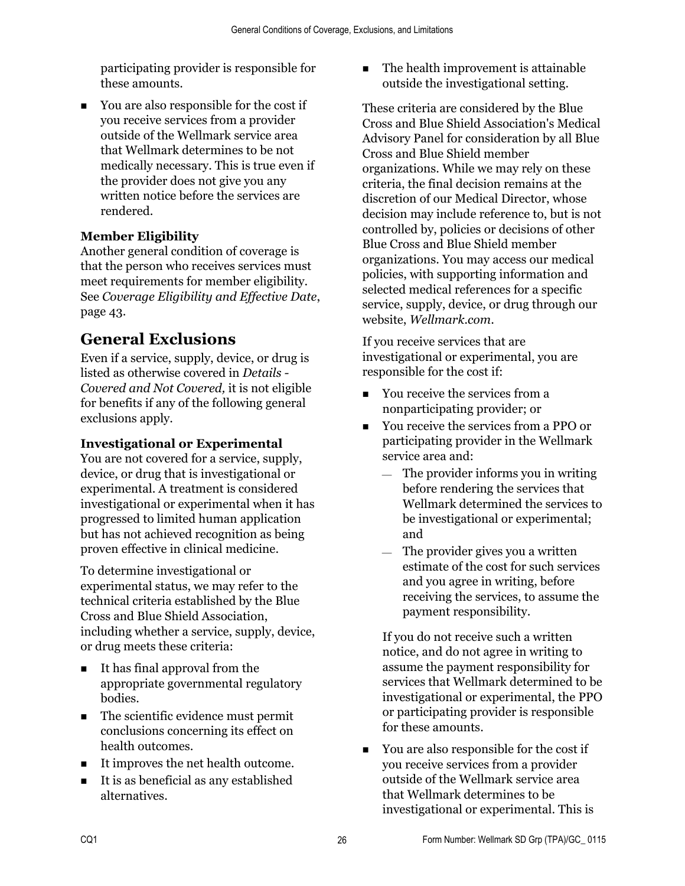participating provider is responsible for these amounts.

■ You are also responsible for the cost if you receive services from a provider outside of the Wellmark service area that Wellmark determines to be not medically necessary. This is true even if the provider does not give you any written notice before the services are rendered.

### **Member Eligibility**

Another general condition of coverage is that the person who receives services must meet requirements for member eligibility. See *Coverage Eligibility and Effective Date*, page 43.

# **General Exclusions**

Even if a service, supply, device, or drug is listed as otherwise covered in *Details - Covered and Not Covered,* it is not eligible for benefits if any of the following general exclusions apply.

### **Investigational or Experimental**

You are not covered for a service, supply, device, or drug that is investigational or experimental. A treatment is considered investigational or experimental when it has progressed to limited human application but has not achieved recognition as being proven effective in clinical medicine.

To determine investigational or experimental status, we may refer to the technical criteria established by the Blue Cross and Blue Shield Association, including whether a service, supply, device, or drug meets these criteria:

- It has final approval from the appropriate governmental regulatory bodies.
- The scientific evidence must permit conclusions concerning its effect on health outcomes.
- It improves the net health outcome.
- It is as beneficial as any established alternatives.

The health improvement is attainable outside the investigational setting.

These criteria are considered by the Blue Cross and Blue Shield Association's Medical Advisory Panel for consideration by all Blue Cross and Blue Shield member organizations. While we may rely on these criteria, the final decision remains at the discretion of our Medical Director, whose decision may include reference to, but is not controlled by, policies or decisions of other Blue Cross and Blue Shield member organizations. You may access our medical policies, with supporting information and selected medical references for a specific service, supply, device, or drug through our website, *Wellmark.com*.

If you receive services that are investigational or experimental, you are responsible for the cost if:

- You receive the services from a nonparticipating provider; or
- You receive the services from a PPO or participating provider in the Wellmark service area and:
	- $-$  The provider informs you in writing before rendering the services that Wellmark determined the services to be investigational or experimental; and
	- $\equiv$  The provider gives you a written estimate of the cost for such services and you agree in writing, before receiving the services, to assume the payment responsibility.

If you do not receive such a written notice, and do not agree in writing to assume the payment responsibility for services that Wellmark determined to be investigational or experimental, the PPO or participating provider is responsible for these amounts.

■ You are also responsible for the cost if you receive services from a provider outside of the Wellmark service area that Wellmark determines to be investigational or experimental. This is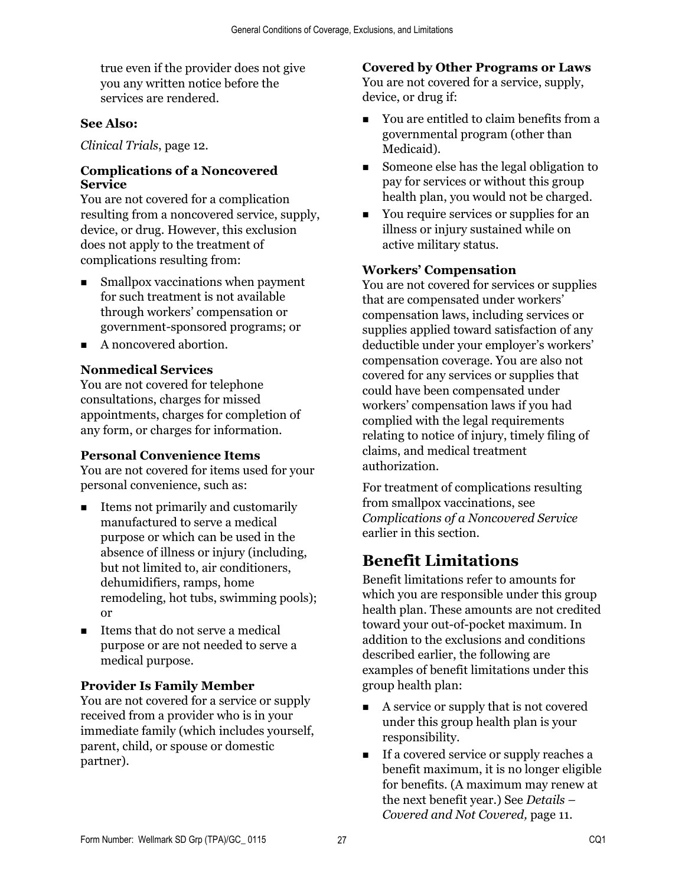true even if the provider does not give you any written notice before the services are rendered.

#### **See Also:**

*Clinical Trials*, page 12.

#### **Complications of a Noncovered Service**

You are not covered for a complication resulting from a noncovered service, supply, device, or drug. However, this exclusion does not apply to the treatment of complications resulting from:

- Smallpox vaccinations when payment for such treatment is not available through workers' compensation or government-sponsored programs; or
- A noncovered abortion.

#### **Nonmedical Services**

You are not covered for telephone consultations, charges for missed appointments, charges for completion of any form, or charges for information.

#### **Personal Convenience Items**

You are not covered for items used for your personal convenience, such as:

- Items not primarily and customarily manufactured to serve a medical purpose or which can be used in the absence of illness or injury (including, but not limited to, air conditioners, dehumidifiers, ramps, home remodeling, hot tubs, swimming pools); or
- $\blacksquare$  Items that do not serve a medical purpose or are not needed to serve a medical purpose.

#### **Provider Is Family Member**

You are not covered for a service or supply received from a provider who is in your immediate family (which includes yourself, parent, child, or spouse or domestic partner).

**Covered by Other Programs or Laws**  You are not covered for a service, supply,

- device, or drug if:
- You are entitled to claim benefits from a governmental program (other than Medicaid).
- Someone else has the legal obligation to pay for services or without this group health plan, you would not be charged.
- You require services or supplies for an illness or injury sustained while on active military status.

#### **Workers' Compensation**

You are not covered for services or supplies that are compensated under workers' compensation laws, including services or supplies applied toward satisfaction of any deductible under your employer's workers' compensation coverage. You are also not covered for any services or supplies that could have been compensated under workers' compensation laws if you had complied with the legal requirements relating to notice of injury, timely filing of claims, and medical treatment authorization.

For treatment of complications resulting from smallpox vaccinations, see *Complications of a Noncovered Service* earlier in this section.

### **Benefit Limitations**

Benefit limitations refer to amounts for which you are responsible under this group health plan. These amounts are not credited toward your out-of-pocket maximum. In addition to the exclusions and conditions described earlier, the following are examples of benefit limitations under this group health plan:

- A service or supply that is not covered under this group health plan is your responsibility.
- If a covered service or supply reaches a benefit maximum, it is no longer eligible for benefits. (A maximum may renew at the next benefit year.) See *Details – Covered and Not Covered,* page 11.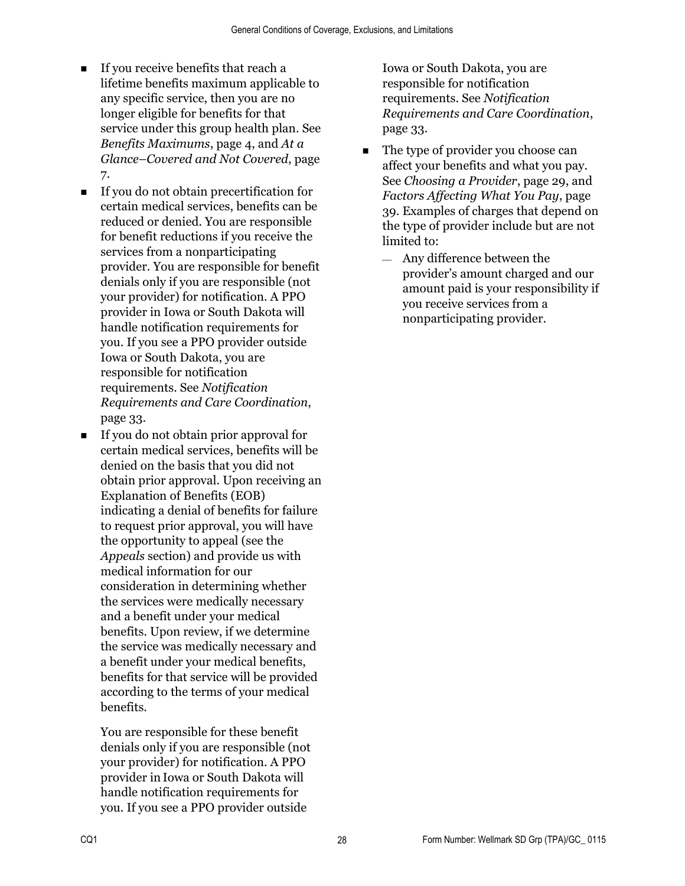- If you receive benefits that reach a lifetime benefits maximum applicable to any specific service, then you are no longer eligible for benefits for that service under this group health plan. See *Benefits Maximums*, page 4, and *At a Glance–Covered and Not Covered*, page 7.
- If you do not obtain precertification for certain medical services, benefits can be reduced or denied. You are responsible for benefit reductions if you receive the services from a nonparticipating provider. You are responsible for benefit denials only if you are responsible (not your provider) for notification. A PPO provider in Iowa or South Dakota will handle notification requirements for you. If you see a PPO provider outside Iowa or South Dakota, you are responsible for notification requirements. See *Notification Requirements and Care Coordination*, page 33.
- If you do not obtain prior approval for certain medical services, benefits will be denied on the basis that you did not obtain prior approval. Upon receiving an Explanation of Benefits (EOB) indicating a denial of benefits for failure to request prior approval, you will have the opportunity to appeal (see the *Appeals* section) and provide us with medical information for our consideration in determining whether the services were medically necessary and a benefit under your medical benefits. Upon review, if we determine the service was medically necessary and a benefit under your medical benefits, benefits for that service will be provided according to the terms of your medical benefits.

You are responsible for these benefit denials only if you are responsible (not your provider) for notification. A PPO provider in Iowa or South Dakota will handle notification requirements for you. If you see a PPO provider outside

Iowa or South Dakota, you are responsible for notification requirements. See *Notification Requirements and Care Coordination*, page 33.

- The type of provider you choose can affect your benefits and what you pay. See *Choosing a Provider*, page 29, and *Factors Affecting What You Pay*, page 39. Examples of charges that depend on the type of provider include but are not limited to:
	- Any difference between the provider's amount charged and our amount paid is your responsibility if you receive services from a nonparticipating provider.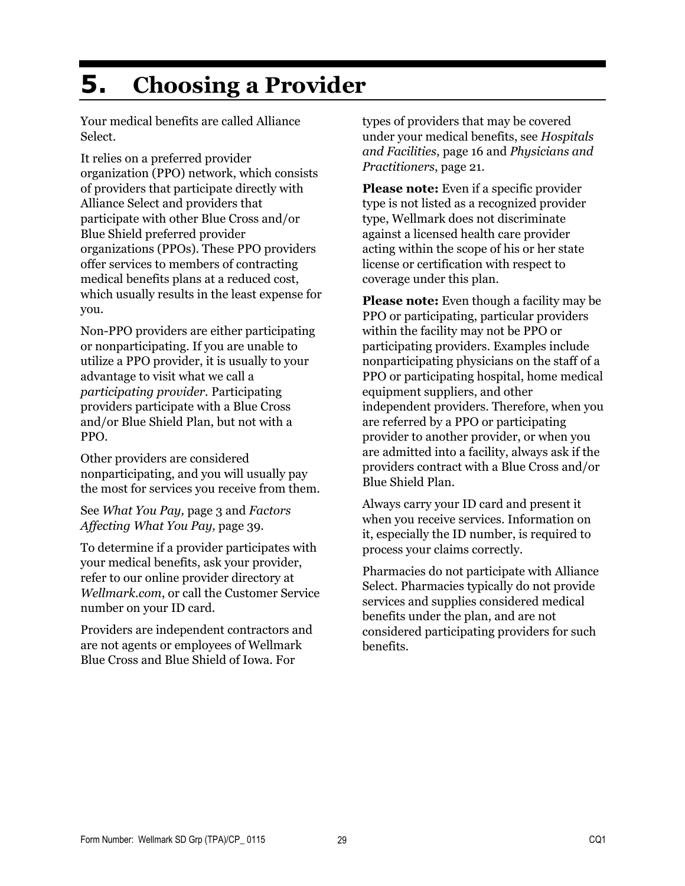# **5. Choosing a Provider**

Your medical benefits are called Alliance Select.

It relies on a preferred provider organization (PPO) network, which consists of providers that participate directly with Alliance Select and providers that participate with other Blue Cross and/or Blue Shield preferred provider organizations (PPOs). These PPO providers offer services to members of contracting medical benefits plans at a reduced cost, which usually results in the least expense for you.

Non-PPO providers are either participating or nonparticipating. If you are unable to utilize a PPO provider, it is usually to your advantage to visit what we call a *participating provider.* Participating providers participate with a Blue Cross and/or Blue Shield Plan, but not with a PPO.

Other providers are considered nonparticipating, and you will usually pay the most for services you receive from them.

See *What You Pay,* page 3 and *Factors Affecting What You Pay,* page 39.

To determine if a provider participates with your medical benefits, ask your provider, refer to our online provider directory at *Wellmark.com*, or call the Customer Service number on your ID card.

Providers are independent contractors and are not agents or employees of Wellmark Blue Cross and Blue Shield of Iowa. For

types of providers that may be covered under your medical benefits, see *Hospitals and Facilities*, page 16 and *Physicians and Practitioners*, page 21.

**Please note:** Even if a specific provider type is not listed as a recognized provider type, Wellmark does not discriminate against a licensed health care provider acting within the scope of his or her state license or certification with respect to coverage under this plan.

**Please note:** Even though a facility may be PPO or participating, particular providers within the facility may not be PPO or participating providers. Examples include nonparticipating physicians on the staff of a PPO or participating hospital, home medical equipment suppliers, and other independent providers. Therefore, when you are referred by a PPO or participating provider to another provider, or when you are admitted into a facility, always ask if the providers contract with a Blue Cross and/or Blue Shield Plan.

Always carry your ID card and present it when you receive services. Information on it, especially the ID number, is required to process your claims correctly.

Pharmacies do not participate with Alliance Select. Pharmacies typically do not provide services and supplies considered medical benefits under the plan, and are not considered participating providers for such benefits.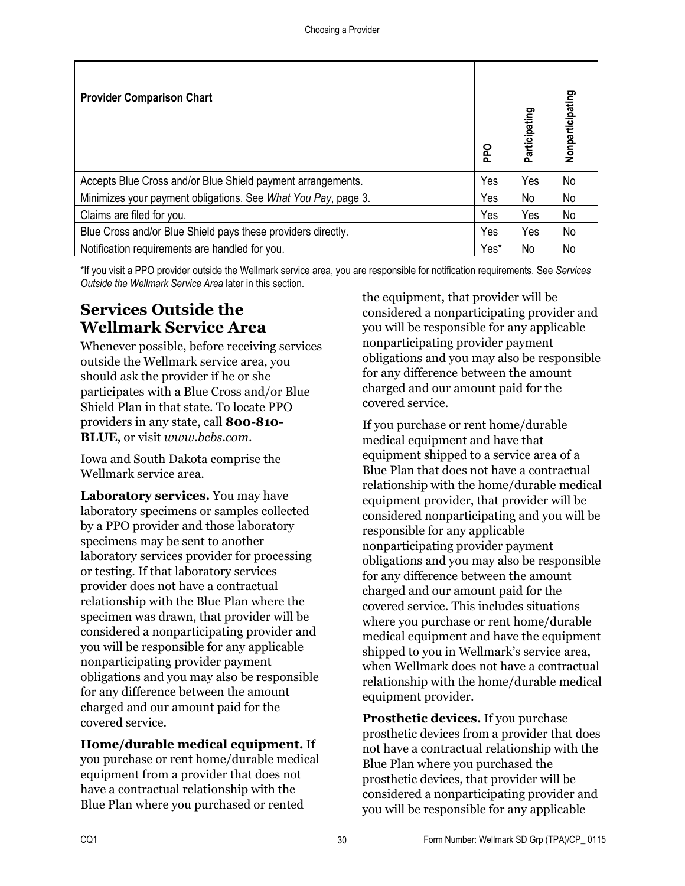| <b>Provider Comparison Chart</b>                              | Ddd  | Participating | Nonparticipating |
|---------------------------------------------------------------|------|---------------|------------------|
| Accepts Blue Cross and/or Blue Shield payment arrangements.   | Yes  | Yes           | No               |
| Minimizes your payment obligations. See What You Pay, page 3. | Yes  | No            | No               |
| Claims are filed for you.                                     | Yes  | Yes           | No               |
| Blue Cross and/or Blue Shield pays these providers directly.  | Yes  | Yes           | No               |
| Notification requirements are handled for you.                | Yes* | No            | No               |

\*If you visit a PPO provider outside the Wellmark service area, you are responsible for notification requirements. See *Services Outside the Wellmark Service Area* later in this section.

## **Services Outside the Wellmark Service Area**

Whenever possible, before receiving services outside the Wellmark service area, you should ask the provider if he or she participates with a Blue Cross and/or Blue Shield Plan in that state. To locate PPO providers in any state, call **800-810- BLUE**, or visit *www.bcbs.com*.

Iowa and South Dakota comprise the Wellmark service area.

**Laboratory services.** You may have laboratory specimens or samples collected by a PPO provider and those laboratory specimens may be sent to another laboratory services provider for processing or testing. If that laboratory services provider does not have a contractual relationship with the Blue Plan where the specimen was drawn, that provider will be considered a nonparticipating provider and you will be responsible for any applicable nonparticipating provider payment obligations and you may also be responsible for any difference between the amount charged and our amount paid for the covered service.

**Home/durable medical equipment.** If you purchase or rent home/durable medical equipment from a provider that does not have a contractual relationship with the Blue Plan where you purchased or rented

the equipment, that provider will be considered a nonparticipating provider and you will be responsible for any applicable nonparticipating provider payment obligations and you may also be responsible for any difference between the amount charged and our amount paid for the covered service.

If you purchase or rent home/durable medical equipment and have that equipment shipped to a service area of a Blue Plan that does not have a contractual relationship with the home/durable medical equipment provider, that provider will be considered nonparticipating and you will be responsible for any applicable nonparticipating provider payment obligations and you may also be responsible for any difference between the amount charged and our amount paid for the covered service. This includes situations where you purchase or rent home/durable medical equipment and have the equipment shipped to you in Wellmark's service area, when Wellmark does not have a contractual relationship with the home/durable medical equipment provider.

**Prosthetic devices.** If you purchase prosthetic devices from a provider that does not have a contractual relationship with the Blue Plan where you purchased the prosthetic devices, that provider will be considered a nonparticipating provider and you will be responsible for any applicable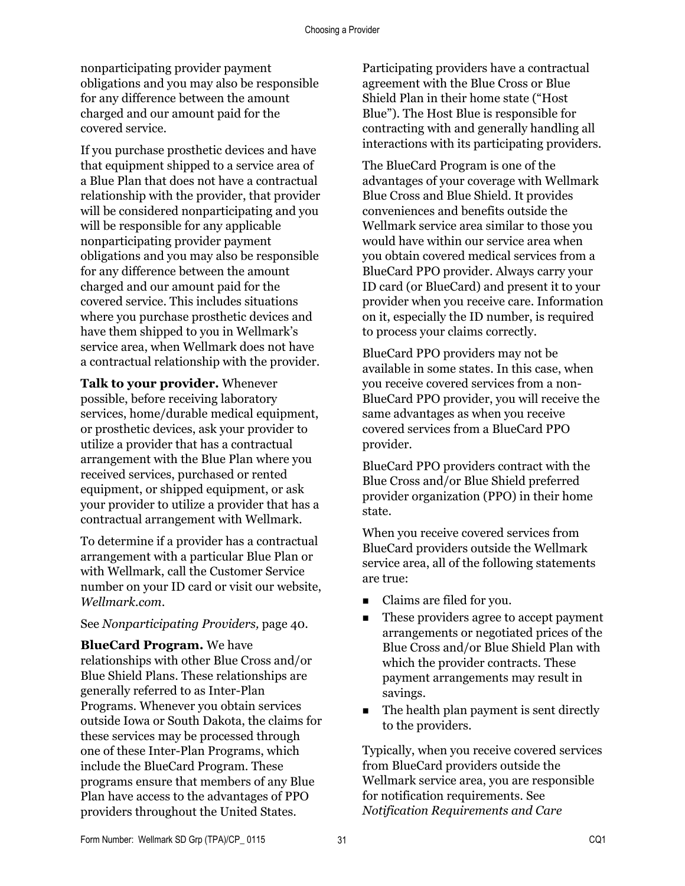nonparticipating provider payment obligations and you may also be responsible for any difference between the amount charged and our amount paid for the covered service.

If you purchase prosthetic devices and have that equipment shipped to a service area of a Blue Plan that does not have a contractual relationship with the provider, that provider will be considered nonparticipating and you will be responsible for any applicable nonparticipating provider payment obligations and you may also be responsible for any difference between the amount charged and our amount paid for the covered service. This includes situations where you purchase prosthetic devices and have them shipped to you in Wellmark's service area, when Wellmark does not have a contractual relationship with the provider.

**Talk to your provider.** Whenever possible, before receiving laboratory services, home/durable medical equipment. or prosthetic devices, ask your provider to utilize a provider that has a contractual arrangement with the Blue Plan where you received services, purchased or rented equipment, or shipped equipment, or ask your provider to utilize a provider that has a contractual arrangement with Wellmark.

To determine if a provider has a contractual arrangement with a particular Blue Plan or with Wellmark, call the Customer Service number on your ID card or visit our website, *Wellmark.com*.

#### See *Nonparticipating Providers,* page 40.

**BlueCard Program.** We have relationships with other Blue Cross and/or Blue Shield Plans. These relationships are generally referred to as Inter-Plan Programs. Whenever you obtain services outside Iowa or South Dakota, the claims for these services may be processed through one of these Inter-Plan Programs, which include the BlueCard Program. These programs ensure that members of any Blue Plan have access to the advantages of PPO providers throughout the United States.

Participating providers have a contractual agreement with the Blue Cross or Blue Shield Plan in their home state ("Host Blue"). The Host Blue is responsible for contracting with and generally handling all interactions with its participating providers.

The BlueCard Program is one of the advantages of your coverage with Wellmark Blue Cross and Blue Shield. It provides conveniences and benefits outside the Wellmark service area similar to those you would have within our service area when you obtain covered medical services from a BlueCard PPO provider. Always carry your ID card (or BlueCard) and present it to your provider when you receive care. Information on it, especially the ID number, is required to process your claims correctly.

BlueCard PPO providers may not be available in some states. In this case, when you receive covered services from a non-BlueCard PPO provider, you will receive the same advantages as when you receive covered services from a BlueCard PPO provider.

BlueCard PPO providers contract with the Blue Cross and/or Blue Shield preferred provider organization (PPO) in their home state.

When you receive covered services from BlueCard providers outside the Wellmark service area, all of the following statements are true:

- Claims are filed for you.
- These providers agree to accept payment arrangements or negotiated prices of the Blue Cross and/or Blue Shield Plan with which the provider contracts. These payment arrangements may result in savings.
- The health plan payment is sent directly to the providers.

Typically, when you receive covered services from BlueCard providers outside the Wellmark service area, you are responsible for notification requirements. See *Notification Requirements and Care*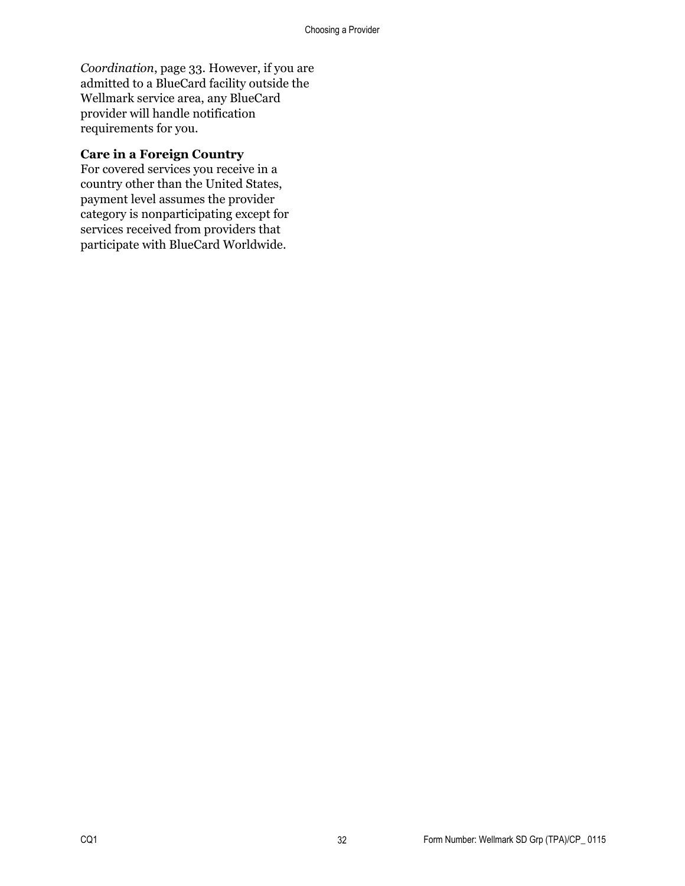*Coordination*, page 33. However, if you are admitted to a BlueCard facility outside the Wellmark service area, any BlueCard provider will handle notification requirements for you.

#### **Care in a Foreign Country**

For covered services you receive in a country other than the United States, payment level assumes the provider category is nonparticipating except for services received from providers that participate with BlueCard Worldwide.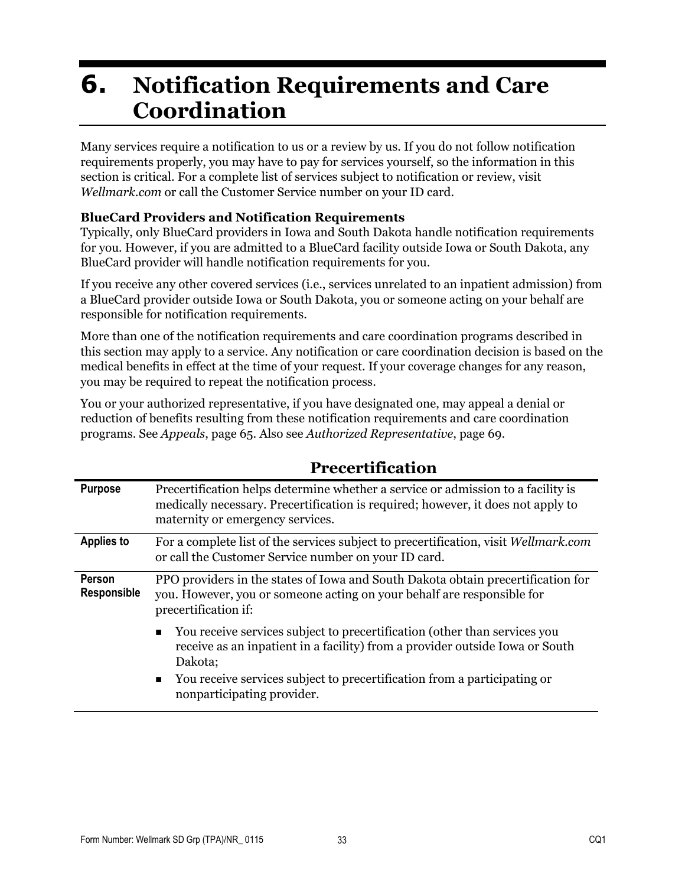# **6. Notification Requirements and Care Coordination**

Many services require a notification to us or a review by us. If you do not follow notification requirements properly, you may have to pay for services yourself, so the information in this section is critical. For a complete list of services subject to notification or review, visit *Wellmark.com* or call the Customer Service number on your ID card.

#### **BlueCard Providers and Notification Requirements**

Typically, only BlueCard providers in Iowa and South Dakota handle notification requirements for you. However, if you are admitted to a BlueCard facility outside Iowa or South Dakota, any BlueCard provider will handle notification requirements for you.

If you receive any other covered services (i.e., services unrelated to an inpatient admission) from a BlueCard provider outside Iowa or South Dakota, you or someone acting on your behalf are responsible for notification requirements.

More than one of the notification requirements and care coordination programs described in this section may apply to a service. Any notification or care coordination decision is based on the medical benefits in effect at the time of your request. If your coverage changes for any reason, you may be required to repeat the notification process.

You or your authorized representative, if you have designated one, may appeal a denial or reduction of benefits resulting from these notification requirements and care coordination programs. See *Appeals*, page 65. Also see *Authorized Representative*, page 69.

| <b>Purpose</b>        | Precertification helps determine whether a service or admission to a facility is<br>medically necessary. Precertification is required; however, it does not apply to<br>maternity or emergency services. |
|-----------------------|----------------------------------------------------------------------------------------------------------------------------------------------------------------------------------------------------------|
| <b>Applies to</b>     | For a complete list of the services subject to precertification, visit Wellmark.com<br>or call the Customer Service number on your ID card.                                                              |
| Person<br>Responsible | PPO providers in the states of Iowa and South Dakota obtain precertification for<br>you. However, you or someone acting on your behalf are responsible for<br>precertification if:                       |
|                       | You receive services subject to precertification (other than services you<br>$\blacksquare$<br>receive as an inpatient in a facility) from a provider outside Iowa or South<br>Dakota;                   |
|                       | You receive services subject to precertification from a participating or<br>$\blacksquare$<br>nonparticipating provider.                                                                                 |

## **Precertification**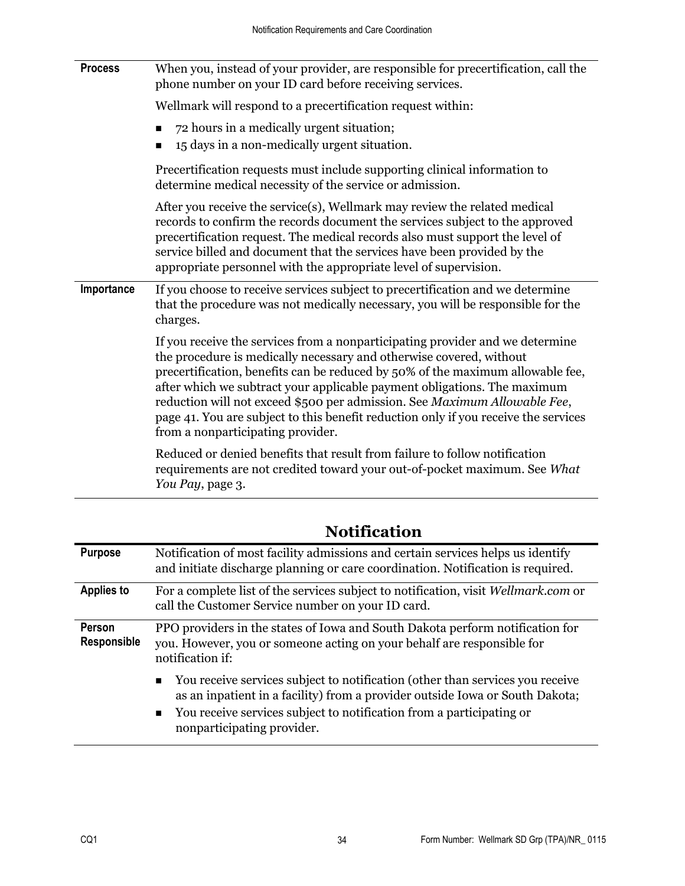| <b>Process</b> | When you, instead of your provider, are responsible for precertification, call the<br>phone number on your ID card before receiving services.                                                                                                                                                                                                                                                                                                                                                                               |
|----------------|-----------------------------------------------------------------------------------------------------------------------------------------------------------------------------------------------------------------------------------------------------------------------------------------------------------------------------------------------------------------------------------------------------------------------------------------------------------------------------------------------------------------------------|
|                | Wellmark will respond to a precertification request within:                                                                                                                                                                                                                                                                                                                                                                                                                                                                 |
|                | 72 hours in a medically urgent situation;<br>15 days in a non-medically urgent situation.<br>п                                                                                                                                                                                                                                                                                                                                                                                                                              |
|                | Precertification requests must include supporting clinical information to<br>determine medical necessity of the service or admission.                                                                                                                                                                                                                                                                                                                                                                                       |
|                | After you receive the service(s), Wellmark may review the related medical<br>records to confirm the records document the services subject to the approved<br>precertification request. The medical records also must support the level of<br>service billed and document that the services have been provided by the<br>appropriate personnel with the appropriate level of supervision.                                                                                                                                    |
| Importance     | If you choose to receive services subject to precertification and we determine<br>that the procedure was not medically necessary, you will be responsible for the<br>charges.                                                                                                                                                                                                                                                                                                                                               |
|                | If you receive the services from a nonparticipating provider and we determine<br>the procedure is medically necessary and otherwise covered, without<br>precertification, benefits can be reduced by 50% of the maximum allowable fee,<br>after which we subtract your applicable payment obligations. The maximum<br>reduction will not exceed \$500 per admission. See Maximum Allowable Fee,<br>page 41. You are subject to this benefit reduction only if you receive the services<br>from a nonparticipating provider. |
|                | Reduced or denied benefits that result from failure to follow notification<br>requirements are not credited toward your out-of-pocket maximum. See What<br>You Pay, page 3.                                                                                                                                                                                                                                                                                                                                                 |

| <b>Purpose</b>        | Notification of most facility admissions and certain services helps us identify<br>and initiate discharge planning or care coordination. Notification is required.                                                                                                                    |
|-----------------------|---------------------------------------------------------------------------------------------------------------------------------------------------------------------------------------------------------------------------------------------------------------------------------------|
| <b>Applies to</b>     | For a complete list of the services subject to notification, visit Wellmark.com or<br>call the Customer Service number on your ID card.                                                                                                                                               |
| Person<br>Responsible | PPO providers in the states of Iowa and South Dakota perform notification for<br>you. However, you or someone acting on your behalf are responsible for<br>notification if:                                                                                                           |
|                       | You receive services subject to notification (other than services you receive<br>as an inpatient in a facility) from a provider outside Iowa or South Dakota;<br>You receive services subject to notification from a participating or<br>$\blacksquare$<br>nonparticipating provider. |

**Notification**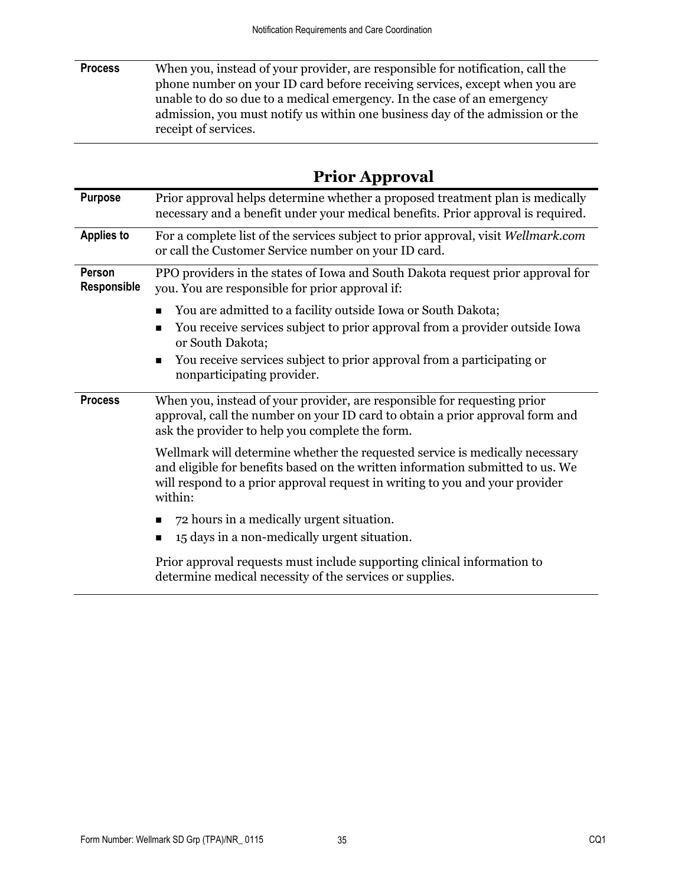**Process** When you, instead of your provider, are responsible for notification, call the phone number on your ID card before receiving services, except when you are unable to do so due to a medical emergency. In the case of an emergency admission, you must notify us within one business day of the admission or the receipt of services.

| <b>Prior Approval</b> |
|-----------------------|
|-----------------------|

| <b>Purpose</b>               | Prior approval helps determine whether a proposed treatment plan is medically<br>necessary and a benefit under your medical benefits. Prior approval is required.                                                                                         |
|------------------------------|-----------------------------------------------------------------------------------------------------------------------------------------------------------------------------------------------------------------------------------------------------------|
| <b>Applies to</b>            | For a complete list of the services subject to prior approval, visit Wellmark.com<br>or call the Customer Service number on your ID card.                                                                                                                 |
| Person<br><b>Responsible</b> | PPO providers in the states of Iowa and South Dakota request prior approval for<br>you. You are responsible for prior approval if:                                                                                                                        |
|                              | You are admitted to a facility outside Iowa or South Dakota;                                                                                                                                                                                              |
|                              | You receive services subject to prior approval from a provider outside Iowa<br>п<br>or South Dakota;                                                                                                                                                      |
|                              | You receive services subject to prior approval from a participating or<br>п<br>nonparticipating provider.                                                                                                                                                 |
| <b>Process</b>               | When you, instead of your provider, are responsible for requesting prior<br>approval, call the number on your ID card to obtain a prior approval form and<br>ask the provider to help you complete the form.                                              |
|                              | Wellmark will determine whether the requested service is medically necessary<br>and eligible for benefits based on the written information submitted to us. We<br>will respond to a prior approval request in writing to you and your provider<br>within: |
|                              | 72 hours in a medically urgent situation.<br>15 days in a non-medically urgent situation.<br>п                                                                                                                                                            |
|                              | Prior approval requests must include supporting clinical information to<br>determine medical necessity of the services or supplies.                                                                                                                       |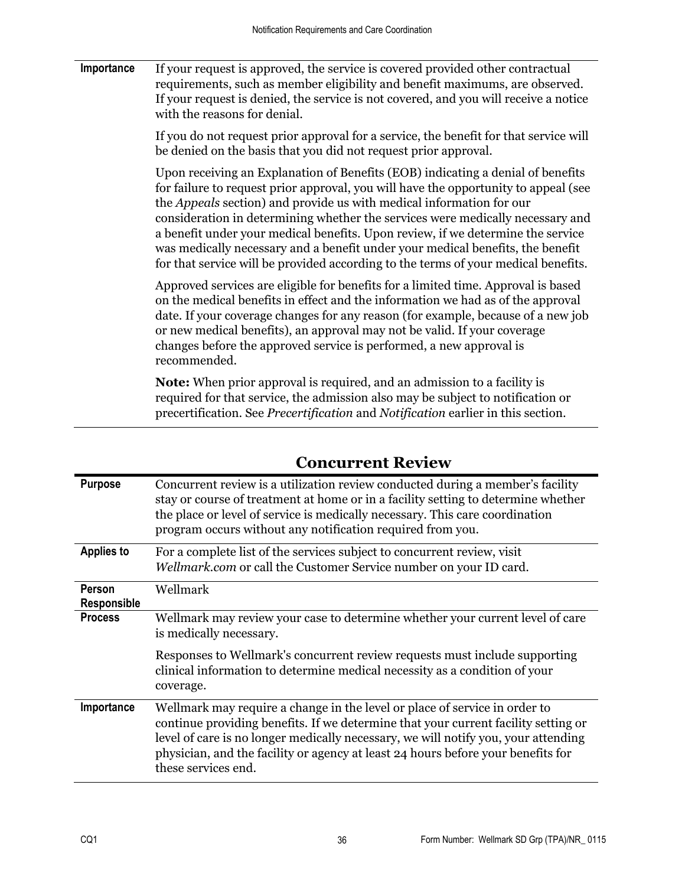**Importance** If your request is approved, the service is covered provided other contractual requirements, such as member eligibility and benefit maximums, are observed. If your request is denied, the service is not covered, and you will receive a notice with the reasons for denial.

> If you do not request prior approval for a service, the benefit for that service will be denied on the basis that you did not request prior approval.

> Upon receiving an Explanation of Benefits (EOB) indicating a denial of benefits for failure to request prior approval, you will have the opportunity to appeal (see the *Appeals* section) and provide us with medical information for our consideration in determining whether the services were medically necessary and a benefit under your medical benefits. Upon review, if we determine the service was medically necessary and a benefit under your medical benefits, the benefit for that service will be provided according to the terms of your medical benefits.

> Approved services are eligible for benefits for a limited time. Approval is based on the medical benefits in effect and the information we had as of the approval date. If your coverage changes for any reason (for example, because of a new job or new medical benefits), an approval may not be valid. If your coverage changes before the approved service is performed, a new approval is recommended.

**Note:** When prior approval is required, and an admission to a facility is required for that service, the admission also may be subject to notification or precertification. See *Precertification* and *Notification* earlier in this section.

| <b>Purpose</b>        | Concurrent review is a utilization review conducted during a member's facility<br>stay or course of treatment at home or in a facility setting to determine whether<br>the place or level of service is medically necessary. This care coordination<br>program occurs without any notification required from you.                                                 |
|-----------------------|-------------------------------------------------------------------------------------------------------------------------------------------------------------------------------------------------------------------------------------------------------------------------------------------------------------------------------------------------------------------|
| <b>Applies to</b>     | For a complete list of the services subject to concurrent review, visit<br>Wellmark.com or call the Customer Service number on your ID card.                                                                                                                                                                                                                      |
| Person<br>Responsible | Wellmark                                                                                                                                                                                                                                                                                                                                                          |
| <b>Process</b>        | Wellmark may review your case to determine whether your current level of care<br>is medically necessary.                                                                                                                                                                                                                                                          |
|                       | Responses to Wellmark's concurrent review requests must include supporting<br>clinical information to determine medical necessity as a condition of your<br>coverage.                                                                                                                                                                                             |
| Importance            | Wellmark may require a change in the level or place of service in order to<br>continue providing benefits. If we determine that your current facility setting or<br>level of care is no longer medically necessary, we will notify you, your attending<br>physician, and the facility or agency at least 24 hours before your benefits for<br>these services end. |

## **Concurrent Review**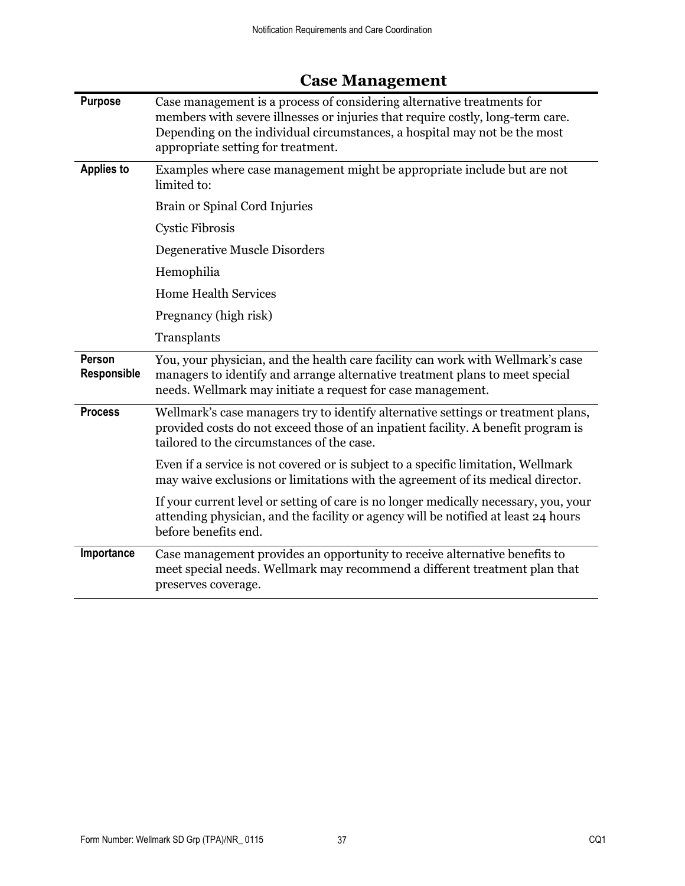| <b>Purpose</b>        | Case management is a process of considering alternative treatments for<br>members with severe illnesses or injuries that require costly, long-term care.<br>Depending on the individual circumstances, a hospital may not be the most<br>appropriate setting for treatment. |
|-----------------------|-----------------------------------------------------------------------------------------------------------------------------------------------------------------------------------------------------------------------------------------------------------------------------|
| <b>Applies to</b>     | Examples where case management might be appropriate include but are not<br>limited to:                                                                                                                                                                                      |
|                       | Brain or Spinal Cord Injuries                                                                                                                                                                                                                                               |
|                       | <b>Cystic Fibrosis</b>                                                                                                                                                                                                                                                      |
|                       | Degenerative Muscle Disorders                                                                                                                                                                                                                                               |
|                       | Hemophilia                                                                                                                                                                                                                                                                  |
|                       | <b>Home Health Services</b>                                                                                                                                                                                                                                                 |
|                       | Pregnancy (high risk)                                                                                                                                                                                                                                                       |
|                       | Transplants                                                                                                                                                                                                                                                                 |
| Person<br>Responsible | You, your physician, and the health care facility can work with Wellmark's case<br>managers to identify and arrange alternative treatment plans to meet special<br>needs. Wellmark may initiate a request for case management.                                              |
| <b>Process</b>        | Wellmark's case managers try to identify alternative settings or treatment plans,<br>provided costs do not exceed those of an inpatient facility. A benefit program is<br>tailored to the circumstances of the case.                                                        |
|                       | Even if a service is not covered or is subject to a specific limitation, Wellmark<br>may waive exclusions or limitations with the agreement of its medical director.                                                                                                        |
|                       | If your current level or setting of care is no longer medically necessary, you, your<br>attending physician, and the facility or agency will be notified at least 24 hours<br>before benefits end.                                                                          |
| Importance            | Case management provides an opportunity to receive alternative benefits to<br>meet special needs. Wellmark may recommend a different treatment plan that<br>preserves coverage.                                                                                             |

# **Case Management**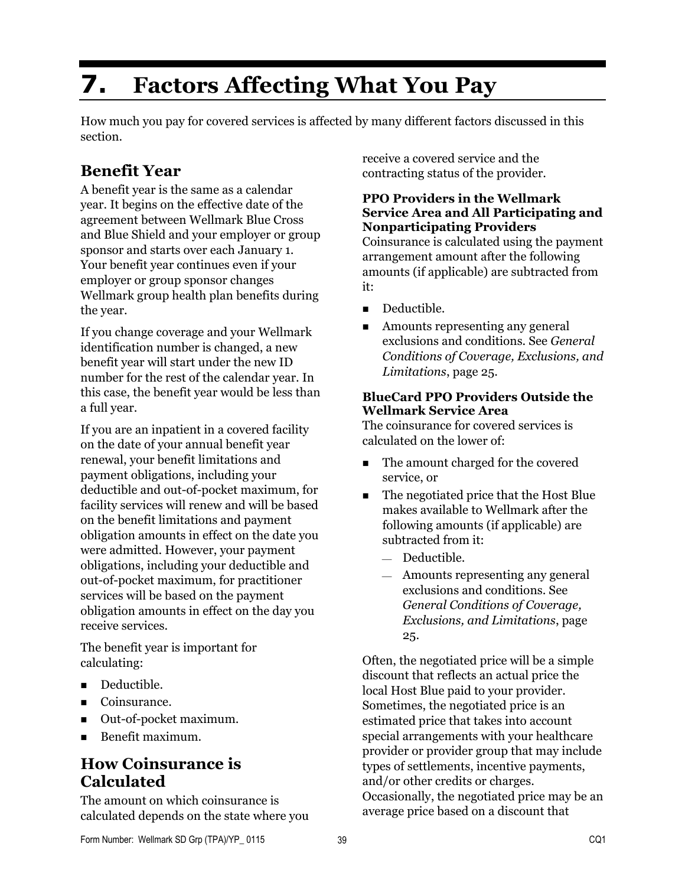# **7. Factors Affecting What You Pay**

How much you pay for covered services is affected by many different factors discussed in this section.

# **Benefit Year**

A benefit year is the same as a calendar year. It begins on the effective date of the agreement between Wellmark Blue Cross and Blue Shield and your employer or group sponsor and starts over each January 1. Your benefit year continues even if your employer or group sponsor changes Wellmark group health plan benefits during the year.

If you change coverage and your Wellmark identification number is changed, a new benefit year will start under the new ID number for the rest of the calendar year. In this case, the benefit year would be less than a full year.

If you are an inpatient in a covered facility on the date of your annual benefit year renewal, your benefit limitations and payment obligations, including your deductible and out-of-pocket maximum, for facility services will renew and will be based on the benefit limitations and payment obligation amounts in effect on the date you were admitted. However, your payment obligations, including your deductible and out-of-pocket maximum, for practitioner services will be based on the payment obligation amounts in effect on the day you receive services.

The benefit year is important for calculating:

- Deductible.
- Coinsurance.
- Out-of-pocket maximum.
- Benefit maximum.

### **How Coinsurance is Calculated**

The amount on which coinsurance is calculated depends on the state where you receive a covered service and the contracting status of the provider.

#### **PPO Providers in the Wellmark Service Area and All Participating and Nonparticipating Providers**

Coinsurance is calculated using the payment arrangement amount after the following amounts (if applicable) are subtracted from it:

- Deductible.
- Amounts representing any general exclusions and conditions. See *General Conditions of Coverage, Exclusions, and Limitations*, page 25.

#### **BlueCard PPO Providers Outside the Wellmark Service Area**

The coinsurance for covered services is calculated on the lower of:

- The amount charged for the covered service, or
- The negotiated price that the Host Blue makes available to Wellmark after the following amounts (if applicable) are subtracted from it:
	- Deductible.
	- Amounts representing any general exclusions and conditions. See *General Conditions of Coverage, Exclusions, and Limitations*, page 25.

Often, the negotiated price will be a simple discount that reflects an actual price the local Host Blue paid to your provider. Sometimes, the negotiated price is an estimated price that takes into account special arrangements with your healthcare provider or provider group that may include types of settlements, incentive payments, and/or other credits or charges. Occasionally, the negotiated price may be an average price based on a discount that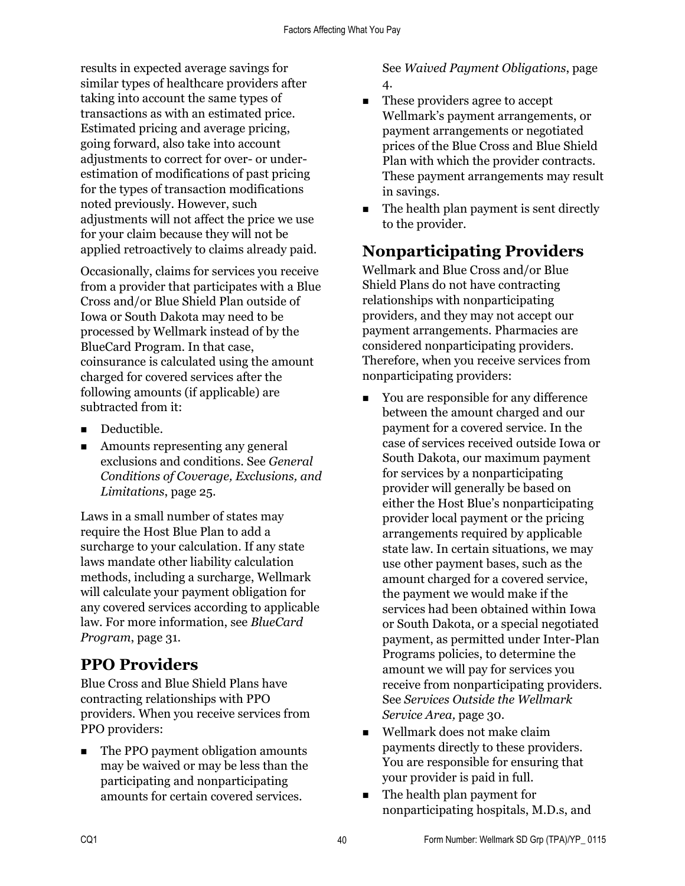results in expected average savings for similar types of healthcare providers after taking into account the same types of transactions as with an estimated price. Estimated pricing and average pricing, going forward, also take into account adjustments to correct for over- or underestimation of modifications of past pricing for the types of transaction modifications noted previously. However, such adjustments will not affect the price we use for your claim because they will not be applied retroactively to claims already paid.

Occasionally, claims for services you receive from a provider that participates with a Blue Cross and/or Blue Shield Plan outside of Iowa or South Dakota may need to be processed by Wellmark instead of by the BlueCard Program. In that case, coinsurance is calculated using the amount charged for covered services after the following amounts (if applicable) are subtracted from it:

- Deductible.
- Amounts representing any general exclusions and conditions. See *General Conditions of Coverage, Exclusions, and Limitations*, page 25.

Laws in a small number of states may require the Host Blue Plan to add a surcharge to your calculation. If any state laws mandate other liability calculation methods, including a surcharge, Wellmark will calculate your payment obligation for any covered services according to applicable law. For more information, see *BlueCard Program*, page 31.

# **PPO Providers**

Blue Cross and Blue Shield Plans have contracting relationships with PPO providers. When you receive services from PPO providers:

• The PPO payment obligation amounts may be waived or may be less than the participating and nonparticipating amounts for certain covered services.

See *Waived Payment Obligations*, page 4.

- These providers agree to accept Wellmark's payment arrangements, or payment arrangements or negotiated prices of the Blue Cross and Blue Shield Plan with which the provider contracts. These payment arrangements may result in savings.
- The health plan payment is sent directly to the provider.

# **Nonparticipating Providers**

Wellmark and Blue Cross and/or Blue Shield Plans do not have contracting relationships with nonparticipating providers, and they may not accept our payment arrangements. Pharmacies are considered nonparticipating providers. Therefore, when you receive services from nonparticipating providers:

- You are responsible for any difference between the amount charged and our payment for a covered service. In the case of services received outside Iowa or South Dakota, our maximum payment for services by a nonparticipating provider will generally be based on either the Host Blue's nonparticipating provider local payment or the pricing arrangements required by applicable state law. In certain situations, we may use other payment bases, such as the amount charged for a covered service, the payment we would make if the services had been obtained within Iowa or South Dakota, or a special negotiated payment, as permitted under Inter-Plan Programs policies, to determine the amount we will pay for services you receive from nonparticipating providers. See *Services Outside the Wellmark Service Area,* page 30.
- Wellmark does not make claim payments directly to these providers. You are responsible for ensuring that your provider is paid in full.
- The health plan payment for nonparticipating hospitals, M.D.s, and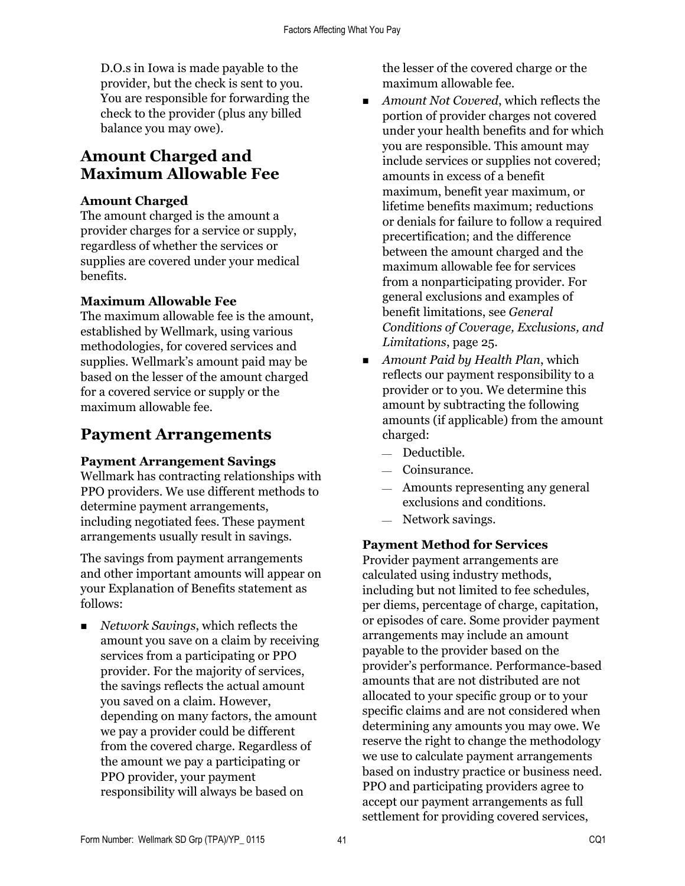D.O.s in Iowa is made payable to the provider, but the check is sent to you. You are responsible for forwarding the check to the provider (plus any billed balance you may owe).

## **Amount Charged and Maximum Allowable Fee**

#### **Amount Charged**

The amount charged is the amount a provider charges for a service or supply, regardless of whether the services or supplies are covered under your medical benefits.

#### **Maximum Allowable Fee**

The maximum allowable fee is the amount, established by Wellmark, using various methodologies, for covered services and supplies. Wellmark's amount paid may be based on the lesser of the amount charged for a covered service or supply or the maximum allowable fee.

## **Payment Arrangements**

#### **Payment Arrangement Savings**

Wellmark has contracting relationships with PPO providers. We use different methods to determine payment arrangements, including negotiated fees. These payment arrangements usually result in savings.

The savings from payment arrangements and other important amounts will appear on your Explanation of Benefits statement as follows:

 *Network Savings*, which reflects the amount you save on a claim by receiving services from a participating or PPO provider. For the majority of services, the savings reflects the actual amount you saved on a claim. However, depending on many factors, the amount we pay a provider could be different from the covered charge. Regardless of the amount we pay a participating or PPO provider, your payment responsibility will always be based on

the lesser of the covered charge or the maximum allowable fee.

- *Amount Not Covered*, which reflects the portion of provider charges not covered under your health benefits and for which you are responsible. This amount may include services or supplies not covered; amounts in excess of a benefit maximum, benefit year maximum, or lifetime benefits maximum; reductions or denials for failure to follow a required precertification; and the difference between the amount charged and the maximum allowable fee for services from a nonparticipating provider. For general exclusions and examples of benefit limitations, see *General Conditions of Coverage, Exclusions, and Limitations*, page 25.
- *Amount Paid by Health Plan*, which reflects our payment responsibility to a provider or to you. We determine this amount by subtracting the following amounts (if applicable) from the amount charged:
	- Deductible.
	- $-$  Coinsurance.
	- Amounts representing any general exclusions and conditions.
	- $-$  Network savings.

#### **Payment Method for Services**

Provider payment arrangements are calculated using industry methods, including but not limited to fee schedules, per diems, percentage of charge, capitation, or episodes of care. Some provider payment arrangements may include an amount payable to the provider based on the provider's performance. Performance-based amounts that are not distributed are not allocated to your specific group or to your specific claims and are not considered when determining any amounts you may owe. We reserve the right to change the methodology we use to calculate payment arrangements based on industry practice or business need. PPO and participating providers agree to accept our payment arrangements as full settlement for providing covered services,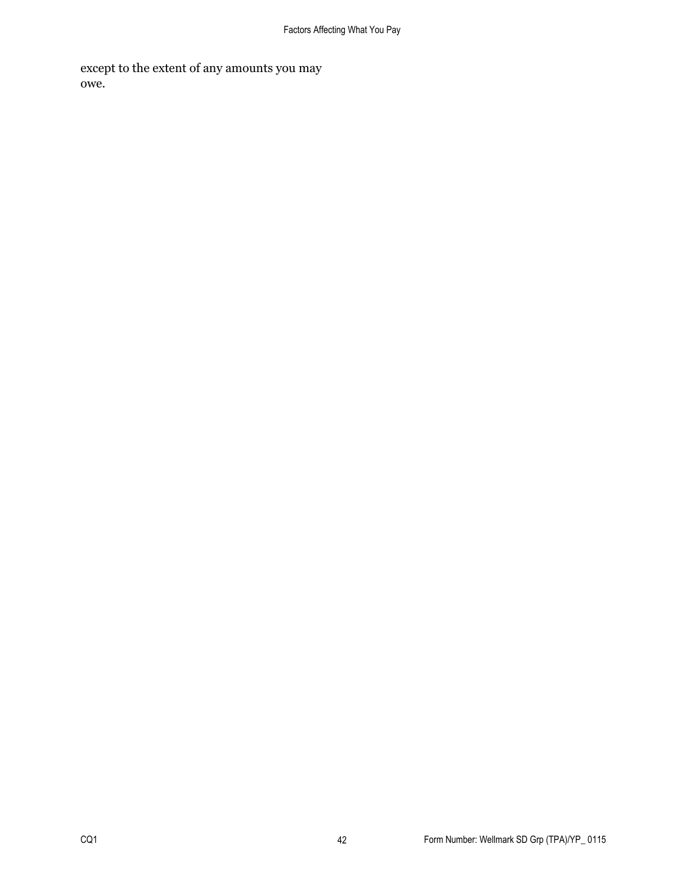except to the extent of any amounts you may owe.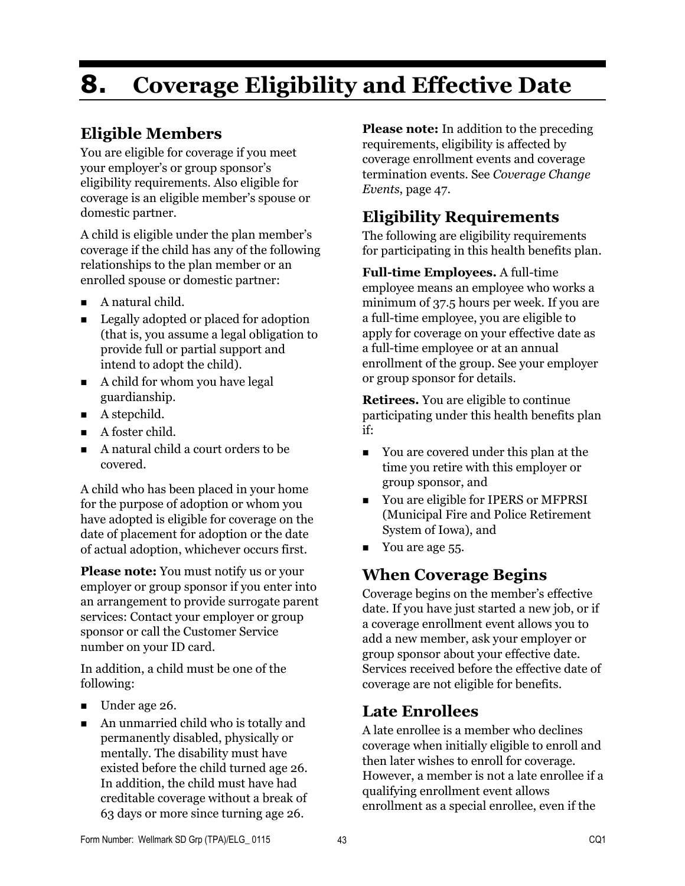# **8. Coverage Eligibility and Effective Date**

## **Eligible Members**

You are eligible for coverage if you meet your employer's or group sponsor's eligibility requirements. Also eligible for coverage is an eligible member's spouse or domestic partner.

A child is eligible under the plan member's coverage if the child has any of the following relationships to the plan member or an enrolled spouse or domestic partner:

- A natural child.
- Legally adopted or placed for adoption (that is, you assume a legal obligation to provide full or partial support and intend to adopt the child).
- A child for whom you have legal guardianship.
- A stepchild.
- A foster child.
- A natural child a court orders to be covered.

A child who has been placed in your home for the purpose of adoption or whom you have adopted is eligible for coverage on the date of placement for adoption or the date of actual adoption, whichever occurs first.

**Please note:** You must notify us or your employer or group sponsor if you enter into an arrangement to provide surrogate parent services: Contact your employer or group sponsor or call the Customer Service number on your ID card.

In addition, a child must be one of the following:

- Under age 26.
- An unmarried child who is totally and permanently disabled, physically or mentally. The disability must have existed before the child turned age 26. In addition, the child must have had creditable coverage without a break of 63 days or more since turning age 26.

**Please note:** In addition to the preceding requirements, eligibility is affected by coverage enrollment events and coverage termination events. See *Coverage Change Events*, page 47.

## **Eligibility Requirements**

The following are eligibility requirements for participating in this health benefits plan.

**Full-time Employees.** A full-time employee means an employee who works a minimum of 37.5 hours per week. If you are a full-time employee, you are eligible to apply for coverage on your effective date as a full-time employee or at an annual enrollment of the group. See your employer or group sponsor for details.

**Retirees.** You are eligible to continue participating under this health benefits plan if:

- You are covered under this plan at the time you retire with this employer or group sponsor, and
- You are eligible for IPERS or MFPRSI (Municipal Fire and Police Retirement System of Iowa), and
- Vou are age 55.

## **When Coverage Begins**

Coverage begins on the member's effective date. If you have just started a new job, or if a coverage enrollment event allows you to add a new member, ask your employer or group sponsor about your effective date. Services received before the effective date of coverage are not eligible for benefits.

## **Late Enrollees**

A late enrollee is a member who declines coverage when initially eligible to enroll and then later wishes to enroll for coverage. However, a member is not a late enrollee if a qualifying enrollment event allows enrollment as a special enrollee, even if the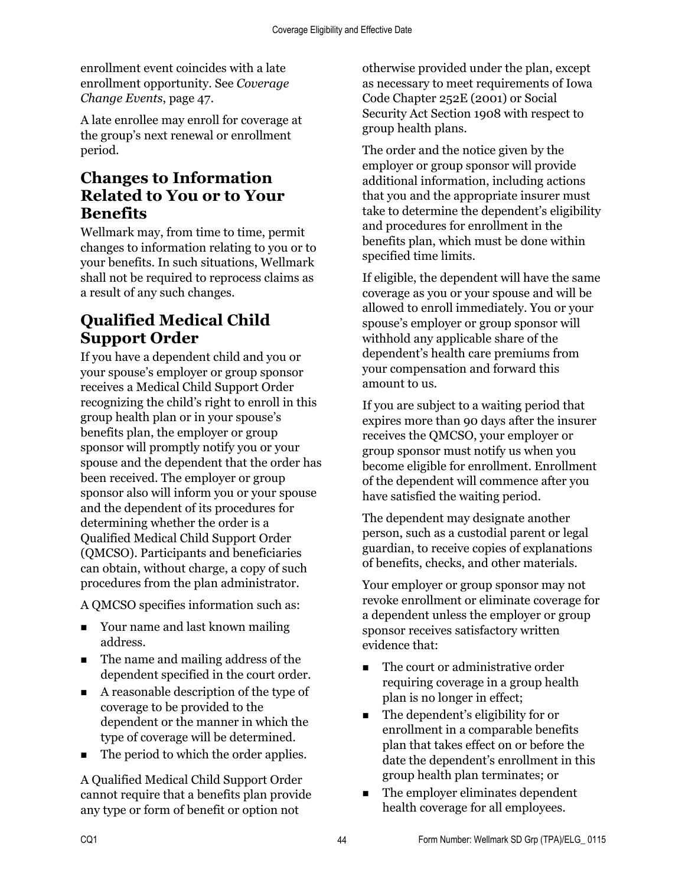enrollment event coincides with a late enrollment opportunity. See *Coverage Change Events*, page 47.

A late enrollee may enroll for coverage at the group's next renewal or enrollment period.

## **Changes to Information Related to You or to Your Benefits**

Wellmark may, from time to time, permit changes to information relating to you or to your benefits. In such situations, Wellmark shall not be required to reprocess claims as a result of any such changes.

## **Qualified Medical Child Support Order**

If you have a dependent child and you or your spouse's employer or group sponsor receives a Medical Child Support Order recognizing the child's right to enroll in this group health plan or in your spouse's benefits plan, the employer or group sponsor will promptly notify you or your spouse and the dependent that the order has been received. The employer or group sponsor also will inform you or your spouse and the dependent of its procedures for determining whether the order is a Qualified Medical Child Support Order (QMCSO). Participants and beneficiaries can obtain, without charge, a copy of such procedures from the plan administrator.

A QMCSO specifies information such as:

- Your name and last known mailing address.
- The name and mailing address of the dependent specified in the court order.
- A reasonable description of the type of coverage to be provided to the dependent or the manner in which the type of coverage will be determined.
- The period to which the order applies.

A Qualified Medical Child Support Order cannot require that a benefits plan provide any type or form of benefit or option not

otherwise provided under the plan, except as necessary to meet requirements of Iowa Code Chapter 252E (2001) or Social Security Act Section 1908 with respect to group health plans.

The order and the notice given by the employer or group sponsor will provide additional information, including actions that you and the appropriate insurer must take to determine the dependent's eligibility and procedures for enrollment in the benefits plan, which must be done within specified time limits.

If eligible, the dependent will have the same coverage as you or your spouse and will be allowed to enroll immediately. You or your spouse's employer or group sponsor will withhold any applicable share of the dependent's health care premiums from your compensation and forward this amount to us.

If you are subject to a waiting period that expires more than 90 days after the insurer receives the QMCSO, your employer or group sponsor must notify us when you become eligible for enrollment. Enrollment of the dependent will commence after you have satisfied the waiting period.

The dependent may designate another person, such as a custodial parent or legal guardian, to receive copies of explanations of benefits, checks, and other materials.

Your employer or group sponsor may not revoke enrollment or eliminate coverage for a dependent unless the employer or group sponsor receives satisfactory written evidence that:

- The court or administrative order requiring coverage in a group health plan is no longer in effect;
- The dependent's eligibility for or enrollment in a comparable benefits plan that takes effect on or before the date the dependent's enrollment in this group health plan terminates; or
- The employer eliminates dependent health coverage for all employees.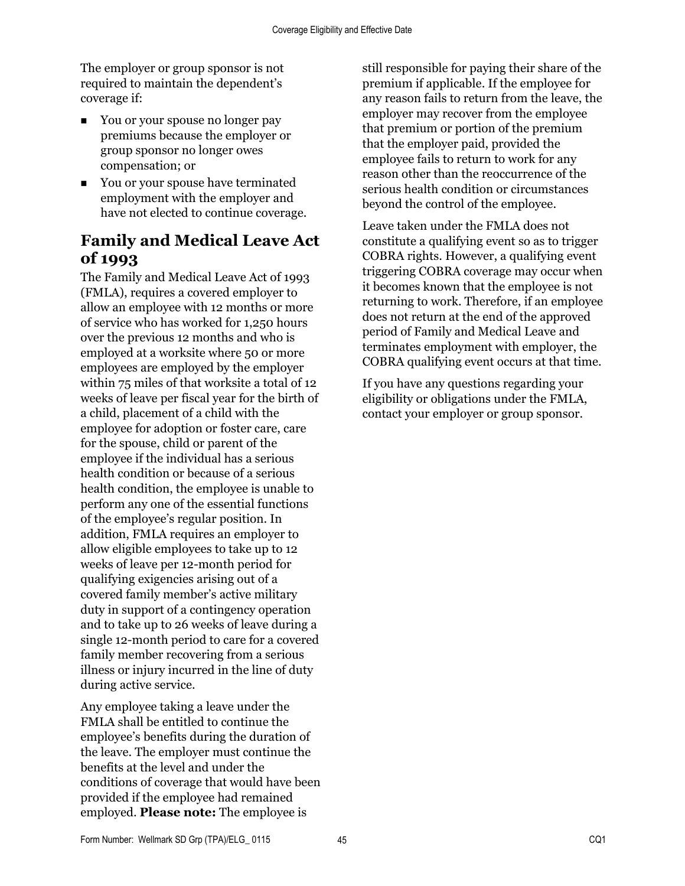The employer or group sponsor is not required to maintain the dependent's coverage if:

- You or your spouse no longer pay premiums because the employer or group sponsor no longer owes compensation; or
- You or your spouse have terminated employment with the employer and have not elected to continue coverage.

## **Family and Medical Leave Act of 1993**

The Family and Medical Leave Act of 1993 (FMLA), requires a covered employer to allow an employee with 12 months or more of service who has worked for 1,250 hours over the previous 12 months and who is employed at a worksite where 50 or more employees are employed by the employer within 75 miles of that worksite a total of 12 weeks of leave per fiscal year for the birth of a child, placement of a child with the employee for adoption or foster care, care for the spouse, child or parent of the employee if the individual has a serious health condition or because of a serious health condition, the employee is unable to perform any one of the essential functions of the employee's regular position. In addition, FMLA requires an employer to allow eligible employees to take up to 12 weeks of leave per 12-month period for qualifying exigencies arising out of a covered family member's active military duty in support of a contingency operation and to take up to 26 weeks of leave during a single 12-month period to care for a covered family member recovering from a serious illness or injury incurred in the line of duty during active service.

Any employee taking a leave under the FMLA shall be entitled to continue the employee's benefits during the duration of the leave. The employer must continue the benefits at the level and under the conditions of coverage that would have been provided if the employee had remained employed. **Please note:** The employee is

still responsible for paying their share of the premium if applicable. If the employee for any reason fails to return from the leave, the employer may recover from the employee that premium or portion of the premium that the employer paid, provided the employee fails to return to work for any reason other than the reoccurrence of the serious health condition or circumstances beyond the control of the employee.

Leave taken under the FMLA does not constitute a qualifying event so as to trigger COBRA rights. However, a qualifying event triggering COBRA coverage may occur when it becomes known that the employee is not returning to work. Therefore, if an employee does not return at the end of the approved period of Family and Medical Leave and terminates employment with employer, the COBRA qualifying event occurs at that time.

If you have any questions regarding your eligibility or obligations under the FMLA, contact your employer or group sponsor.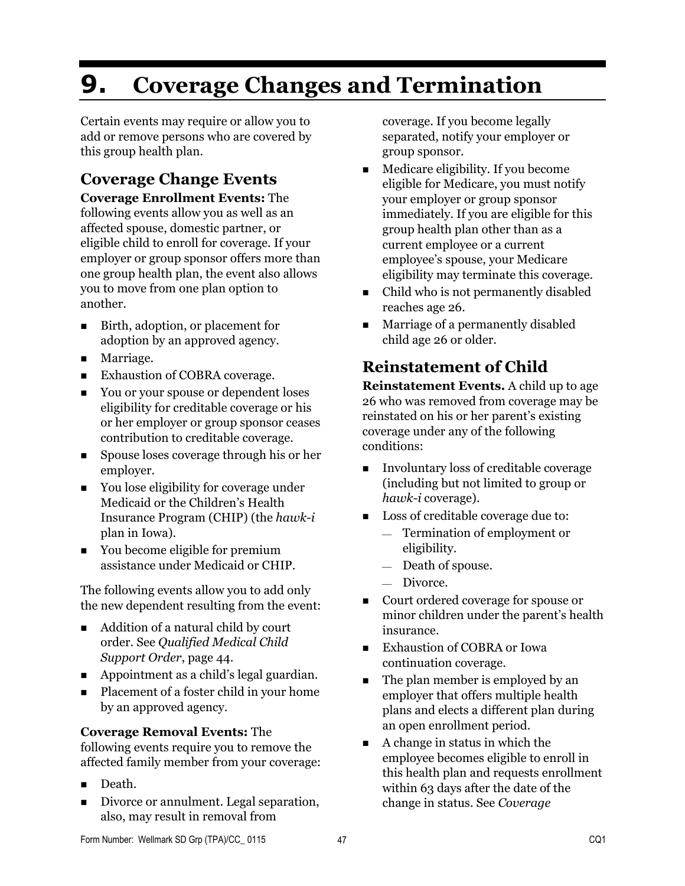# **9. Coverage Changes and Termination**

Certain events may require or allow you to add or remove persons who are covered by this group health plan.

# **Coverage Change Events**

**Coverage Enrollment Events:** The following events allow you as well as an affected spouse, domestic partner, or eligible child to enroll for coverage. If your employer or group sponsor offers more than one group health plan, the event also allows you to move from one plan option to another.

- Birth, adoption, or placement for adoption by an approved agency.
- **Marriage.**
- Exhaustion of COBRA coverage.
- You or your spouse or dependent loses eligibility for creditable coverage or his or her employer or group sponsor ceases contribution to creditable coverage.
- Spouse loses coverage through his or her employer.
- You lose eligibility for coverage under Medicaid or the Children's Health Insurance Program (CHIP) (the *hawk-i* plan in Iowa).
- You become eligible for premium assistance under Medicaid or CHIP.

The following events allow you to add only the new dependent resulting from the event:

- Addition of a natural child by court order. See *Qualified Medical Child Support Order*, page 44.
- Appointment as a child's legal guardian.
- Placement of a foster child in your home by an approved agency.

#### **Coverage Removal Events:** The

following events require you to remove the affected family member from your coverage:

- Death.
- Divorce or annulment. Legal separation, also, may result in removal from

coverage. If you become legally separated, notify your employer or group sponsor.

- $\blacksquare$  Medicare eligibility. If you become eligible for Medicare, you must notify your employer or group sponsor immediately. If you are eligible for this group health plan other than as a current employee or a current employee's spouse, your Medicare eligibility may terminate this coverage.
- Child who is not permanently disabled reaches age 26.
- Marriage of a permanently disabled child age 26 or older.

# **Reinstatement of Child**

**Reinstatement Events.** A child up to age 26 who was removed from coverage may be reinstated on his or her parent's existing coverage under any of the following conditions:

- Involuntary loss of creditable coverage (including but not limited to group or *hawk-i* coverage).
- Loss of creditable coverage due to: Termination of employment or eligibility.
	- Death of spouse.
	- Divorce.
- Court ordered coverage for spouse or minor children under the parent's health insurance.
- **Exhaustion of COBRA or Iowa** continuation coverage.
- The plan member is employed by an employer that offers multiple health plans and elects a different plan during an open enrollment period.
- $\blacksquare$  A change in status in which the employee becomes eligible to enroll in this health plan and requests enrollment within 63 days after the date of the change in status. See *Coverage*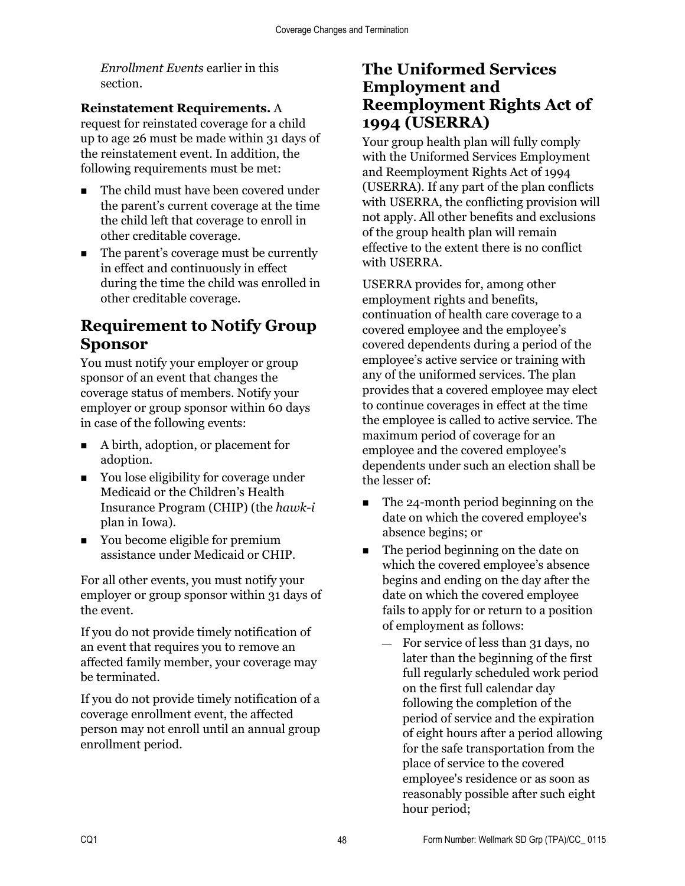*Enrollment Events* earlier in this section.

#### **Reinstatement Requirements.** A

request for reinstated coverage for a child up to age 26 must be made within 31 days of the reinstatement event. In addition, the following requirements must be met:

- The child must have been covered under the parent's current coverage at the time the child left that coverage to enroll in other creditable coverage.
- The parent's coverage must be currently in effect and continuously in effect during the time the child was enrolled in other creditable coverage.

## **Requirement to Notify Group Sponsor**

You must notify your employer or group sponsor of an event that changes the coverage status of members. Notify your employer or group sponsor within 60 days in case of the following events:

- A birth, adoption, or placement for adoption.
- You lose eligibility for coverage under Medicaid or the Children's Health Insurance Program (CHIP) (the *hawk-i* plan in Iowa).
- You become eligible for premium assistance under Medicaid or CHIP.

For all other events, you must notify your employer or group sponsor within 31 days of the event.

If you do not provide timely notification of an event that requires you to remove an affected family member, your coverage may be terminated.

If you do not provide timely notification of a coverage enrollment event, the affected person may not enroll until an annual group enrollment period.

### **The Uniformed Services Employment and Reemployment Rights Act of 1994 (USERRA)**

Your group health plan will fully comply with the Uniformed Services Employment and Reemployment Rights Act of 1994 (USERRA). If any part of the plan conflicts with USERRA, the conflicting provision will not apply. All other benefits and exclusions of the group health plan will remain effective to the extent there is no conflict with USERRA.

USERRA provides for, among other employment rights and benefits, continuation of health care coverage to a covered employee and the employee's covered dependents during a period of the employee's active service or training with any of the uniformed services. The plan provides that a covered employee may elect to continue coverages in effect at the time the employee is called to active service. The maximum period of coverage for an employee and the covered employee's dependents under such an election shall be the lesser of:

- The 24-month period beginning on the date on which the covered employee's absence begins; or
- The period beginning on the date on which the covered employee's absence begins and ending on the day after the date on which the covered employee fails to apply for or return to a position of employment as follows:
	- $-$  For service of less than 31 days, no later than the beginning of the first full regularly scheduled work period on the first full calendar day following the completion of the period of service and the expiration of eight hours after a period allowing for the safe transportation from the place of service to the covered employee's residence or as soon as reasonably possible after such eight hour period;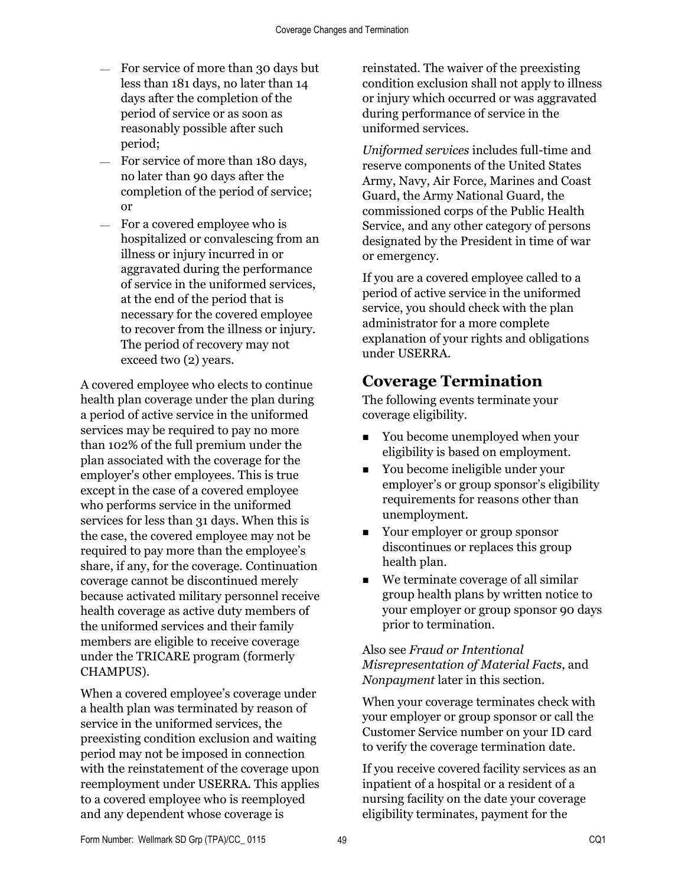- For service of more than 30 days but less than 181 days, no later than 14 days after the completion of the period of service or as soon as reasonably possible after such period;
- $-$  For service of more than 180 days, no later than 90 days after the completion of the period of service; or
- For a covered employee who is hospitalized or convalescing from an illness or injury incurred in or aggravated during the performance of service in the uniformed services, at the end of the period that is necessary for the covered employee to recover from the illness or injury. The period of recovery may not exceed two (2) years.

A covered employee who elects to continue health plan coverage under the plan during a period of active service in the uniformed services may be required to pay no more than 102% of the full premium under the plan associated with the coverage for the employer's other employees. This is true except in the case of a covered employee who performs service in the uniformed services for less than 31 days. When this is the case, the covered employee may not be required to pay more than the employee's share, if any, for the coverage. Continuation coverage cannot be discontinued merely because activated military personnel receive health coverage as active duty members of the uniformed services and their family members are eligible to receive coverage under the TRICARE program (formerly CHAMPUS).

When a covered employee's coverage under a health plan was terminated by reason of service in the uniformed services, the preexisting condition exclusion and waiting period may not be imposed in connection with the reinstatement of the coverage upon reemployment under USERRA. This applies to a covered employee who is reemployed and any dependent whose coverage is

reinstated. The waiver of the preexisting condition exclusion shall not apply to illness or injury which occurred or was aggravated during performance of service in the uniformed services.

*Uniformed services* includes full-time and reserve components of the United States Army, Navy, Air Force, Marines and Coast Guard, the Army National Guard, the commissioned corps of the Public Health Service, and any other category of persons designated by the President in time of war or emergency.

If you are a covered employee called to a period of active service in the uniformed service, you should check with the plan administrator for a more complete explanation of your rights and obligations under USERRA.

## **Coverage Termination**

The following events terminate your coverage eligibility.

- You become unemployed when your eligibility is based on employment.
- You become ineligible under your employer's or group sponsor's eligibility requirements for reasons other than unemployment.
- Your employer or group sponsor discontinues or replaces this group health plan.
- We terminate coverage of all similar group health plans by written notice to your employer or group sponsor 90 days prior to termination.

#### Also see *Fraud or Intentional Misrepresentation of Material Facts*, and *Nonpayment* later in this section.

When your coverage terminates check with your employer or group sponsor or call the Customer Service number on your ID card to verify the coverage termination date.

If you receive covered facility services as an inpatient of a hospital or a resident of a nursing facility on the date your coverage eligibility terminates, payment for the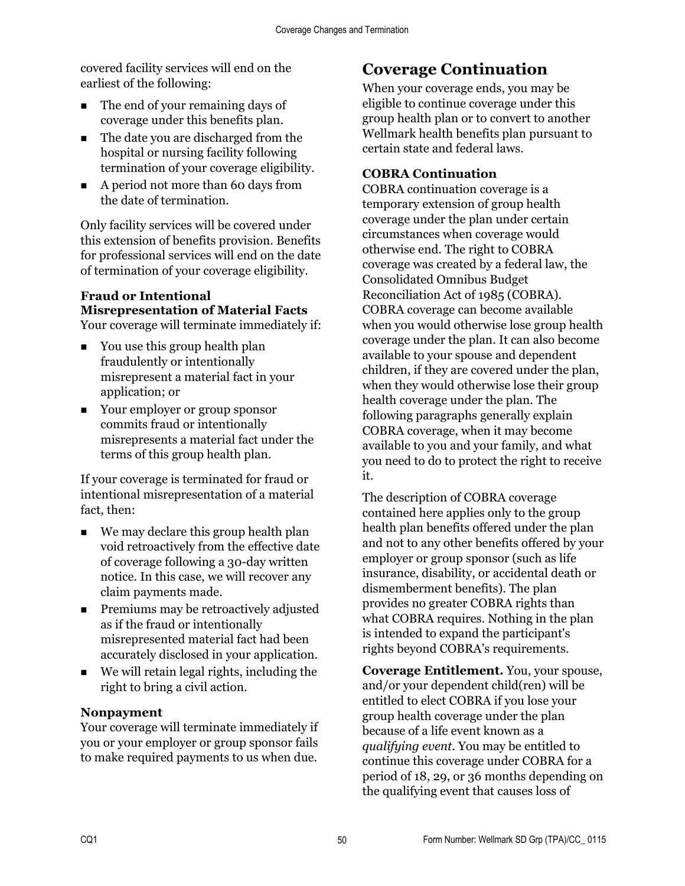covered facility services will end on the earliest of the following:

- The end of your remaining days of coverage under this benefits plan.
- The date you are discharged from the hospital or nursing facility following termination of your coverage eligibility.
- A period not more than 60 days from the date of termination.

Only facility services will be covered under this extension of benefits provision. Benefits for professional services will end on the date of termination of your coverage eligibility.

#### **Fraud or Intentional Misrepresentation of Material Facts**  Your coverage will terminate immediately if:

- You use this group health plan fraudulently or intentionally misrepresent a material fact in your application; or
- Your employer or group sponsor commits fraud or intentionally misrepresents a material fact under the terms of this group health plan.

If your coverage is terminated for fraud or intentional misrepresentation of a material fact, then:

- We may declare this group health plan void retroactively from the effective date of coverage following a 30-day written notice. In this case, we will recover any claim payments made.
- **Premiums may be retroactively adjusted** as if the fraud or intentionally misrepresented material fact had been accurately disclosed in your application.
- We will retain legal rights, including the right to bring a civil action.

#### **Nonpayment**

Your coverage will terminate immediately if you or your employer or group sponsor fails to make required payments to us when due.

## **Coverage Continuation**

When your coverage ends, you may be eligible to continue coverage under this group health plan or to convert to another Wellmark health benefits plan pursuant to certain state and federal laws.

#### **COBRA Continuation**

COBRA continuation coverage is a temporary extension of group health coverage under the plan under certain circumstances when coverage would otherwise end. The right to COBRA coverage was created by a federal law, the Consolidated Omnibus Budget Reconciliation Act of 1985 (COBRA). COBRA coverage can become available when you would otherwise lose group health coverage under the plan. It can also become available to your spouse and dependent children, if they are covered under the plan, when they would otherwise lose their group health coverage under the plan. The following paragraphs generally explain COBRA coverage, when it may become available to you and your family, and what you need to do to protect the right to receive it.

The description of COBRA coverage contained here applies only to the group health plan benefits offered under the plan and not to any other benefits offered by your employer or group sponsor (such as life insurance, disability, or accidental death or dismemberment benefits). The plan provides no greater COBRA rights than what COBRA requires. Nothing in the plan is intended to expand the participant's rights beyond COBRA's requirements.

**Coverage Entitlement.** You, your spouse, and/or your dependent child(ren) will be entitled to elect COBRA if you lose your group health coverage under the plan because of a life event known as a *qualifying event*. You may be entitled to continue this coverage under COBRA for a period of 18, 29, or 36 months depending on the qualifying event that causes loss of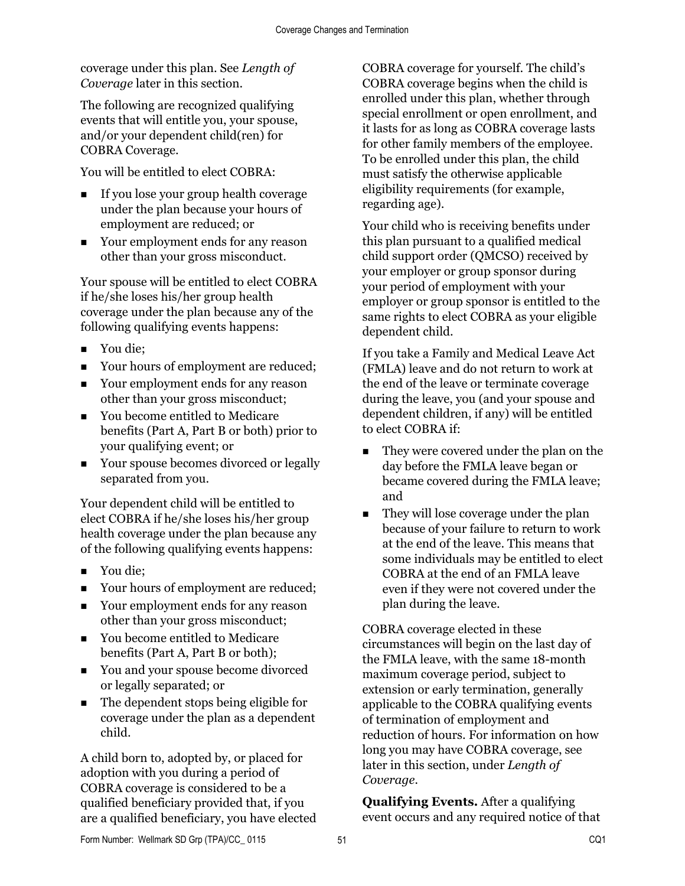coverage under this plan. See *Length of Coverage* later in this section.

The following are recognized qualifying events that will entitle you, your spouse, and/or your dependent child(ren) for COBRA Coverage.

You will be entitled to elect COBRA:

- If you lose your group health coverage under the plan because your hours of employment are reduced; or
- Your employment ends for any reason other than your gross misconduct.

Your spouse will be entitled to elect COBRA if he/she loses his/her group health coverage under the plan because any of the following qualifying events happens:

- You die;
- Your hours of employment are reduced;
- Your employment ends for any reason other than your gross misconduct;
- You become entitled to Medicare benefits (Part A, Part B or both) prior to your qualifying event; or
- Your spouse becomes divorced or legally separated from you.

Your dependent child will be entitled to elect COBRA if he/she loses his/her group health coverage under the plan because any of the following qualifying events happens:

- You die:
- Your hours of employment are reduced;
- Your employment ends for any reason other than your gross misconduct;
- You become entitled to Medicare benefits (Part A, Part B or both);
- You and your spouse become divorced or legally separated; or
- The dependent stops being eligible for coverage under the plan as a dependent child.

A child born to, adopted by, or placed for adoption with you during a period of COBRA coverage is considered to be a qualified beneficiary provided that, if you are a qualified beneficiary, you have elected

COBRA coverage for yourself. The child's COBRA coverage begins when the child is enrolled under this plan, whether through special enrollment or open enrollment, and it lasts for as long as COBRA coverage lasts for other family members of the employee. To be enrolled under this plan, the child must satisfy the otherwise applicable eligibility requirements (for example, regarding age).

Your child who is receiving benefits under this plan pursuant to a qualified medical child support order (QMCSO) received by your employer or group sponsor during your period of employment with your employer or group sponsor is entitled to the same rights to elect COBRA as your eligible dependent child.

If you take a Family and Medical Leave Act (FMLA) leave and do not return to work at the end of the leave or terminate coverage during the leave, you (and your spouse and dependent children, if any) will be entitled to elect COBRA if:

- They were covered under the plan on the day before the FMLA leave began or became covered during the FMLA leave; and
- They will lose coverage under the plan because of your failure to return to work at the end of the leave. This means that some individuals may be entitled to elect COBRA at the end of an FMLA leave even if they were not covered under the plan during the leave.

COBRA coverage elected in these circumstances will begin on the last day of the FMLA leave, with the same 18-month maximum coverage period, subject to extension or early termination, generally applicable to the COBRA qualifying events of termination of employment and reduction of hours. For information on how long you may have COBRA coverage, see later in this section, under *Length of Coverage.* 

**Qualifying Events.** After a qualifying event occurs and any required notice of that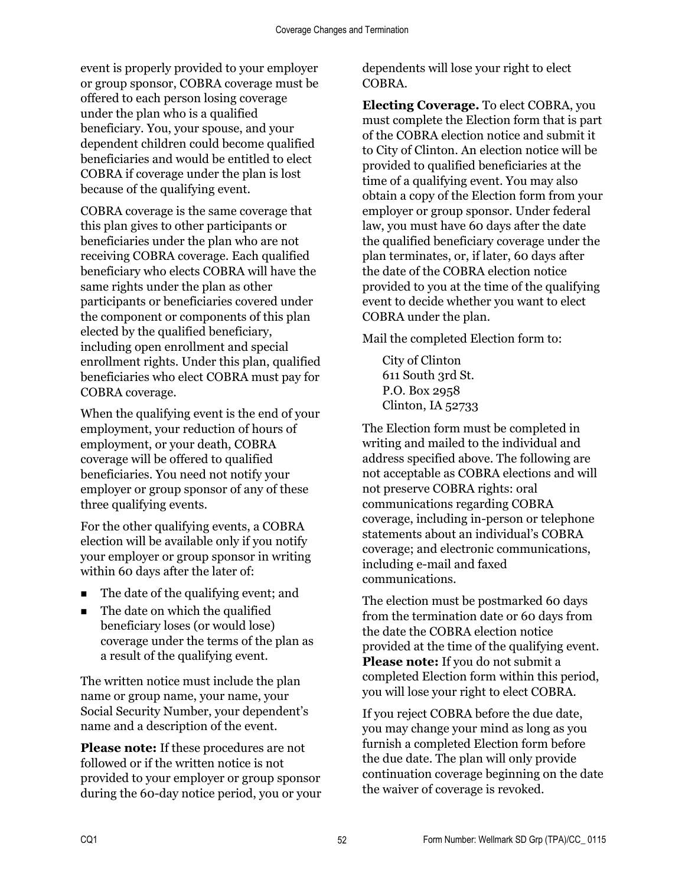event is properly provided to your employer or group sponsor, COBRA coverage must be offered to each person losing coverage under the plan who is a qualified beneficiary. You, your spouse, and your dependent children could become qualified beneficiaries and would be entitled to elect COBRA if coverage under the plan is lost because of the qualifying event.

COBRA coverage is the same coverage that this plan gives to other participants or beneficiaries under the plan who are not receiving COBRA coverage. Each qualified beneficiary who elects COBRA will have the same rights under the plan as other participants or beneficiaries covered under the component or components of this plan elected by the qualified beneficiary, including open enrollment and special enrollment rights. Under this plan, qualified beneficiaries who elect COBRA must pay for COBRA coverage.

When the qualifying event is the end of your employment, your reduction of hours of employment, or your death, COBRA coverage will be offered to qualified beneficiaries. You need not notify your employer or group sponsor of any of these three qualifying events.

For the other qualifying events, a COBRA election will be available only if you notify your employer or group sponsor in writing within 60 days after the later of:

- The date of the qualifying event; and
- The date on which the qualified beneficiary loses (or would lose) coverage under the terms of the plan as a result of the qualifying event.

The written notice must include the plan name or group name, your name, your Social Security Number, your dependent's name and a description of the event.

**Please note:** If these procedures are not followed or if the written notice is not provided to your employer or group sponsor during the 60-day notice period, you or your

dependents will lose your right to elect COBRA.

**Electing Coverage.** To elect COBRA, you must complete the Election form that is part of the COBRA election notice and submit it to City of Clinton. An election notice will be provided to qualified beneficiaries at the time of a qualifying event. You may also obtain a copy of the Election form from your employer or group sponsor. Under federal law, you must have 60 days after the date the qualified beneficiary coverage under the plan terminates, or, if later, 60 days after the date of the COBRA election notice provided to you at the time of the qualifying event to decide whether you want to elect COBRA under the plan.

Mail the completed Election form to:

City of Clinton 611 South 3rd St. P.O. Box 2958 Clinton, IA 52733

The Election form must be completed in writing and mailed to the individual and address specified above. The following are not acceptable as COBRA elections and will not preserve COBRA rights: oral communications regarding COBRA coverage, including in-person or telephone statements about an individual's COBRA coverage; and electronic communications, including e-mail and faxed communications.

The election must be postmarked 60 days from the termination date or 60 days from the date the COBRA election notice provided at the time of the qualifying event. **Please note:** If you do not submit a completed Election form within this period, you will lose your right to elect COBRA.

If you reject COBRA before the due date, you may change your mind as long as you furnish a completed Election form before the due date. The plan will only provide continuation coverage beginning on the date the waiver of coverage is revoked.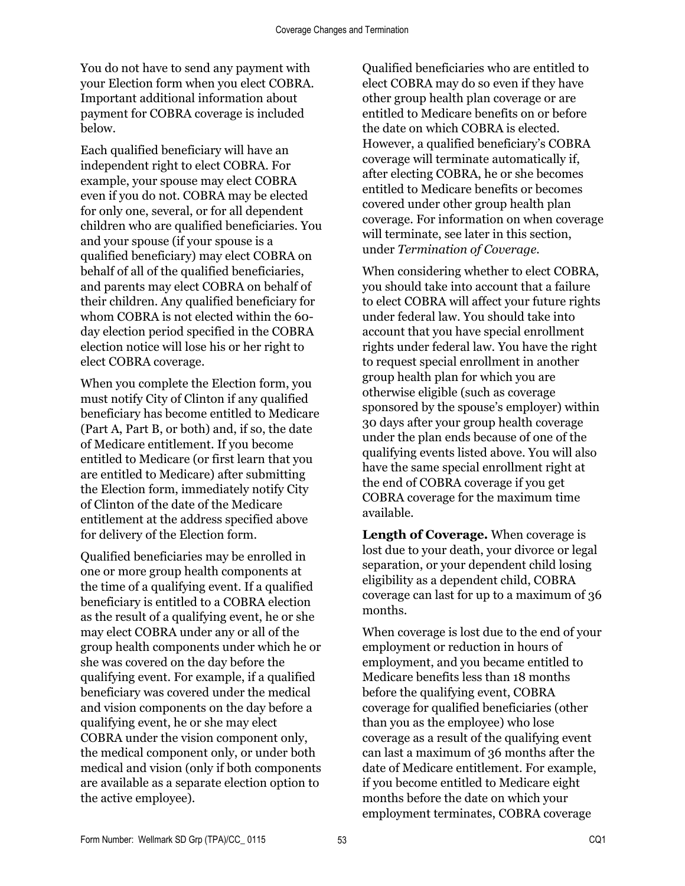You do not have to send any payment with your Election form when you elect COBRA. Important additional information about payment for COBRA coverage is included below.

Each qualified beneficiary will have an independent right to elect COBRA. For example, your spouse may elect COBRA even if you do not. COBRA may be elected for only one, several, or for all dependent children who are qualified beneficiaries. You and your spouse (if your spouse is a qualified beneficiary) may elect COBRA on behalf of all of the qualified beneficiaries, and parents may elect COBRA on behalf of their children. Any qualified beneficiary for whom COBRA is not elected within the 60 day election period specified in the COBRA election notice will lose his or her right to elect COBRA coverage.

When you complete the Election form, you must notify City of Clinton if any qualified beneficiary has become entitled to Medicare (Part A, Part B, or both) and, if so, the date of Medicare entitlement. If you become entitled to Medicare (or first learn that you are entitled to Medicare) after submitting the Election form, immediately notify City of Clinton of the date of the Medicare entitlement at the address specified above for delivery of the Election form.

Qualified beneficiaries may be enrolled in one or more group health components at the time of a qualifying event. If a qualified beneficiary is entitled to a COBRA election as the result of a qualifying event, he or she may elect COBRA under any or all of the group health components under which he or she was covered on the day before the qualifying event. For example, if a qualified beneficiary was covered under the medical and vision components on the day before a qualifying event, he or she may elect COBRA under the vision component only, the medical component only, or under both medical and vision (only if both components are available as a separate election option to the active employee).

Qualified beneficiaries who are entitled to elect COBRA may do so even if they have other group health plan coverage or are entitled to Medicare benefits on or before the date on which COBRA is elected. However, a qualified beneficiary's COBRA coverage will terminate automatically if, after electing COBRA, he or she becomes entitled to Medicare benefits or becomes covered under other group health plan coverage. For information on when coverage will terminate, see later in this section, under *Termination of Coverage.*

When considering whether to elect COBRA, you should take into account that a failure to elect COBRA will affect your future rights under federal law. You should take into account that you have special enrollment rights under federal law. You have the right to request special enrollment in another group health plan for which you are otherwise eligible (such as coverage sponsored by the spouse's employer) within 30 days after your group health coverage under the plan ends because of one of the qualifying events listed above. You will also have the same special enrollment right at the end of COBRA coverage if you get COBRA coverage for the maximum time available.

**Length of Coverage.** When coverage is lost due to your death, your divorce or legal separation, or your dependent child losing eligibility as a dependent child, COBRA coverage can last for up to a maximum of 36 months.

When coverage is lost due to the end of your employment or reduction in hours of employment, and you became entitled to Medicare benefits less than 18 months before the qualifying event, COBRA coverage for qualified beneficiaries (other than you as the employee) who lose coverage as a result of the qualifying event can last a maximum of 36 months after the date of Medicare entitlement. For example, if you become entitled to Medicare eight months before the date on which your employment terminates, COBRA coverage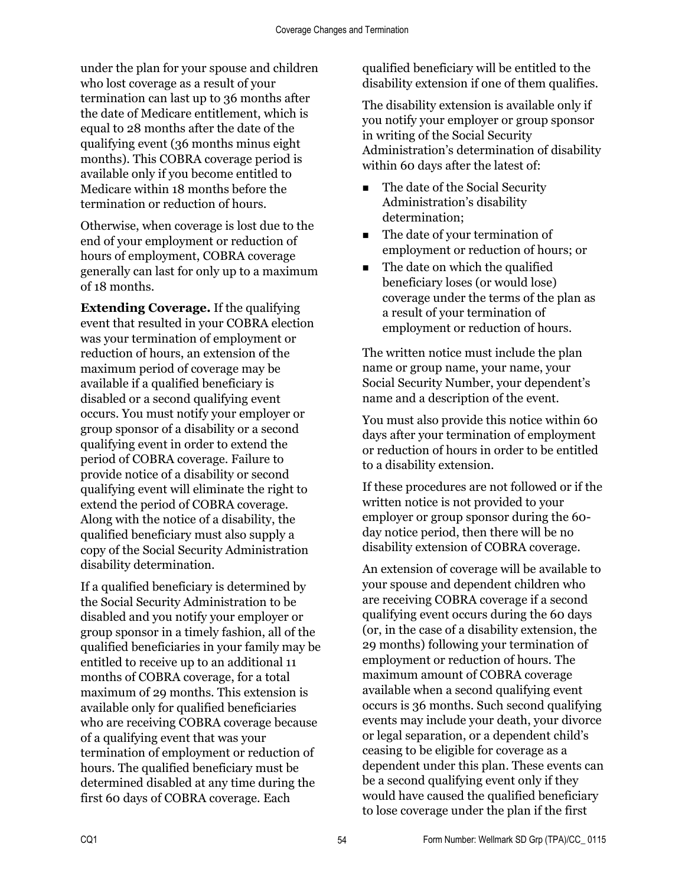under the plan for your spouse and children who lost coverage as a result of your termination can last up to 36 months after the date of Medicare entitlement, which is equal to 28 months after the date of the qualifying event (36 months minus eight months). This COBRA coverage period is available only if you become entitled to Medicare within 18 months before the termination or reduction of hours.

Otherwise, when coverage is lost due to the end of your employment or reduction of hours of employment, COBRA coverage generally can last for only up to a maximum of 18 months.

**Extending Coverage.** If the qualifying event that resulted in your COBRA election was your termination of employment or reduction of hours, an extension of the maximum period of coverage may be available if a qualified beneficiary is disabled or a second qualifying event occurs. You must notify your employer or group sponsor of a disability or a second qualifying event in order to extend the period of COBRA coverage. Failure to provide notice of a disability or second qualifying event will eliminate the right to extend the period of COBRA coverage. Along with the notice of a disability, the qualified beneficiary must also supply a copy of the Social Security Administration disability determination.

If a qualified beneficiary is determined by the Social Security Administration to be disabled and you notify your employer or group sponsor in a timely fashion, all of the qualified beneficiaries in your family may be entitled to receive up to an additional 11 months of COBRA coverage, for a total maximum of 29 months. This extension is available only for qualified beneficiaries who are receiving COBRA coverage because of a qualifying event that was your termination of employment or reduction of hours. The qualified beneficiary must be determined disabled at any time during the first 60 days of COBRA coverage. Each

qualified beneficiary will be entitled to the disability extension if one of them qualifies.

The disability extension is available only if you notify your employer or group sponsor in writing of the Social Security Administration's determination of disability within 60 days after the latest of:

- The date of the Social Security Administration's disability determination;
- The date of your termination of employment or reduction of hours; or
- The date on which the qualified beneficiary loses (or would lose) coverage under the terms of the plan as a result of your termination of employment or reduction of hours.

The written notice must include the plan name or group name, your name, your Social Security Number, your dependent's name and a description of the event.

You must also provide this notice within 60 days after your termination of employment or reduction of hours in order to be entitled to a disability extension.

If these procedures are not followed or if the written notice is not provided to your employer or group sponsor during the 60 day notice period, then there will be no disability extension of COBRA coverage.

An extension of coverage will be available to your spouse and dependent children who are receiving COBRA coverage if a second qualifying event occurs during the 60 days (or, in the case of a disability extension, the 29 months) following your termination of employment or reduction of hours. The maximum amount of COBRA coverage available when a second qualifying event occurs is 36 months. Such second qualifying events may include your death, your divorce or legal separation, or a dependent child's ceasing to be eligible for coverage as a dependent under this plan. These events can be a second qualifying event only if they would have caused the qualified beneficiary to lose coverage under the plan if the first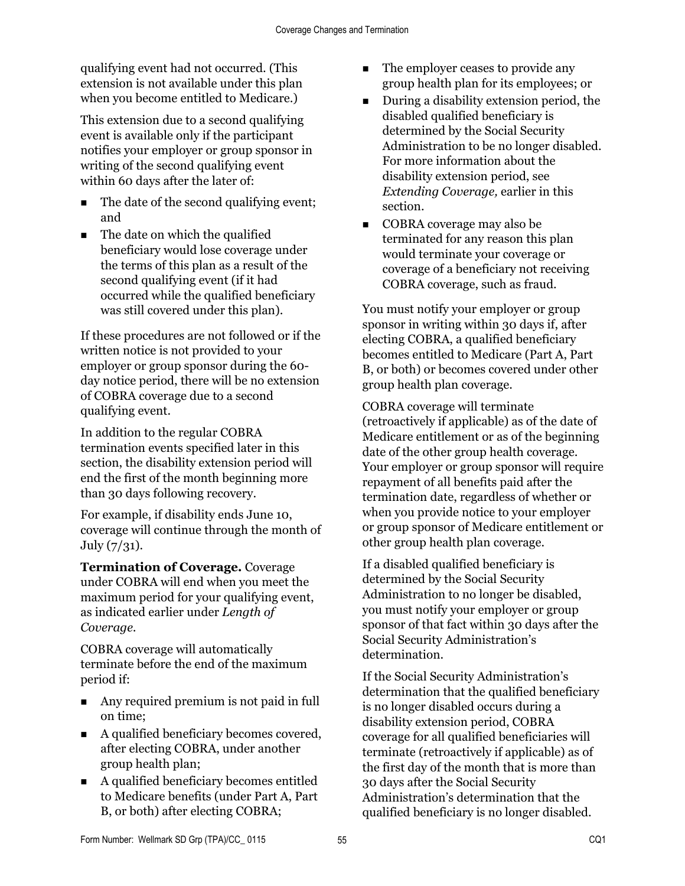qualifying event had not occurred. (This extension is not available under this plan when you become entitled to Medicare.)

This extension due to a second qualifying event is available only if the participant notifies your employer or group sponsor in writing of the second qualifying event within 60 days after the later of:

- The date of the second qualifying event; and
- $\blacksquare$  The date on which the qualified beneficiary would lose coverage under the terms of this plan as a result of the second qualifying event (if it had occurred while the qualified beneficiary was still covered under this plan).

If these procedures are not followed or if the written notice is not provided to your employer or group sponsor during the 60 day notice period, there will be no extension of COBRA coverage due to a second qualifying event.

In addition to the regular COBRA termination events specified later in this section, the disability extension period will end the first of the month beginning more than 30 days following recovery.

For example, if disability ends June 10, coverage will continue through the month of July (7/31).

**Termination of Coverage.** Coverage under COBRA will end when you meet the maximum period for your qualifying event, as indicated earlier under *Length of Coverage.*

COBRA coverage will automatically terminate before the end of the maximum period if:

- Any required premium is not paid in full on time;
- A qualified beneficiary becomes covered, after electing COBRA, under another group health plan;
- A qualified beneficiary becomes entitled to Medicare benefits (under Part A, Part B, or both) after electing COBRA;
- The employer ceases to provide any group health plan for its employees; or
- **During a disability extension period, the** disabled qualified beneficiary is determined by the Social Security Administration to be no longer disabled. For more information about the disability extension period, see *Extending Coverage,* earlier in this section.
- COBRA coverage may also be terminated for any reason this plan would terminate your coverage or coverage of a beneficiary not receiving COBRA coverage, such as fraud.

You must notify your employer or group sponsor in writing within 30 days if, after electing COBRA, a qualified beneficiary becomes entitled to Medicare (Part A, Part B, or both) or becomes covered under other group health plan coverage.

COBRA coverage will terminate (retroactively if applicable) as of the date of Medicare entitlement or as of the beginning date of the other group health coverage. Your employer or group sponsor will require repayment of all benefits paid after the termination date, regardless of whether or when you provide notice to your employer or group sponsor of Medicare entitlement or other group health plan coverage.

If a disabled qualified beneficiary is determined by the Social Security Administration to no longer be disabled, you must notify your employer or group sponsor of that fact within 30 days after the Social Security Administration's determination.

If the Social Security Administration's determination that the qualified beneficiary is no longer disabled occurs during a disability extension period, COBRA coverage for all qualified beneficiaries will terminate (retroactively if applicable) as of the first day of the month that is more than 30 days after the Social Security Administration's determination that the qualified beneficiary is no longer disabled.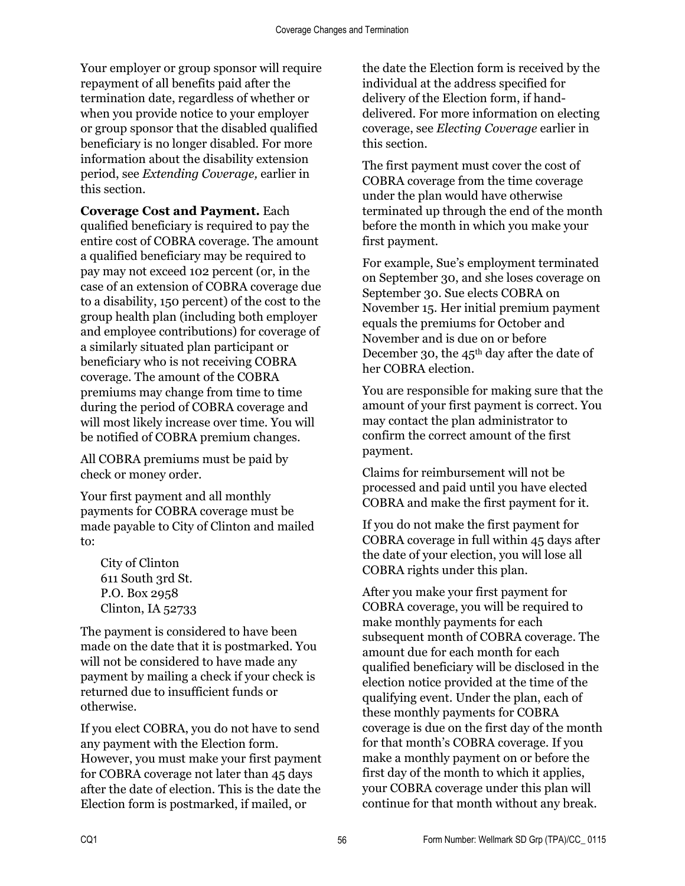Your employer or group sponsor will require repayment of all benefits paid after the termination date, regardless of whether or when you provide notice to your employer or group sponsor that the disabled qualified beneficiary is no longer disabled. For more information about the disability extension period, see *Extending Coverage,* earlier in this section.

**Coverage Cost and Payment.** Each qualified beneficiary is required to pay the entire cost of COBRA coverage. The amount a qualified beneficiary may be required to pay may not exceed 102 percent (or, in the case of an extension of COBRA coverage due to a disability, 150 percent) of the cost to the group health plan (including both employer and employee contributions) for coverage of a similarly situated plan participant or beneficiary who is not receiving COBRA coverage. The amount of the COBRA premiums may change from time to time during the period of COBRA coverage and will most likely increase over time. You will be notified of COBRA premium changes.

All COBRA premiums must be paid by check or money order.

Your first payment and all monthly payments for COBRA coverage must be made payable to City of Clinton and mailed to:

City of Clinton 611 South 3rd St. P.O. Box 2958 Clinton, IA 52733

The payment is considered to have been made on the date that it is postmarked. You will not be considered to have made any payment by mailing a check if your check is returned due to insufficient funds or otherwise.

If you elect COBRA, you do not have to send any payment with the Election form. However, you must make your first payment for COBRA coverage not later than 45 days after the date of election. This is the date the Election form is postmarked, if mailed, or

the date the Election form is received by the individual at the address specified for delivery of the Election form, if handdelivered. For more information on electing coverage, see *Electing Coverage* earlier in this section.

The first payment must cover the cost of COBRA coverage from the time coverage under the plan would have otherwise terminated up through the end of the month before the month in which you make your first payment.

For example, Sue's employment terminated on September 30, and she loses coverage on September 30. Sue elects COBRA on November 15. Her initial premium payment equals the premiums for October and November and is due on or before December 30, the 45<sup>th</sup> day after the date of her COBRA election.

You are responsible for making sure that the amount of your first payment is correct. You may contact the plan administrator to confirm the correct amount of the first payment.

Claims for reimbursement will not be processed and paid until you have elected COBRA and make the first payment for it.

If you do not make the first payment for COBRA coverage in full within 45 days after the date of your election, you will lose all COBRA rights under this plan.

After you make your first payment for COBRA coverage, you will be required to make monthly payments for each subsequent month of COBRA coverage. The amount due for each month for each qualified beneficiary will be disclosed in the election notice provided at the time of the qualifying event. Under the plan, each of these monthly payments for COBRA coverage is due on the first day of the month for that month's COBRA coverage. If you make a monthly payment on or before the first day of the month to which it applies, your COBRA coverage under this plan will continue for that month without any break.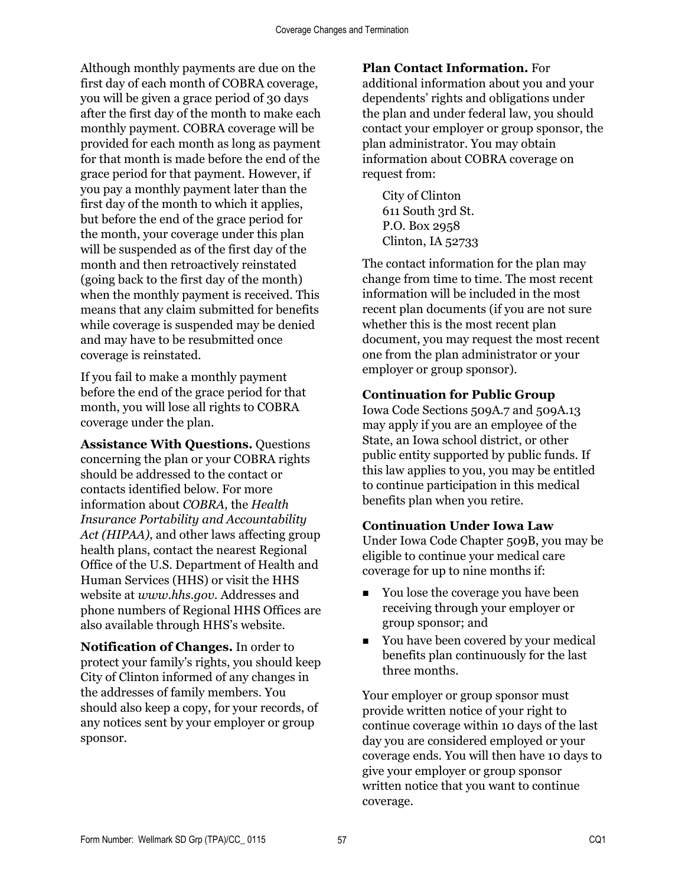Although monthly payments are due on the first day of each month of COBRA coverage, you will be given a grace period of 30 days after the first day of the month to make each monthly payment. COBRA coverage will be provided for each month as long as payment for that month is made before the end of the grace period for that payment. However, if you pay a monthly payment later than the first day of the month to which it applies, but before the end of the grace period for the month, your coverage under this plan will be suspended as of the first day of the month and then retroactively reinstated (going back to the first day of the month) when the monthly payment is received. This means that any claim submitted for benefits while coverage is suspended may be denied and may have to be resubmitted once coverage is reinstated.

If you fail to make a monthly payment before the end of the grace period for that month, you will lose all rights to COBRA coverage under the plan.

**Assistance With Questions.** Questions concerning the plan or your COBRA rights should be addressed to the contact or contacts identified below. For more information about *COBRA,* the *Health Insurance Portability and Accountability Act (HIPAA),* and other laws affecting group health plans, contact the nearest Regional Office of the U.S. Department of Health and Human Services (HHS) or visit the HHS website at *www.hhs.gov*. Addresses and phone numbers of Regional HHS Offices are also available through HHS's website.

**Notification of Changes.** In order to protect your family's rights, you should keep City of Clinton informed of any changes in the addresses of family members. You should also keep a copy, for your records, of any notices sent by your employer or group sponsor.

#### **Plan Contact Information.** For

additional information about you and your dependents' rights and obligations under the plan and under federal law, you should contact your employer or group sponsor, the plan administrator. You may obtain information about COBRA coverage on request from:

City of Clinton 611 South 3rd St. P.O. Box 2958 Clinton, IA 52733

The contact information for the plan may change from time to time. The most recent information will be included in the most recent plan documents (if you are not sure whether this is the most recent plan document, you may request the most recent one from the plan administrator or your employer or group sponsor).

#### **Continuation for Public Group**

Iowa Code Sections 509A.7 and 509A.13 may apply if you are an employee of the State, an Iowa school district, or other public entity supported by public funds. If this law applies to you, you may be entitled to continue participation in this medical benefits plan when you retire.

#### **Continuation Under Iowa Law**

Under Iowa Code Chapter 509B, you may be eligible to continue your medical care coverage for up to nine months if:

- You lose the coverage you have been receiving through your employer or group sponsor; and
- You have been covered by your medical benefits plan continuously for the last three months.

Your employer or group sponsor must provide written notice of your right to continue coverage within 10 days of the last day you are considered employed or your coverage ends. You will then have 10 days to give your employer or group sponsor written notice that you want to continue coverage.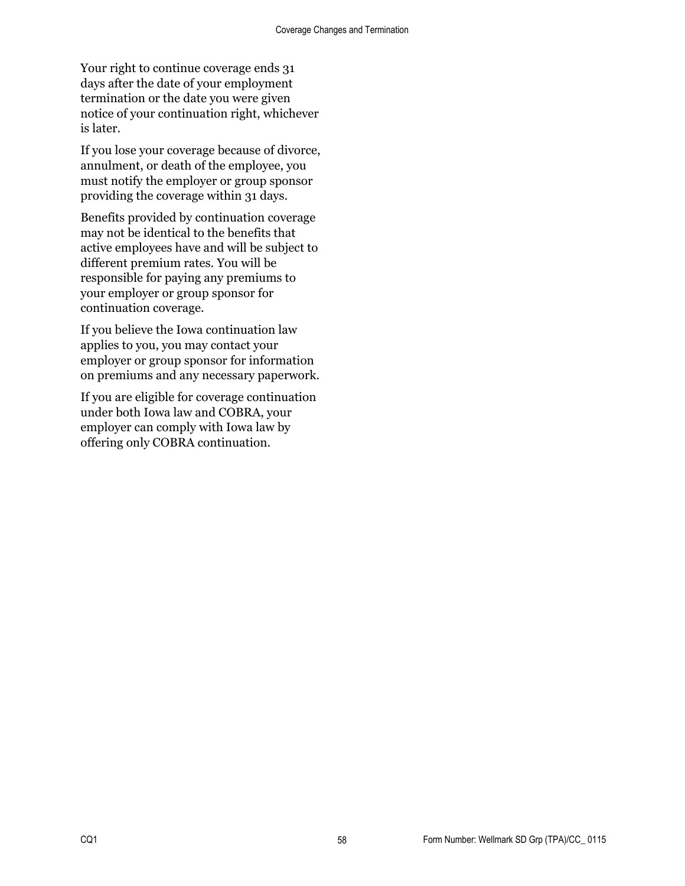Your right to continue coverage ends 31 days after the date of your employment termination or the date you were given notice of your continuation right, whichever is later.

If you lose your coverage because of divorce, annulment, or death of the employee, you must notify the employer or group sponsor providing the coverage within 31 days.

Benefits provided by continuation coverage may not be identical to the benefits that active employees have and will be subject to different premium rates. You will be responsible for paying any premiums to your employer or group sponsor for continuation coverage.

If you believe the Iowa continuation law applies to you, you may contact your employer or group sponsor for information on premiums and any necessary paperwork.

If you are eligible for coverage continuation under both Iowa law and COBRA, your employer can comply with Iowa law by offering only COBRA continuation.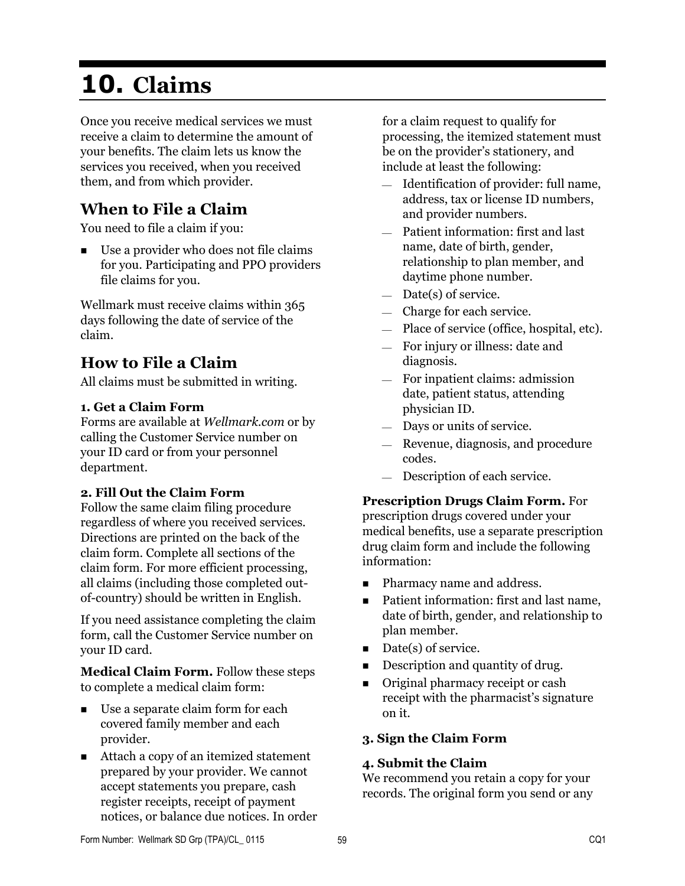# **10. Claims**

Once you receive medical services we must receive a claim to determine the amount of your benefits. The claim lets us know the services you received, when you received them, and from which provider.

# **When to File a Claim**

You need to file a claim if you:

 Use a provider who does not file claims for you. Participating and PPO providers file claims for you.

Wellmark must receive claims within 365 days following the date of service of the claim.

## **How to File a Claim**

All claims must be submitted in writing.

#### **1. Get a Claim Form**

Forms are available at *Wellmark.com* or by calling the Customer Service number on your ID card or from your personnel department.

#### **2. Fill Out the Claim Form**

Follow the same claim filing procedure regardless of where you received services. Directions are printed on the back of the claim form. Complete all sections of the claim form. For more efficient processing, all claims (including those completed outof-country) should be written in English.

If you need assistance completing the claim form, call the Customer Service number on your ID card.

**Medical Claim Form.** Follow these steps to complete a medical claim form:

- Use a separate claim form for each covered family member and each provider.
- Attach a copy of an itemized statement prepared by your provider. We cannot accept statements you prepare, cash register receipts, receipt of payment notices, or balance due notices. In order

for a claim request to qualify for processing, the itemized statement must be on the provider's stationery, and include at least the following:

- $-$  Identification of provider: full name, address, tax or license ID numbers, and provider numbers.
- Patient information: first and last name, date of birth, gender, relationship to plan member, and daytime phone number.
- $-$  Date(s) of service.
- Charge for each service.
- Place of service (office, hospital, etc).
- For injury or illness: date and diagnosis.
- For inpatient claims: admission date, patient status, attending physician ID.
- Days or units of service.
- Revenue, diagnosis, and procedure codes.
- Description of each service.

## **Prescription Drugs Claim Form.** For

prescription drugs covered under your medical benefits, use a separate prescription drug claim form and include the following information:

- Pharmacy name and address.
- Patient information: first and last name, date of birth, gender, and relationship to plan member.
- $\blacksquare$  Date(s) of service.
- Description and quantity of drug.
- **Original pharmacy receipt or cash** receipt with the pharmacist's signature on it.

#### **3. Sign the Claim Form**

#### **4. Submit the Claim**

We recommend you retain a copy for your records. The original form you send or any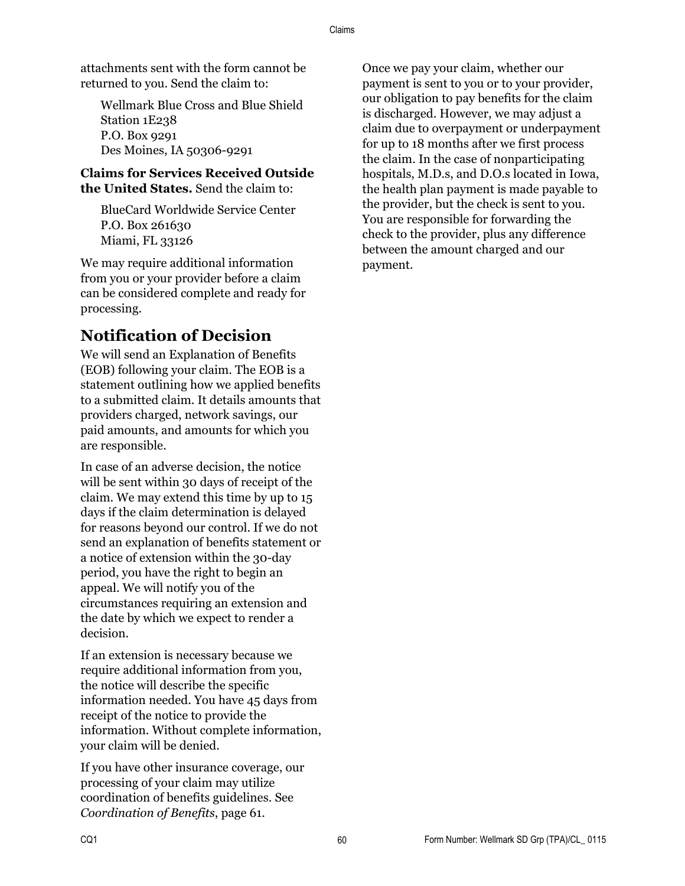attachments sent with the form cannot be returned to you. Send the claim to:

Wellmark Blue Cross and Blue Shield Station 1E238 P.O. Box 9291 Des Moines, IA 50306-9291

#### **Claims for Services Received Outside the United States.** Send the claim to:

BlueCard Worldwide Service Center P.O. Box 261630 Miami, FL 33126

We may require additional information from you or your provider before a claim can be considered complete and ready for processing.

## **Notification of Decision**

We will send an Explanation of Benefits (EOB) following your claim. The EOB is a statement outlining how we applied benefits to a submitted claim. It details amounts that providers charged, network savings, our paid amounts, and amounts for which you are responsible.

In case of an adverse decision, the notice will be sent within 30 days of receipt of the claim. We may extend this time by up to 15 days if the claim determination is delayed for reasons beyond our control. If we do not send an explanation of benefits statement or a notice of extension within the 30-day period, you have the right to begin an appeal. We will notify you of the circumstances requiring an extension and the date by which we expect to render a decision.

If an extension is necessary because we require additional information from you, the notice will describe the specific information needed. You have 45 days from receipt of the notice to provide the information. Without complete information, your claim will be denied.

If you have other insurance coverage, our processing of your claim may utilize coordination of benefits guidelines. See *Coordination of Benefits*, page 61.

Once we pay your claim, whether our payment is sent to you or to your provider, our obligation to pay benefits for the claim is discharged. However, we may adjust a claim due to overpayment or underpayment for up to 18 months after we first process the claim. In the case of nonparticipating hospitals, M.D.s, and D.O.s located in Iowa, the health plan payment is made payable to the provider, but the check is sent to you. You are responsible for forwarding the check to the provider, plus any difference between the amount charged and our payment.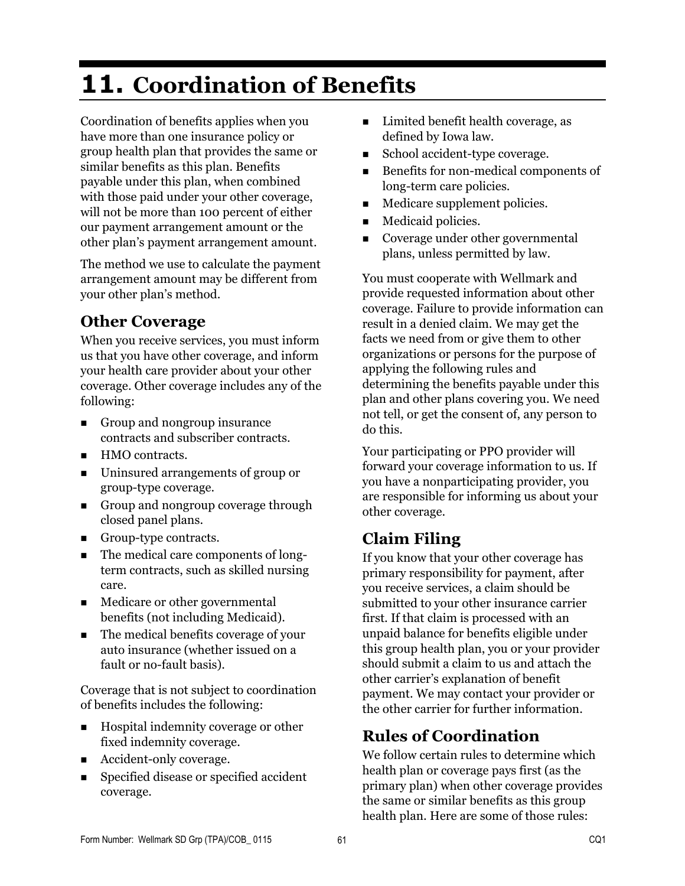# **11. Coordination of Benefits**

Coordination of benefits applies when you have more than one insurance policy or group health plan that provides the same or similar benefits as this plan. Benefits payable under this plan, when combined with those paid under your other coverage, will not be more than 100 percent of either our payment arrangement amount or the other plan's payment arrangement amount.

The method we use to calculate the payment arrangement amount may be different from your other plan's method.

## **Other Coverage**

When you receive services, you must inform us that you have other coverage, and inform your health care provider about your other coverage. Other coverage includes any of the following:

- Group and nongroup insurance contracts and subscriber contracts.
- HMO contracts.
- Uninsured arrangements of group or group-type coverage.
- Group and nongroup coverage through closed panel plans.
- Group-type contracts.
- The medical care components of longterm contracts, such as skilled nursing care.
- Medicare or other governmental benefits (not including Medicaid).
- The medical benefits coverage of your auto insurance (whether issued on a fault or no-fault basis).

Coverage that is not subject to coordination of benefits includes the following:

- Hospital indemnity coverage or other fixed indemnity coverage.
- Accident-only coverage.
- Specified disease or specified accident coverage.
- Limited benefit health coverage, as defined by Iowa law.
- School accident-type coverage.
- Benefits for non-medical components of long-term care policies.
- **Medicare supplement policies.**
- **Medicaid policies.**
- Coverage under other governmental plans, unless permitted by law.

You must cooperate with Wellmark and provide requested information about other coverage. Failure to provide information can result in a denied claim. We may get the facts we need from or give them to other organizations or persons for the purpose of applying the following rules and determining the benefits payable under this plan and other plans covering you. We need not tell, or get the consent of, any person to do this.

Your participating or PPO provider will forward your coverage information to us. If you have a nonparticipating provider, you are responsible for informing us about your other coverage.

# **Claim Filing**

If you know that your other coverage has primary responsibility for payment, after you receive services, a claim should be submitted to your other insurance carrier first. If that claim is processed with an unpaid balance for benefits eligible under this group health plan, you or your provider should submit a claim to us and attach the other carrier's explanation of benefit payment. We may contact your provider or the other carrier for further information.

# **Rules of Coordination**

We follow certain rules to determine which health plan or coverage pays first (as the primary plan) when other coverage provides the same or similar benefits as this group health plan. Here are some of those rules: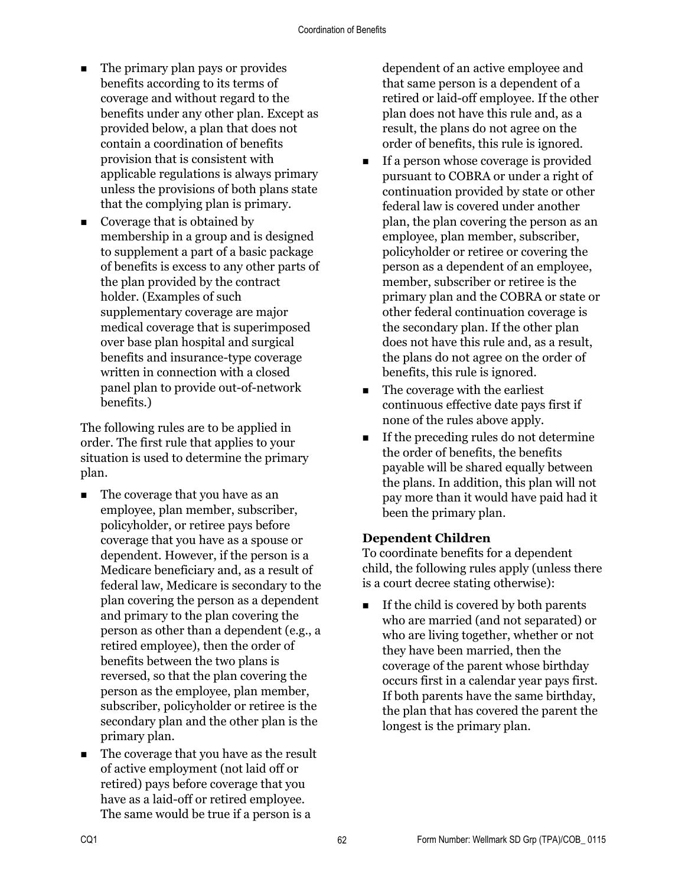- The primary plan pays or provides benefits according to its terms of coverage and without regard to the benefits under any other plan. Except as provided below, a plan that does not contain a coordination of benefits provision that is consistent with applicable regulations is always primary unless the provisions of both plans state that the complying plan is primary.
- Coverage that is obtained by membership in a group and is designed to supplement a part of a basic package of benefits is excess to any other parts of the plan provided by the contract holder. (Examples of such supplementary coverage are major medical coverage that is superimposed over base plan hospital and surgical benefits and insurance-type coverage written in connection with a closed panel plan to provide out-of-network benefits.)

The following rules are to be applied in order. The first rule that applies to your situation is used to determine the primary plan.

- The coverage that you have as an employee, plan member, subscriber, policyholder, or retiree pays before coverage that you have as a spouse or dependent. However, if the person is a Medicare beneficiary and, as a result of federal law, Medicare is secondary to the plan covering the person as a dependent and primary to the plan covering the person as other than a dependent (e.g., a retired employee), then the order of benefits between the two plans is reversed, so that the plan covering the person as the employee, plan member, subscriber, policyholder or retiree is the secondary plan and the other plan is the primary plan.
- The coverage that you have as the result of active employment (not laid off or retired) pays before coverage that you have as a laid-off or retired employee. The same would be true if a person is a

dependent of an active employee and that same person is a dependent of a retired or laid-off employee. If the other plan does not have this rule and, as a result, the plans do not agree on the order of benefits, this rule is ignored.

- If a person whose coverage is provided pursuant to COBRA or under a right of continuation provided by state or other federal law is covered under another plan, the plan covering the person as an employee, plan member, subscriber, policyholder or retiree or covering the person as a dependent of an employee, member, subscriber or retiree is the primary plan and the COBRA or state or other federal continuation coverage is the secondary plan. If the other plan does not have this rule and, as a result, the plans do not agree on the order of benefits, this rule is ignored.
- The coverage with the earliest continuous effective date pays first if none of the rules above apply.
- $\blacksquare$  If the preceding rules do not determine the order of benefits, the benefits payable will be shared equally between the plans. In addition, this plan will not pay more than it would have paid had it been the primary plan.

#### **Dependent Children**

To coordinate benefits for a dependent child, the following rules apply (unless there is a court decree stating otherwise):

 $\blacksquare$  If the child is covered by both parents who are married (and not separated) or who are living together, whether or not they have been married, then the coverage of the parent whose birthday occurs first in a calendar year pays first. If both parents have the same birthday, the plan that has covered the parent the longest is the primary plan.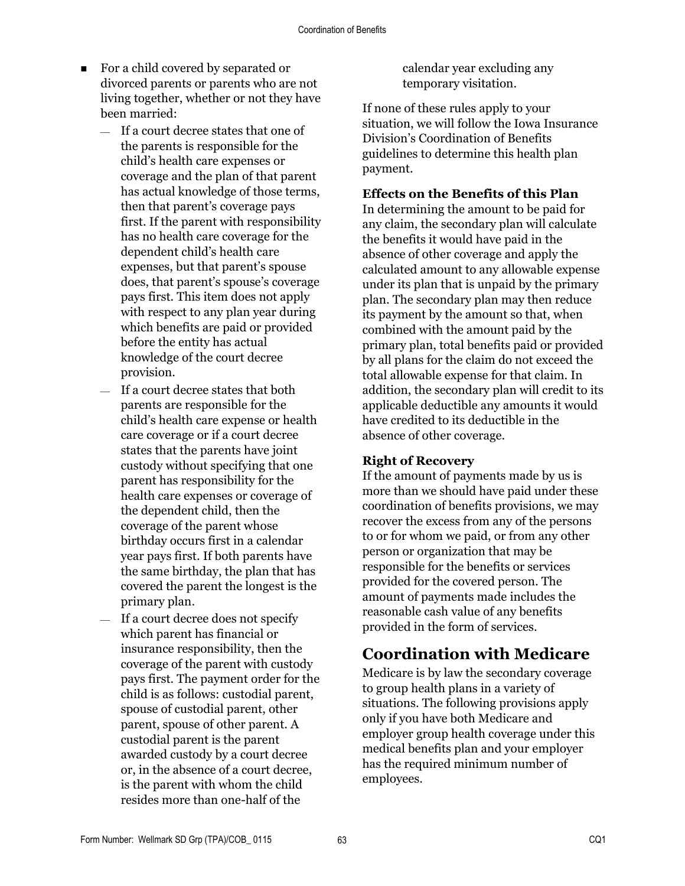- For a child covered by separated or divorced parents or parents who are not living together, whether or not they have been married:
	- $-$  If a court decree states that one of the parents is responsible for the child's health care expenses or coverage and the plan of that parent has actual knowledge of those terms, then that parent's coverage pays first. If the parent with responsibility has no health care coverage for the dependent child's health care expenses, but that parent's spouse does, that parent's spouse's coverage pays first. This item does not apply with respect to any plan year during which benefits are paid or provided before the entity has actual knowledge of the court decree provision.
	- If a court decree states that both parents are responsible for the child's health care expense or health care coverage or if a court decree states that the parents have joint custody without specifying that one parent has responsibility for the health care expenses or coverage of the dependent child, then the coverage of the parent whose birthday occurs first in a calendar year pays first. If both parents have the same birthday, the plan that has covered the parent the longest is the primary plan.
	- $-$  If a court decree does not specify which parent has financial or insurance responsibility, then the coverage of the parent with custody pays first. The payment order for the child is as follows: custodial parent, spouse of custodial parent, other parent, spouse of other parent. A custodial parent is the parent awarded custody by a court decree or, in the absence of a court decree, is the parent with whom the child resides more than one-half of the

calendar year excluding any temporary visitation.

If none of these rules apply to your situation, we will follow the Iowa Insurance Division's Coordination of Benefits guidelines to determine this health plan payment.

#### **Effects on the Benefits of this Plan**

In determining the amount to be paid for any claim, the secondary plan will calculate the benefits it would have paid in the absence of other coverage and apply the calculated amount to any allowable expense under its plan that is unpaid by the primary plan. The secondary plan may then reduce its payment by the amount so that, when combined with the amount paid by the primary plan, total benefits paid or provided by all plans for the claim do not exceed the total allowable expense for that claim. In addition, the secondary plan will credit to its applicable deductible any amounts it would have credited to its deductible in the absence of other coverage.

#### **Right of Recovery**

If the amount of payments made by us is more than we should have paid under these coordination of benefits provisions, we may recover the excess from any of the persons to or for whom we paid, or from any other person or organization that may be responsible for the benefits or services provided for the covered person. The amount of payments made includes the reasonable cash value of any benefits provided in the form of services.

## **Coordination with Medicare**

Medicare is by law the secondary coverage to group health plans in a variety of situations. The following provisions apply only if you have both Medicare and employer group health coverage under this medical benefits plan and your employer has the required minimum number of employees.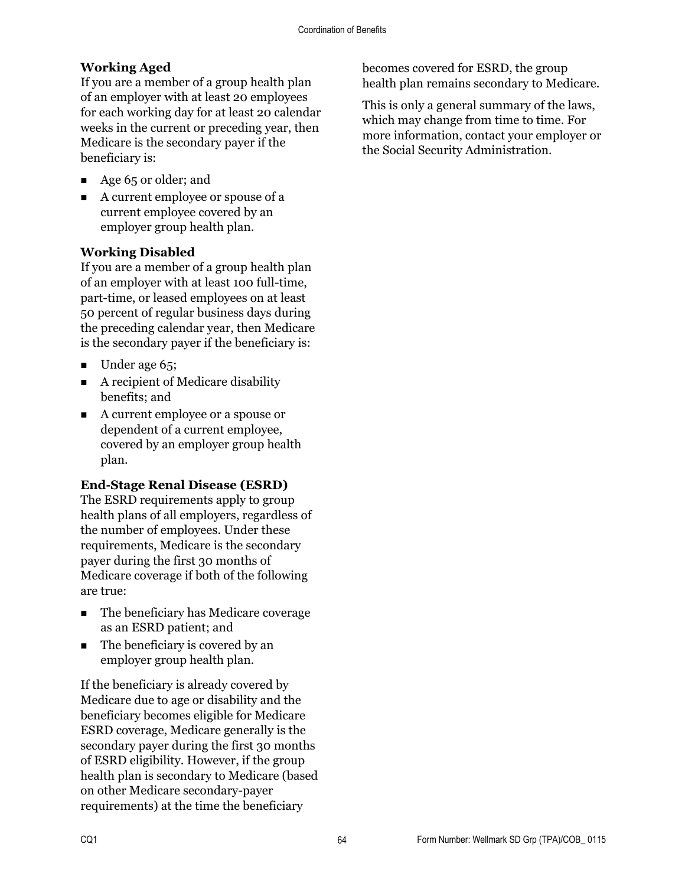#### **Working Aged**

If you are a member of a group health plan of an employer with at least 20 employees for each working day for at least 20 calendar weeks in the current or preceding year, then Medicare is the secondary payer if the beneficiary is:

- Age 65 or older; and
- A current employee or spouse of a current employee covered by an employer group health plan.

#### **Working Disabled**

If you are a member of a group health plan of an employer with at least 100 full-time, part-time, or leased employees on at least 50 percent of regular business days during the preceding calendar year, then Medicare is the secondary payer if the beneficiary is:

- $\blacksquare$  Under age 65;
- $\blacksquare$  A recipient of Medicare disability benefits; and
- A current employee or a spouse or dependent of a current employee, covered by an employer group health plan.

#### **End-Stage Renal Disease (ESRD)**

The ESRD requirements apply to group health plans of all employers, regardless of the number of employees. Under these requirements, Medicare is the secondary payer during the first 30 months of Medicare coverage if both of the following are true:

- The beneficiary has Medicare coverage as an ESRD patient; and
- The beneficiary is covered by an employer group health plan.

If the beneficiary is already covered by Medicare due to age or disability and the beneficiary becomes eligible for Medicare ESRD coverage, Medicare generally is the secondary payer during the first 30 months of ESRD eligibility. However, if the group health plan is secondary to Medicare (based on other Medicare secondary-payer requirements) at the time the beneficiary

becomes covered for ESRD, the group health plan remains secondary to Medicare.

This is only a general summary of the laws, which may change from time to time. For more information, contact your employer or the Social Security Administration.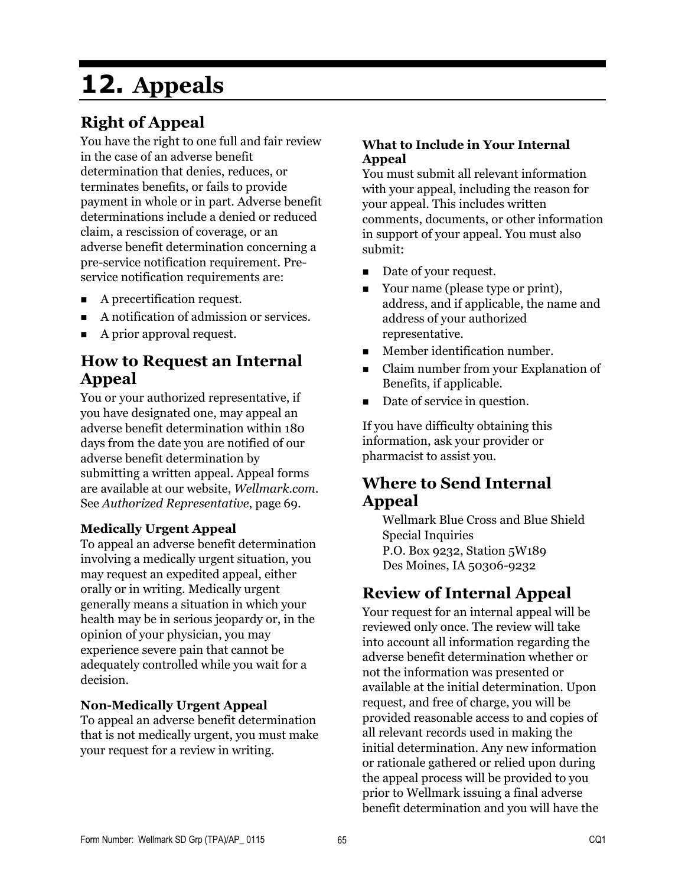# **12. Appeals**

# **Right of Appeal**

You have the right to one full and fair review in the case of an adverse benefit determination that denies, reduces, or terminates benefits, or fails to provide payment in whole or in part. Adverse benefit determinations include a denied or reduced claim, a rescission of coverage, or an adverse benefit determination concerning a pre-service notification requirement. Preservice notification requirements are:

- A precertification request.
- A notification of admission or services.
- A prior approval request.

### **How to Request an Internal Appeal**

You or your authorized representative, if you have designated one, may appeal an adverse benefit determination within 180 days from the date you are notified of our adverse benefit determination by submitting a written appeal. Appeal forms are available at our website, *Wellmark.com*. See *Authorized Representative*, page 69.

#### **Medically Urgent Appeal**

To appeal an adverse benefit determination involving a medically urgent situation, you may request an expedited appeal, either orally or in writing. Medically urgent generally means a situation in which your health may be in serious jeopardy or, in the opinion of your physician, you may experience severe pain that cannot be adequately controlled while you wait for a decision.

#### **Non-Medically Urgent Appeal**

To appeal an adverse benefit determination that is not medically urgent, you must make your request for a review in writing.

#### **What to Include in Your Internal Appeal**

You must submit all relevant information with your appeal, including the reason for your appeal. This includes written comments, documents, or other information in support of your appeal. You must also submit:

- Date of your request.
- Your name (please type or print), address, and if applicable, the name and address of your authorized representative.
- **Member identification number.**
- Claim number from your Explanation of Benefits, if applicable.
- Date of service in question.

If you have difficulty obtaining this information, ask your provider or pharmacist to assist you.

### **Where to Send Internal Appeal**

Wellmark Blue Cross and Blue Shield Special Inquiries P.O. Box 9232, Station 5W189 Des Moines, IA 50306-9232

## **Review of Internal Appeal**

Your request for an internal appeal will be reviewed only once. The review will take into account all information regarding the adverse benefit determination whether or not the information was presented or available at the initial determination. Upon request, and free of charge, you will be provided reasonable access to and copies of all relevant records used in making the initial determination. Any new information or rationale gathered or relied upon during the appeal process will be provided to you prior to Wellmark issuing a final adverse benefit determination and you will have the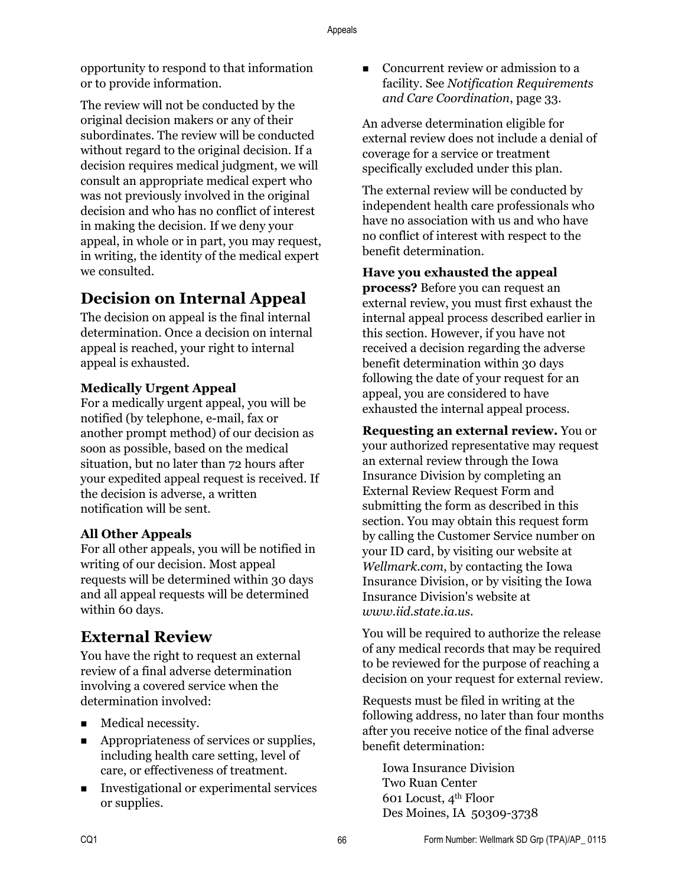opportunity to respond to that information or to provide information.

The review will not be conducted by the original decision makers or any of their subordinates. The review will be conducted without regard to the original decision. If a decision requires medical judgment, we will consult an appropriate medical expert who was not previously involved in the original decision and who has no conflict of interest in making the decision. If we deny your appeal, in whole or in part, you may request, in writing, the identity of the medical expert we consulted.

## **Decision on Internal Appeal**

The decision on appeal is the final internal determination. Once a decision on internal appeal is reached, your right to internal appeal is exhausted.

#### **Medically Urgent Appeal**

For a medically urgent appeal, you will be notified (by telephone, e-mail, fax or another prompt method) of our decision as soon as possible, based on the medical situation, but no later than 72 hours after your expedited appeal request is received. If the decision is adverse, a written notification will be sent.

#### **All Other Appeals**

For all other appeals, you will be notified in writing of our decision. Most appeal requests will be determined within 30 days and all appeal requests will be determined within 60 days.

## **External Review**

You have the right to request an external review of a final adverse determination involving a covered service when the determination involved:

- Medical necessity.
- Appropriateness of services or supplies, including health care setting, level of care, or effectiveness of treatment.
- Investigational or experimental services or supplies.

■ Concurrent review or admission to a facility. See *Notification Requirements and Care Coordination*, page 33.

An adverse determination eligible for external review does not include a denial of coverage for a service or treatment specifically excluded under this plan.

The external review will be conducted by independent health care professionals who have no association with us and who have no conflict of interest with respect to the benefit determination.

**Have you exhausted the appeal process?** Before you can request an

external review, you must first exhaust the internal appeal process described earlier in this section. However, if you have not received a decision regarding the adverse benefit determination within 30 days following the date of your request for an appeal, you are considered to have exhausted the internal appeal process.

**Requesting an external review.** You or your authorized representative may request an external review through the Iowa Insurance Division by completing an External Review Request Form and submitting the form as described in this section. You may obtain this request form by calling the Customer Service number on your ID card, by visiting our website at *Wellmark.com*, by contacting the Iowa Insurance Division, or by visiting the Iowa Insurance Division's website at *www.iid.state.ia.us*.

You will be required to authorize the release of any medical records that may be required to be reviewed for the purpose of reaching a decision on your request for external review.

Requests must be filed in writing at the following address, no later than four months after you receive notice of the final adverse benefit determination:

Iowa Insurance Division Two Ruan Center 601 Locust, 4th Floor Des Moines, IA 50309-3738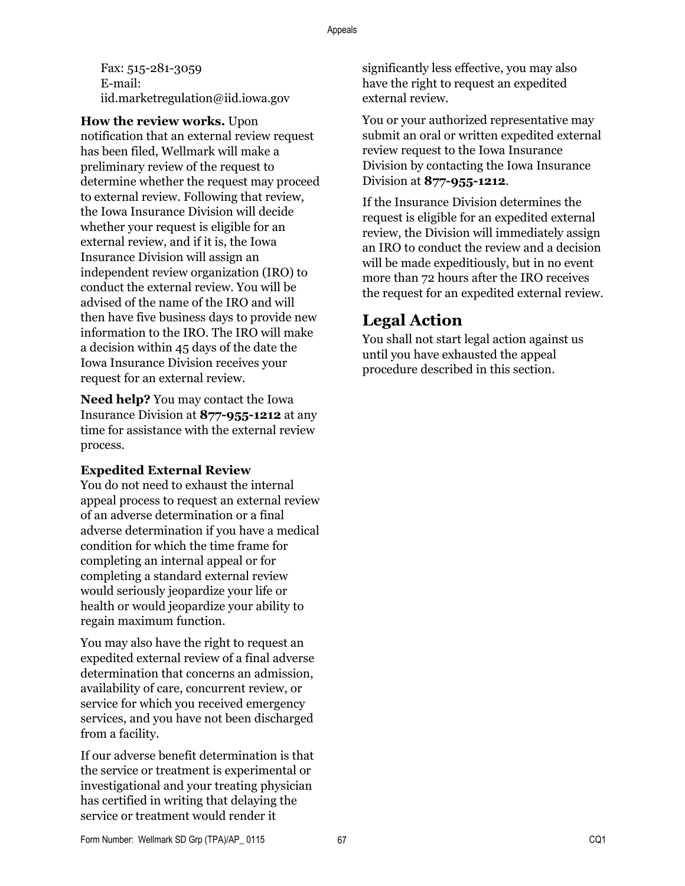Fax: 515-281-3059 E-mail: iid.marketregulation@iid.iowa.gov

**How the review works.** Upon

notification that an external review request has been filed, Wellmark will make a preliminary review of the request to determine whether the request may proceed to external review. Following that review, the Iowa Insurance Division will decide whether your request is eligible for an external review, and if it is, the Iowa Insurance Division will assign an independent review organization (IRO) to conduct the external review. You will be advised of the name of the IRO and will then have five business days to provide new information to the IRO. The IRO will make a decision within 45 days of the date the Iowa Insurance Division receives your request for an external review.

**Need help?** You may contact the Iowa Insurance Division at **877-955-1212** at any time for assistance with the external review process.

#### **Expedited External Review**

You do not need to exhaust the internal appeal process to request an external review of an adverse determination or a final adverse determination if you have a medical condition for which the time frame for completing an internal appeal or for completing a standard external review would seriously jeopardize your life or health or would jeopardize your ability to regain maximum function.

You may also have the right to request an expedited external review of a final adverse determination that concerns an admission, availability of care, concurrent review, or service for which you received emergency services, and you have not been discharged from a facility.

If our adverse benefit determination is that the service or treatment is experimental or investigational and your treating physician has certified in writing that delaying the service or treatment would render it

significantly less effective, you may also have the right to request an expedited external review.

You or your authorized representative may submit an oral or written expedited external review request to the Iowa Insurance Division by contacting the Iowa Insurance Division at **877-955-1212**.

If the Insurance Division determines the request is eligible for an expedited external review, the Division will immediately assign an IRO to conduct the review and a decision will be made expeditiously, but in no event more than 72 hours after the IRO receives the request for an expedited external review.

# **Legal Action**

You shall not start legal action against us until you have exhausted the appeal procedure described in this section.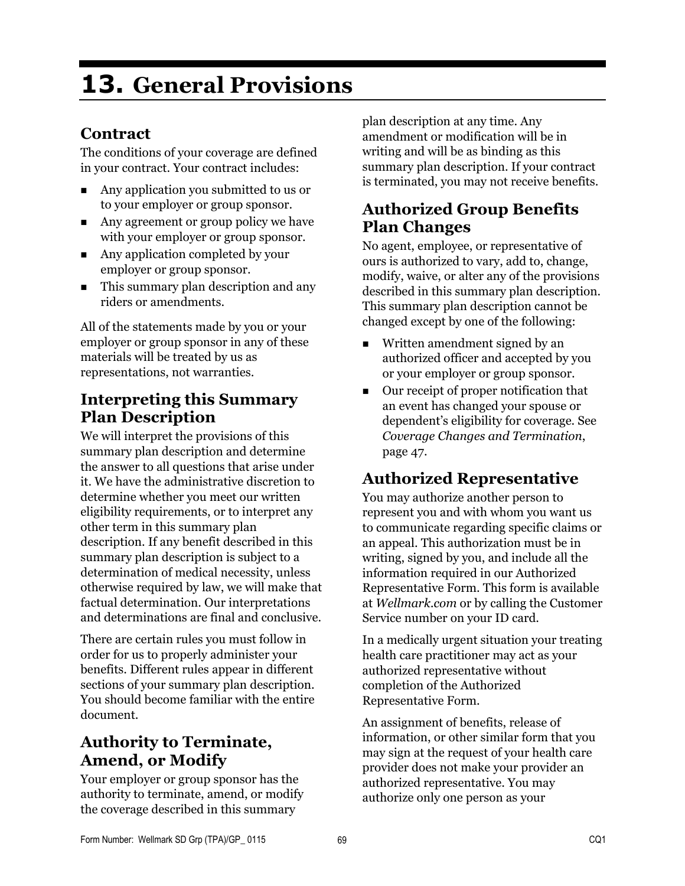# **13. General Provisions**

# **Contract**

The conditions of your coverage are defined in your contract. Your contract includes:

- Any application you submitted to us or to your employer or group sponsor.
- Any agreement or group policy we have with your employer or group sponsor.
- Any application completed by your employer or group sponsor.
- This summary plan description and any riders or amendments.

All of the statements made by you or your employer or group sponsor in any of these materials will be treated by us as representations, not warranties.

## **Interpreting this Summary Plan Description**

We will interpret the provisions of this summary plan description and determine the answer to all questions that arise under it. We have the administrative discretion to determine whether you meet our written eligibility requirements, or to interpret any other term in this summary plan description. If any benefit described in this summary plan description is subject to a determination of medical necessity, unless otherwise required by law, we will make that factual determination. Our interpretations and determinations are final and conclusive.

There are certain rules you must follow in order for us to properly administer your benefits. Different rules appear in different sections of your summary plan description. You should become familiar with the entire document.

# **Authority to Terminate, Amend, or Modify**

Your employer or group sponsor has the authority to terminate, amend, or modify the coverage described in this summary

plan description at any time. Any amendment or modification will be in writing and will be as binding as this summary plan description. If your contract is terminated, you may not receive benefits.

# **Authorized Group Benefits Plan Changes**

No agent, employee, or representative of ours is authorized to vary, add to, change, modify, waive, or alter any of the provisions described in this summary plan description. This summary plan description cannot be changed except by one of the following:

- Written amendment signed by an authorized officer and accepted by you or your employer or group sponsor.
- Our receipt of proper notification that an event has changed your spouse or dependent's eligibility for coverage. See *Coverage Changes and Termination*, page 47.

# **Authorized Representative**

You may authorize another person to represent you and with whom you want us to communicate regarding specific claims or an appeal. This authorization must be in writing, signed by you, and include all the information required in our Authorized Representative Form. This form is available at *Wellmark.com* or by calling the Customer Service number on your ID card.

In a medically urgent situation your treating health care practitioner may act as your authorized representative without completion of the Authorized Representative Form.

An assignment of benefits, release of information, or other similar form that you may sign at the request of your health care provider does not make your provider an authorized representative. You may authorize only one person as your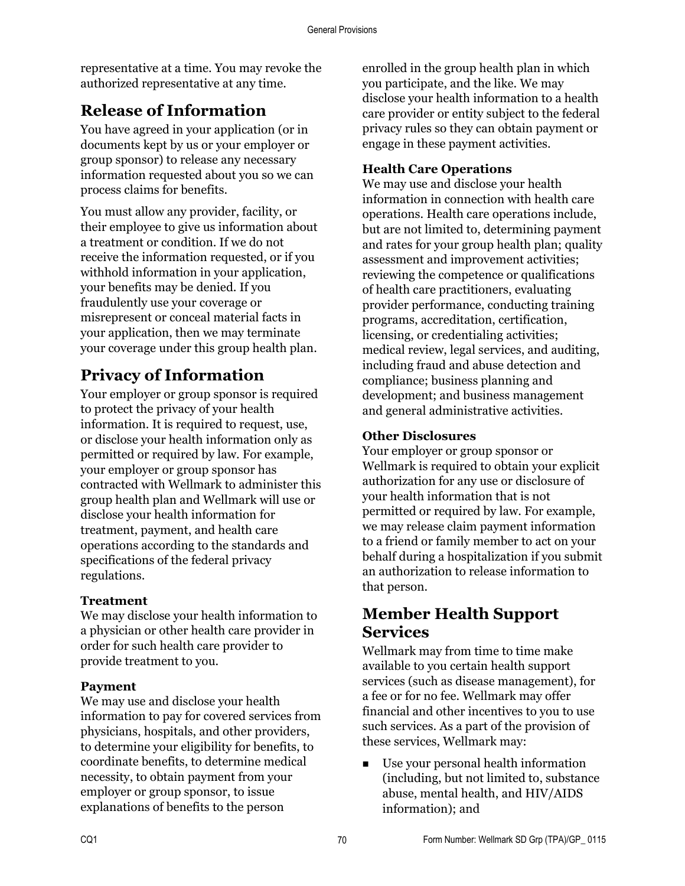representative at a time. You may revoke the authorized representative at any time.

# **Release of Information**

You have agreed in your application (or in documents kept by us or your employer or group sponsor) to release any necessary information requested about you so we can process claims for benefits.

You must allow any provider, facility, or their employee to give us information about a treatment or condition. If we do not receive the information requested, or if you withhold information in your application, your benefits may be denied. If you fraudulently use your coverage or misrepresent or conceal material facts in your application, then we may terminate your coverage under this group health plan.

# **Privacy of Information**

Your employer or group sponsor is required to protect the privacy of your health information. It is required to request, use, or disclose your health information only as permitted or required by law. For example, your employer or group sponsor has contracted with Wellmark to administer this group health plan and Wellmark will use or disclose your health information for treatment, payment, and health care operations according to the standards and specifications of the federal privacy regulations.

#### **Treatment**

We may disclose your health information to a physician or other health care provider in order for such health care provider to provide treatment to you.

#### **Payment**

We may use and disclose your health information to pay for covered services from physicians, hospitals, and other providers, to determine your eligibility for benefits, to coordinate benefits, to determine medical necessity, to obtain payment from your employer or group sponsor, to issue explanations of benefits to the person

enrolled in the group health plan in which you participate, and the like. We may disclose your health information to a health care provider or entity subject to the federal privacy rules so they can obtain payment or engage in these payment activities.

#### **Health Care Operations**

We may use and disclose your health information in connection with health care operations. Health care operations include, but are not limited to, determining payment and rates for your group health plan; quality assessment and improvement activities; reviewing the competence or qualifications of health care practitioners, evaluating provider performance, conducting training programs, accreditation, certification, licensing, or credentialing activities; medical review, legal services, and auditing, including fraud and abuse detection and compliance; business planning and development; and business management and general administrative activities.

#### **Other Disclosures**

Your employer or group sponsor or Wellmark is required to obtain your explicit authorization for any use or disclosure of your health information that is not permitted or required by law. For example, we may release claim payment information to a friend or family member to act on your behalf during a hospitalization if you submit an authorization to release information to that person.

## **Member Health Support Services**

Wellmark may from time to time make available to you certain health support services (such as disease management), for a fee or for no fee. Wellmark may offer financial and other incentives to you to use such services. As a part of the provision of these services, Wellmark may:

■ Use your personal health information (including, but not limited to, substance abuse, mental health, and HIV/AIDS information); and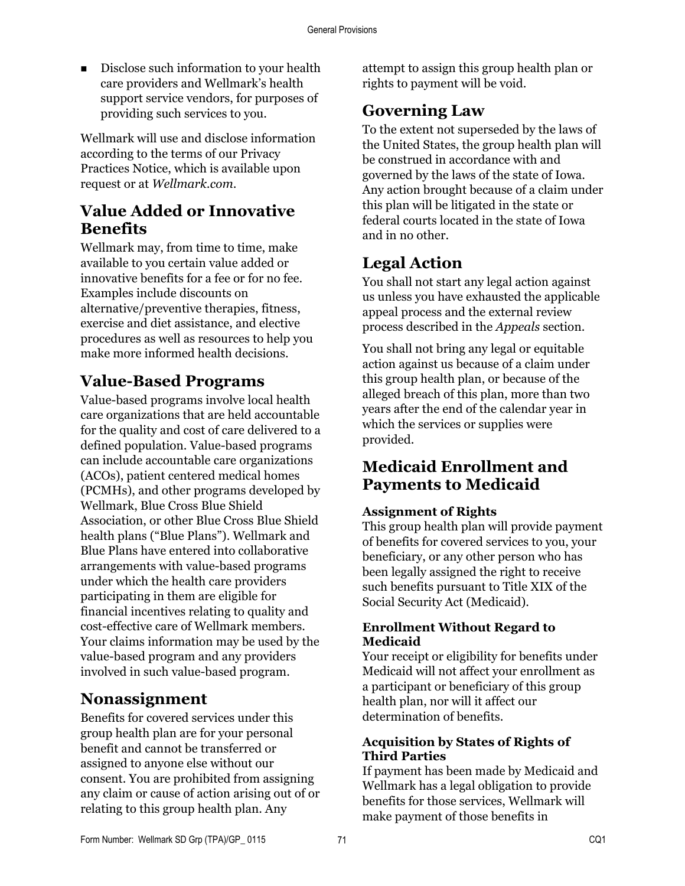Disclose such information to your health care providers and Wellmark's health support service vendors, for purposes of providing such services to you.

Wellmark will use and disclose information according to the terms of our Privacy Practices Notice, which is available upon request or at *Wellmark.com*.

# **Value Added or Innovative Benefits**

Wellmark may, from time to time, make available to you certain value added or innovative benefits for a fee or for no fee. Examples include discounts on alternative/preventive therapies, fitness, exercise and diet assistance, and elective procedures as well as resources to help you make more informed health decisions.

# **Value-Based Programs**

Value-based programs involve local health care organizations that are held accountable for the quality and cost of care delivered to a defined population. Value-based programs can include accountable care organizations (ACOs), patient centered medical homes (PCMHs), and other programs developed by Wellmark, Blue Cross Blue Shield Association, or other Blue Cross Blue Shield health plans ("Blue Plans"). Wellmark and Blue Plans have entered into collaborative arrangements with value-based programs under which the health care providers participating in them are eligible for financial incentives relating to quality and cost-effective care of Wellmark members. Your claims information may be used by the value-based program and any providers involved in such value-based program.

## **Nonassignment**

Benefits for covered services under this group health plan are for your personal benefit and cannot be transferred or assigned to anyone else without our consent. You are prohibited from assigning any claim or cause of action arising out of or relating to this group health plan. Any

attempt to assign this group health plan or rights to payment will be void.

# **Governing Law**

To the extent not superseded by the laws of the United States, the group health plan will be construed in accordance with and governed by the laws of the state of Iowa. Any action brought because of a claim under this plan will be litigated in the state or federal courts located in the state of Iowa and in no other.

# **Legal Action**

You shall not start any legal action against us unless you have exhausted the applicable appeal process and the external review process described in the *Appeals* section.

You shall not bring any legal or equitable action against us because of a claim under this group health plan, or because of the alleged breach of this plan, more than two years after the end of the calendar year in which the services or supplies were provided.

# **Medicaid Enrollment and Payments to Medicaid**

#### **Assignment of Rights**

This group health plan will provide payment of benefits for covered services to you, your beneficiary, or any other person who has been legally assigned the right to receive such benefits pursuant to Title XIX of the Social Security Act (Medicaid).

#### **Enrollment Without Regard to Medicaid**

Your receipt or eligibility for benefits under Medicaid will not affect your enrollment as a participant or beneficiary of this group health plan, nor will it affect our determination of benefits.

#### **Acquisition by States of Rights of Third Parties**

If payment has been made by Medicaid and Wellmark has a legal obligation to provide benefits for those services, Wellmark will make payment of those benefits in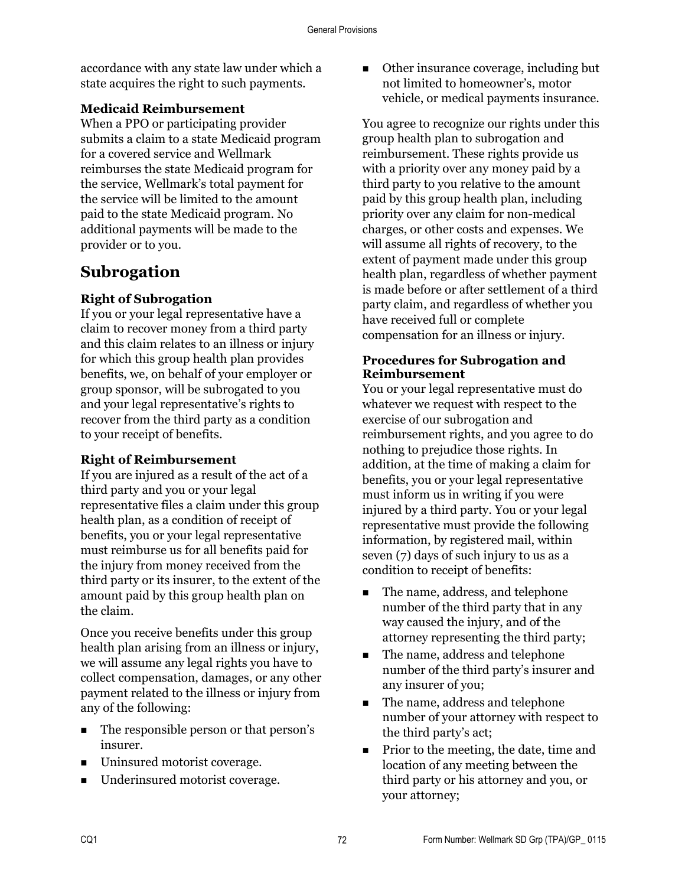accordance with any state law under which a state acquires the right to such payments.

#### **Medicaid Reimbursement**

When a PPO or participating provider submits a claim to a state Medicaid program for a covered service and Wellmark reimburses the state Medicaid program for the service, Wellmark's total payment for the service will be limited to the amount paid to the state Medicaid program. No additional payments will be made to the provider or to you.

# **Subrogation**

#### **Right of Subrogation**

If you or your legal representative have a claim to recover money from a third party and this claim relates to an illness or injury for which this group health plan provides benefits, we, on behalf of your employer or group sponsor, will be subrogated to you and your legal representative's rights to recover from the third party as a condition to your receipt of benefits.

#### **Right of Reimbursement**

If you are injured as a result of the act of a third party and you or your legal representative files a claim under this group health plan, as a condition of receipt of benefits, you or your legal representative must reimburse us for all benefits paid for the injury from money received from the third party or its insurer, to the extent of the amount paid by this group health plan on the claim.

Once you receive benefits under this group health plan arising from an illness or injury, we will assume any legal rights you have to collect compensation, damages, or any other payment related to the illness or injury from any of the following:

- The responsible person or that person's insurer.
- Uninsured motorist coverage.
- Underinsured motorist coverage.

■ Other insurance coverage, including but not limited to homeowner's, motor vehicle, or medical payments insurance.

You agree to recognize our rights under this group health plan to subrogation and reimbursement. These rights provide us with a priority over any money paid by a third party to you relative to the amount paid by this group health plan, including priority over any claim for non-medical charges, or other costs and expenses. We will assume all rights of recovery, to the extent of payment made under this group health plan, regardless of whether payment is made before or after settlement of a third party claim, and regardless of whether you have received full or complete compensation for an illness or injury.

#### **Procedures for Subrogation and Reimbursement**

You or your legal representative must do whatever we request with respect to the exercise of our subrogation and reimbursement rights, and you agree to do nothing to prejudice those rights. In addition, at the time of making a claim for benefits, you or your legal representative must inform us in writing if you were injured by a third party. You or your legal representative must provide the following information, by registered mail, within seven (7) days of such injury to us as a condition to receipt of benefits:

- The name, address, and telephone number of the third party that in any way caused the injury, and of the attorney representing the third party;
- The name, address and telephone number of the third party's insurer and any insurer of you;
- The name, address and telephone number of your attorney with respect to the third party's act;
- **Prior to the meeting, the date, time and** location of any meeting between the third party or his attorney and you, or your attorney;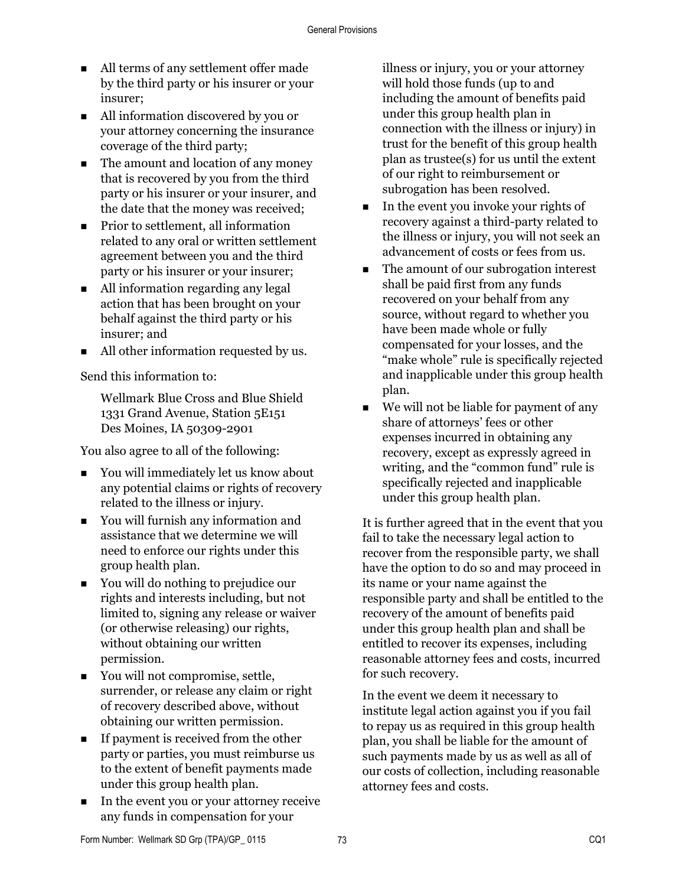- All terms of any settlement offer made by the third party or his insurer or your insurer;
- All information discovered by you or your attorney concerning the insurance coverage of the third party;
- The amount and location of any money that is recovered by you from the third party or his insurer or your insurer, and the date that the money was received;
- Prior to settlement, all information related to any oral or written settlement agreement between you and the third party or his insurer or your insurer;
- All information regarding any legal action that has been brought on your behalf against the third party or his insurer; and
- All other information requested by us.

Send this information to:

Wellmark Blue Cross and Blue Shield 1331 Grand Avenue, Station 5E151 Des Moines, IA 50309-2901

You also agree to all of the following:

- You will immediately let us know about any potential claims or rights of recovery related to the illness or injury.
- You will furnish any information and assistance that we determine we will need to enforce our rights under this group health plan.
- You will do nothing to prejudice our rights and interests including, but not limited to, signing any release or waiver (or otherwise releasing) our rights, without obtaining our written permission.
- You will not compromise, settle, surrender, or release any claim or right of recovery described above, without obtaining our written permission.
- $\blacksquare$  If payment is received from the other party or parties, you must reimburse us to the extent of benefit payments made under this group health plan.
- In the event you or your attorney receive any funds in compensation for your

illness or injury, you or your attorney will hold those funds (up to and including the amount of benefits paid under this group health plan in connection with the illness or injury) in trust for the benefit of this group health plan as trustee(s) for us until the extent of our right to reimbursement or subrogation has been resolved.

- In the event you invoke your rights of recovery against a third-party related to the illness or injury, you will not seek an advancement of costs or fees from us.
- The amount of our subrogation interest shall be paid first from any funds recovered on your behalf from any source, without regard to whether you have been made whole or fully compensated for your losses, and the "make whole" rule is specifically rejected and inapplicable under this group health plan.
- $\blacksquare$  We will not be liable for payment of any share of attorneys' fees or other expenses incurred in obtaining any recovery, except as expressly agreed in writing, and the "common fund" rule is specifically rejected and inapplicable under this group health plan.

It is further agreed that in the event that you fail to take the necessary legal action to recover from the responsible party, we shall have the option to do so and may proceed in its name or your name against the responsible party and shall be entitled to the recovery of the amount of benefits paid under this group health plan and shall be entitled to recover its expenses, including reasonable attorney fees and costs, incurred for such recovery.

In the event we deem it necessary to institute legal action against you if you fail to repay us as required in this group health plan, you shall be liable for the amount of such payments made by us as well as all of our costs of collection, including reasonable attorney fees and costs.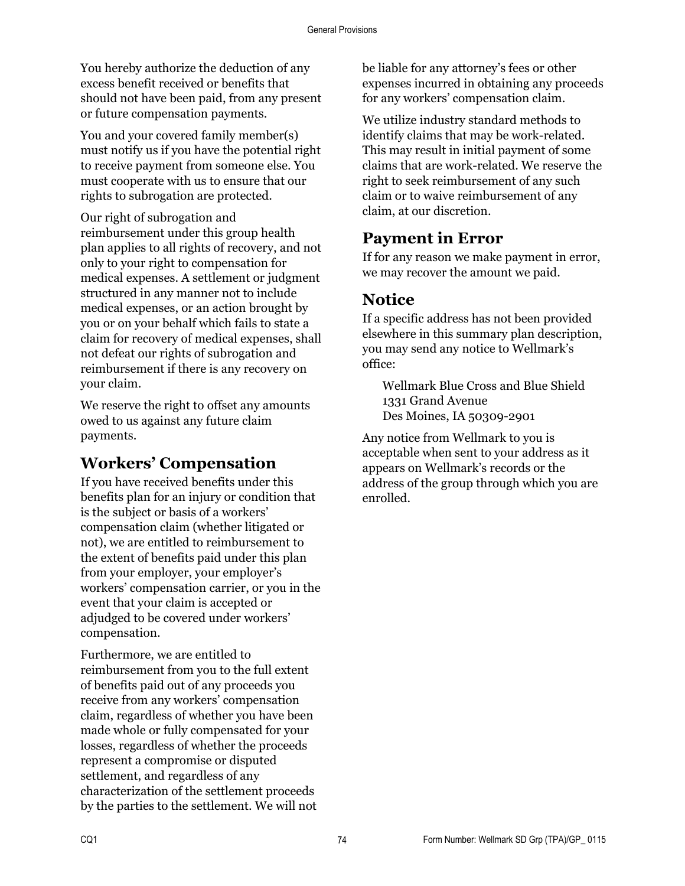You hereby authorize the deduction of any excess benefit received or benefits that should not have been paid, from any present or future compensation payments.

You and your covered family member(s) must notify us if you have the potential right to receive payment from someone else. You must cooperate with us to ensure that our rights to subrogation are protected.

Our right of subrogation and reimbursement under this group health plan applies to all rights of recovery, and not only to your right to compensation for medical expenses. A settlement or judgment structured in any manner not to include medical expenses, or an action brought by you or on your behalf which fails to state a claim for recovery of medical expenses, shall not defeat our rights of subrogation and reimbursement if there is any recovery on your claim.

We reserve the right to offset any amounts owed to us against any future claim payments.

# **Workers' Compensation**

If you have received benefits under this benefits plan for an injury or condition that is the subject or basis of a workers' compensation claim (whether litigated or not), we are entitled to reimbursement to the extent of benefits paid under this plan from your employer, your employer's workers' compensation carrier, or you in the event that your claim is accepted or adjudged to be covered under workers' compensation.

Furthermore, we are entitled to reimbursement from you to the full extent of benefits paid out of any proceeds you receive from any workers' compensation claim, regardless of whether you have been made whole or fully compensated for your losses, regardless of whether the proceeds represent a compromise or disputed settlement, and regardless of any characterization of the settlement proceeds by the parties to the settlement. We will not be liable for any attorney's fees or other expenses incurred in obtaining any proceeds for any workers' compensation claim.

We utilize industry standard methods to identify claims that may be work-related. This may result in initial payment of some claims that are work-related. We reserve the right to seek reimbursement of any such claim or to waive reimbursement of any claim, at our discretion.

## **Payment in Error**

If for any reason we make payment in error, we may recover the amount we paid.

# **Notice**

If a specific address has not been provided elsewhere in this summary plan description, you may send any notice to Wellmark's office:

Wellmark Blue Cross and Blue Shield 1331 Grand Avenue Des Moines, IA 50309-2901

Any notice from Wellmark to you is acceptable when sent to your address as it appears on Wellmark's records or the address of the group through which you are enrolled.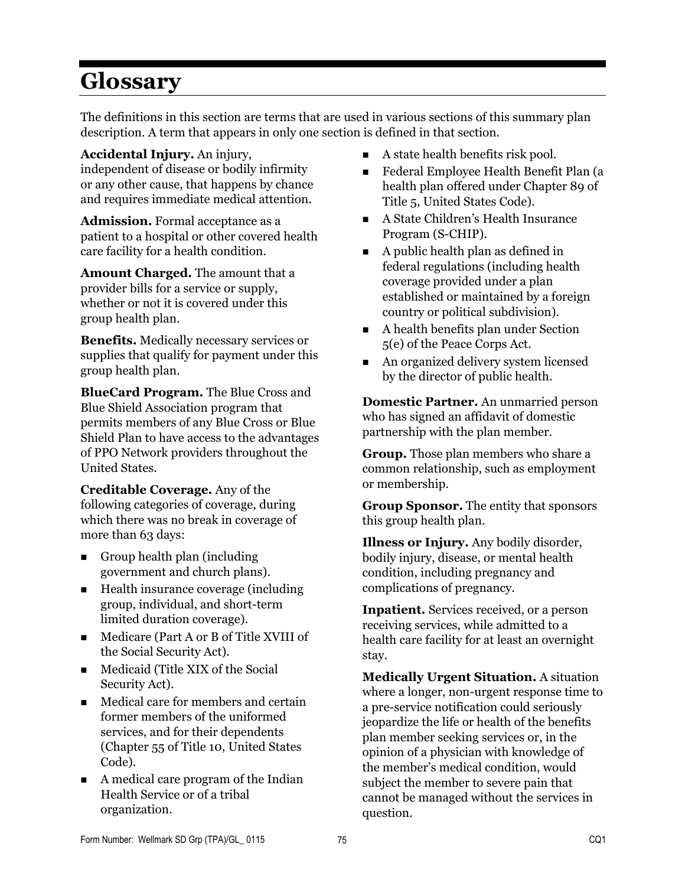# **Glossary**

The definitions in this section are terms that are used in various sections of this summary plan description. A term that appears in only one section is defined in that section.

**Accidental Injury.** An injury, independent of disease or bodily infirmity or any other cause, that happens by chance and requires immediate medical attention.

**Admission.** Formal acceptance as a patient to a hospital or other covered health care facility for a health condition.

**Amount Charged.** The amount that a provider bills for a service or supply, whether or not it is covered under this group health plan.

**Benefits.** Medically necessary services or supplies that qualify for payment under this group health plan.

**BlueCard Program.** The Blue Cross and Blue Shield Association program that permits members of any Blue Cross or Blue Shield Plan to have access to the advantages of PPO Network providers throughout the United States.

**Creditable Coverage.** Any of the following categories of coverage, during which there was no break in coverage of more than 63 days:

- **Group health plan (including** government and church plans).
- $\blacksquare$  Health insurance coverage (including group, individual, and short-term limited duration coverage).
- Medicare (Part A or B of Title XVIII of the Social Security Act).
- Medicaid (Title XIX of the Social Security Act).
- Medical care for members and certain former members of the uniformed services, and for their dependents (Chapter 55 of Title 10, United States Code).
- A medical care program of the Indian Health Service or of a tribal organization.
- $\blacksquare$  A state health benefits risk pool.
- Federal Employee Health Benefit Plan (a health plan offered under Chapter 89 of Title 5, United States Code).
- A State Children's Health Insurance Program (S-CHIP).
- A public health plan as defined in federal regulations (including health coverage provided under a plan established or maintained by a foreign country or political subdivision).
- A health benefits plan under Section 5(e) of the Peace Corps Act.
- An organized delivery system licensed by the director of public health.

**Domestic Partner.** An unmarried person who has signed an affidavit of domestic partnership with the plan member.

**Group.** Those plan members who share a common relationship, such as employment or membership.

**Group Sponsor.** The entity that sponsors this group health plan.

**Illness or Injury.** Any bodily disorder, bodily injury, disease, or mental health condition, including pregnancy and complications of pregnancy.

**Inpatient.** Services received, or a person receiving services, while admitted to a health care facility for at least an overnight stay.

**Medically Urgent Situation.** A situation where a longer, non-urgent response time to a pre-service notification could seriously jeopardize the life or health of the benefits plan member seeking services or, in the opinion of a physician with knowledge of the member's medical condition, would subject the member to severe pain that cannot be managed without the services in question.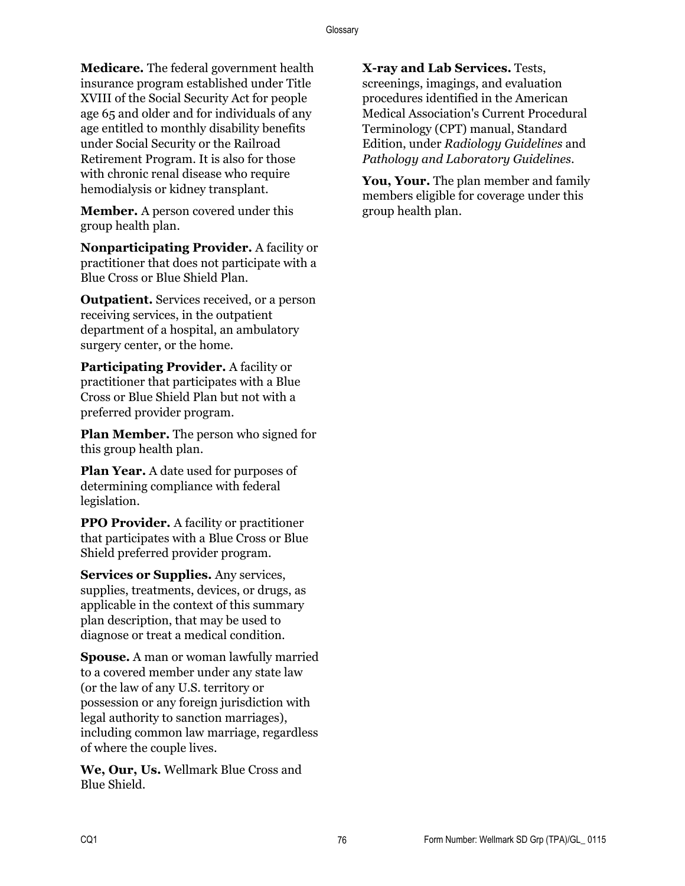**Medicare.** The federal government health insurance program established under Title XVIII of the Social Security Act for people age 65 and older and for individuals of any age entitled to monthly disability benefits under Social Security or the Railroad Retirement Program. It is also for those with chronic renal disease who require hemodialysis or kidney transplant.

**Member.** A person covered under this group health plan.

**Nonparticipating Provider.** A facility or practitioner that does not participate with a Blue Cross or Blue Shield Plan.

**Outpatient.** Services received, or a person receiving services, in the outpatient department of a hospital, an ambulatory surgery center, or the home.

**Participating Provider.** A facility or practitioner that participates with a Blue Cross or Blue Shield Plan but not with a preferred provider program.

**Plan Member.** The person who signed for this group health plan.

**Plan Year.** A date used for purposes of determining compliance with federal legislation.

**PPO Provider.** A facility or practitioner that participates with a Blue Cross or Blue Shield preferred provider program.

**Services or Supplies.** Any services, supplies, treatments, devices, or drugs, as applicable in the context of this summary plan description, that may be used to diagnose or treat a medical condition.

**Spouse.** A man or woman lawfully married to a covered member under any state law (or the law of any U.S. territory or possession or any foreign jurisdiction with legal authority to sanction marriages), including common law marriage, regardless of where the couple lives.

**We, Our, Us.** Wellmark Blue Cross and Blue Shield.

**X-ray and Lab Services.** Tests, screenings, imagings, and evaluation procedures identified in the American Medical Association's Current Procedural Terminology (CPT) manual, Standard Edition, under *Radiology Guidelines* and *Pathology and Laboratory Guidelines*.

**You, Your.** The plan member and family members eligible for coverage under this group health plan.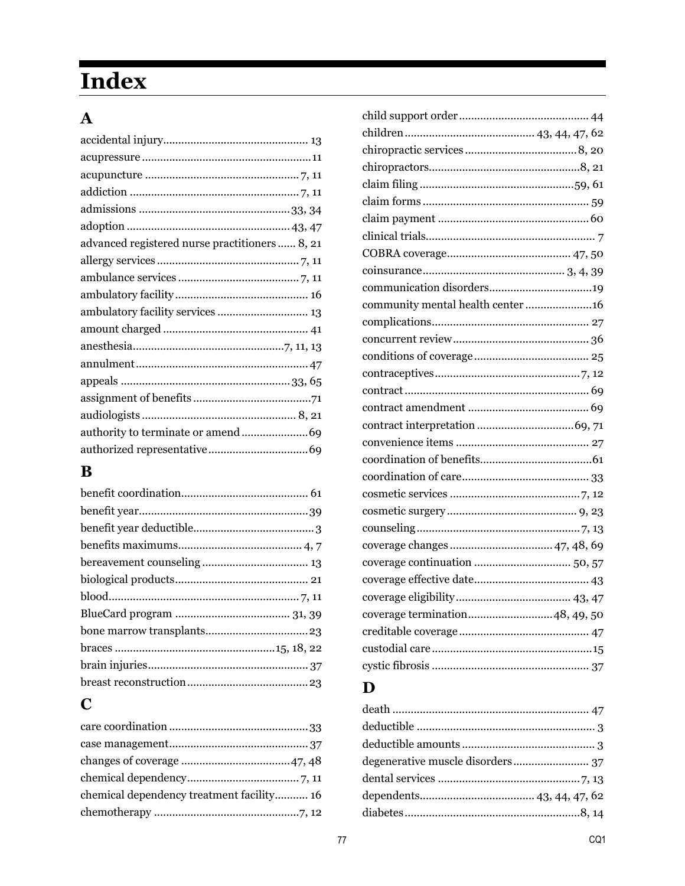# **Index**

# $\mathbf{A}$

| advanced registered nurse practitioners 8, 21 |
|-----------------------------------------------|
|                                               |
|                                               |
|                                               |
| ambulatory facility services  13              |
|                                               |
|                                               |
|                                               |
|                                               |
|                                               |
|                                               |
|                                               |
|                                               |

# $\bf{B}$

# $\mathbf C$

| community mental health center 16 |  |
|-----------------------------------|--|
|                                   |  |
|                                   |  |
|                                   |  |
|                                   |  |
|                                   |  |
|                                   |  |
|                                   |  |
|                                   |  |
|                                   |  |
|                                   |  |
|                                   |  |
|                                   |  |
|                                   |  |
| coverage changes  47, 48, 69      |  |
|                                   |  |
|                                   |  |
|                                   |  |
| coverage termination48, 49, 50    |  |
|                                   |  |
|                                   |  |
|                                   |  |
|                                   |  |

# $\mathbf{D}$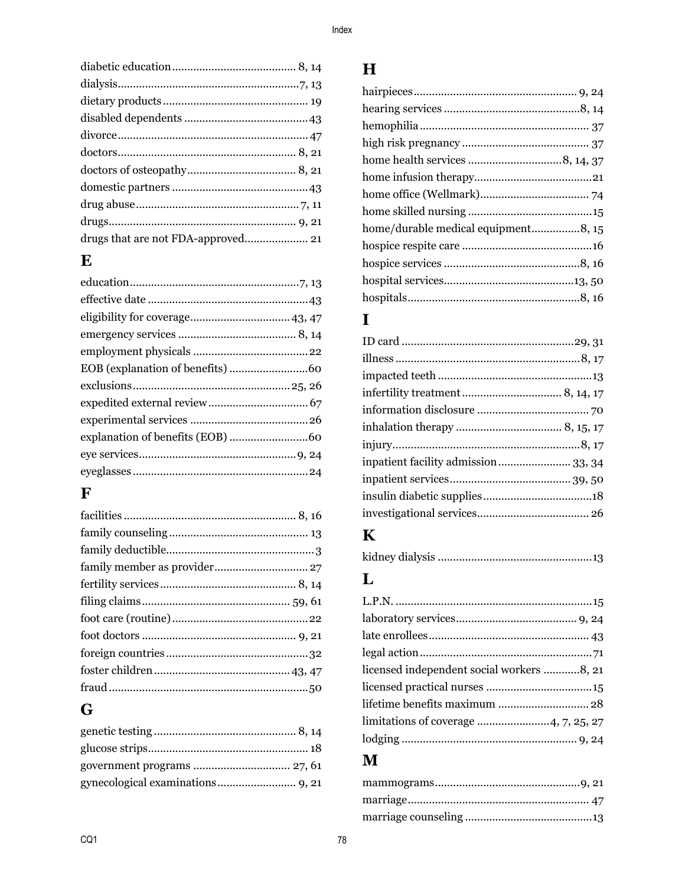# $\mathbf E$

# $\mathbf{F}$

# $\overline{\mathbf{G}}$

# $\mathbf H$

| home/durable medical equipment8, 15 |  |
|-------------------------------------|--|
|                                     |  |
|                                     |  |
|                                     |  |
|                                     |  |

# $\mathbf I$

| inpatient facility admission 33, 34 |
|-------------------------------------|
|                                     |
|                                     |
|                                     |
|                                     |

# $\mathbf K$

|--|--|

# $\mathbf{L}$

| licensed independent social workers 8, 21 |  |
|-------------------------------------------|--|
|                                           |  |
|                                           |  |
|                                           |  |
|                                           |  |
|                                           |  |

# $\mathbf{M}$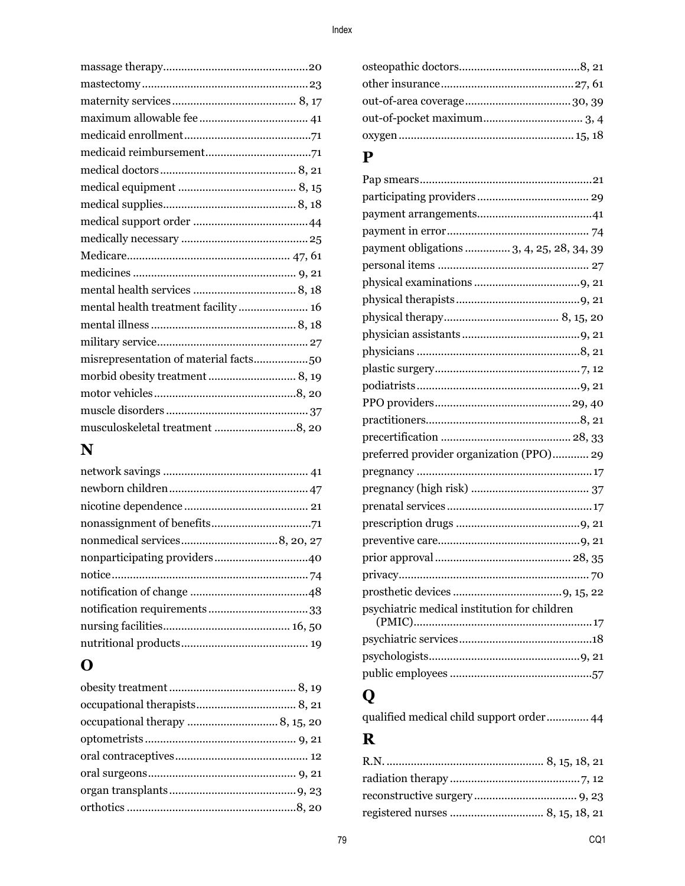| mental health treatment facility 16 |  |
|-------------------------------------|--|
|                                     |  |
|                                     |  |
|                                     |  |
|                                     |  |
|                                     |  |
|                                     |  |
| musculoskeletal treatment 8, 20     |  |

# **N**

# **O**

## **P**

| payment obligations  3, 4, 25, 28, 34, 39    |
|----------------------------------------------|
|                                              |
|                                              |
|                                              |
|                                              |
|                                              |
|                                              |
|                                              |
|                                              |
|                                              |
|                                              |
|                                              |
|                                              |
| preferred provider organization (PPO) 29     |
|                                              |
|                                              |
|                                              |
|                                              |
|                                              |
|                                              |
|                                              |
|                                              |
| psychiatric medical institution for children |
|                                              |
|                                              |
|                                              |

# **Q**

qualified medical child support order .............. 44

## **R**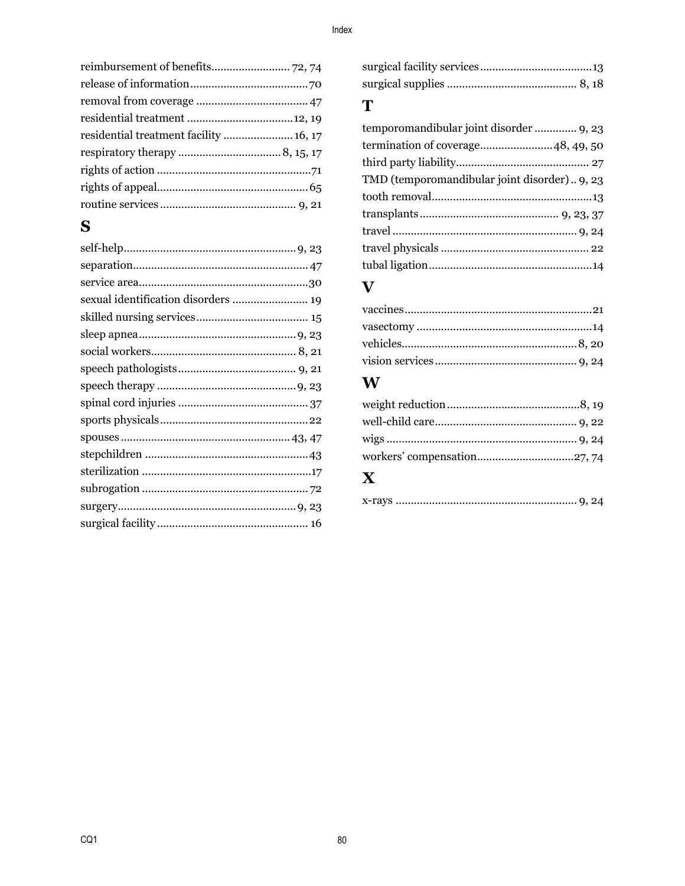| residential treatment facility  16, 17 |  |
|----------------------------------------|--|
|                                        |  |
|                                        |  |
|                                        |  |
|                                        |  |
|                                        |  |

# $\mathbf S$

| sexual identification disorders  19 |  |
|-------------------------------------|--|
|                                     |  |
|                                     |  |
|                                     |  |
|                                     |  |
|                                     |  |
|                                     |  |
|                                     |  |
|                                     |  |
|                                     |  |
|                                     |  |
|                                     |  |
|                                     |  |
|                                     |  |
|                                     |  |

## T

# $\overline{\mathbf{V}}$

### $\boldsymbol{\mathrm{W}}$

# $\mathbf X$

|--|--|--|